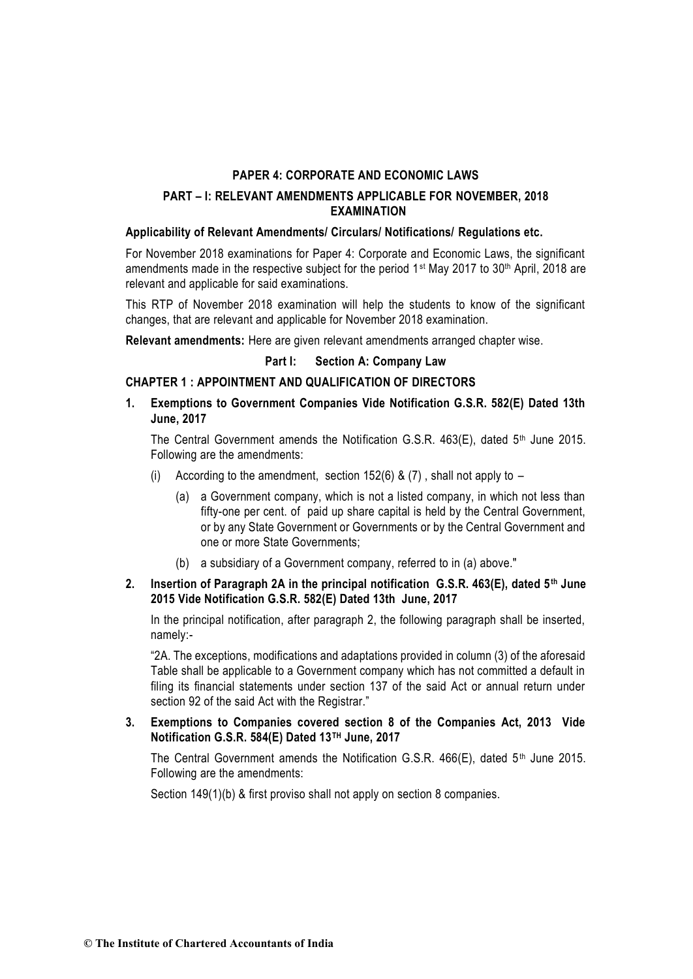# **PART – I: RELEVANT AMENDMENTS APPLICABLE FOR NOVEMBER, 2018 EXAMINATION**

# **Applicability of Relevant Amendments/ Circulars/ Notifications/ Regulations etc.**

For November 2018 examinations for Paper 4: Corporate and Economic Laws, the significant amendments made in the respective subject for the period 1<sup>st</sup> May 2017 to 30<sup>th</sup> April, 2018 are relevant and applicable for said examinations.

This RTP of November 2018 examination will help the students to know of the significant changes, that are relevant and applicable for November 2018 examination.

**Relevant amendments:** Here are given relevant amendments arranged chapter wise.

# **Part I: Section A: Company Law**

# **CHAPTER 1 : APPOINTMENT AND QUALIFICATION OF DIRECTORS**

**1. Exemptions to Government Companies Vide Notification G.S.R. 582(E) Dated 13th June, 2017**

The Central Government amends the Notification G.S.R. 463(E), dated 5<sup>th</sup> June 2015. Following are the amendments:

- (i) According to the amendment, section  $152(6)$  & (7), shall not apply to
	- (a) a Government company, which is not a listed company, in which not less than fifty-one per cent. of paid up share capital is held by the Central Government, or by any State Government or Governments or by the Central Government and one or more State Governments;
	- (b) a subsidiary of a Government company, referred to in (a) above."

# **2. Insertion of Paragraph 2A in the principal notification G.S.R. 463(E), dated 5th June 2015 Vide Notification G.S.R. 582(E) Dated 13th June, 2017**

In the principal notification, after paragraph 2, the following paragraph shall be inserted, namely:-

"2A. The exceptions, modifications and adaptations provided in column (3) of the aforesaid Table shall be applicable to a Government company which has not committed a default in filing its financial statements under section 137 of the said Act or annual return under section 92 of the said Act with the Registrar."

# **3. Exemptions to Companies covered section 8 of the Companies Act, 2013 Vide Notification G.S.R. 584(E) Dated 13TH June, 2017**

The Central Government amends the Notification G.S.R.  $466(E)$ , dated  $5<sup>th</sup>$  June 2015. Following are the amendments:

Section 149(1)(b) & first proviso shall not apply on section 8 companies.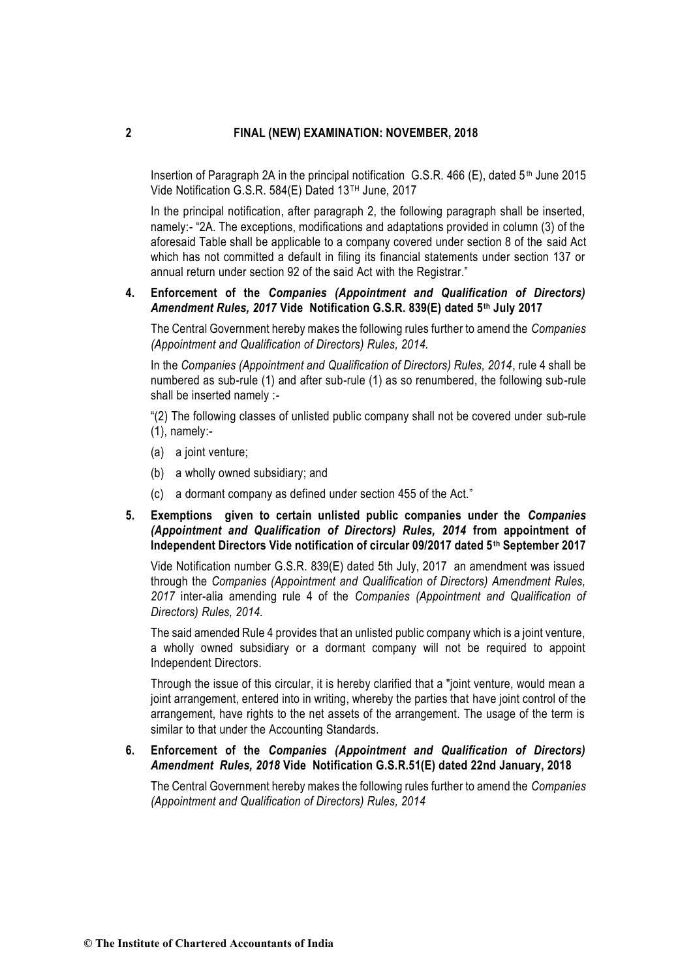Insertion of Paragraph 2A in the principal notification  $G.S.R.$  466 (E), dated 5<sup>th</sup> June 2015 Vide Notification G.S.R. 584(E) Dated 13TH June, 2017

In the principal notification, after paragraph 2, the following paragraph shall be inserted, namely:- "2A. The exceptions, modifications and adaptations provided in column (3) of the aforesaid Table shall be applicable to a company covered under section 8 of the said Act which has not committed a default in filing its financial statements under section 137 or annual return under section 92 of the said Act with the Registrar."

# **4. Enforcement of the** *Companies (Appointment and Qualification of Directors) Amendment Rules, 2017* **Vide Notification G.S.R. 839(E) dated 5th July 2017**

The Central Government hereby makes the following rules further to amend the *Companies (Appointment and Qualification of Directors) Rules, 2014.*

In the *Companies (Appointment and Qualification of Directors) Rules, 2014*, rule 4 shall be numbered as sub-rule (1) and after sub-rule (1) as so renumbered, the following sub-rule shall be inserted namely :-

"(2) The following classes of unlisted public company shall not be covered under sub-rule (1), namely:-

- (a) a joint venture;
- (b) a wholly owned subsidiary; and
- (c) a dormant company as defined under section 455 of the Act."
- **5. Exemptions given to certain unlisted public companies under the** *Companies (Appointment and Qualification of Directors) Rules, 2014* **from appointment of Independent Directors Vide notification of circular 09/2017 dated 5th September 2017**

Vide Notification number G.S.R. 839(E) dated 5th July, 2017 an amendment was issued through the *Companies (Appointment and Qualification of Directors) Amendment Rules, 2017* inter-alia amending rule 4 of the *Companies (Appointment and Qualification of Directors) Rules, 2014.* 

The said amended Rule 4 provides that an unlisted public company which is a joint venture, a wholly owned subsidiary or a dormant company will not be required to appoint Independent Directors.

Through the issue of this circular, it is hereby clarified that a "joint venture, would mean a joint arrangement, entered into in writing, whereby the parties that have joint control of the arrangement, have rights to the net assets of the arrangement. The usage of the term is similar to that under the Accounting Standards.

# **6. Enforcement of the** *Companies (Appointment and Qualification of Directors) Amendment Rules, 2018* **Vide Notification G.S.R.51(E) dated 22nd January, 2018**

The Central Government hereby makes the following rules further to amend the *Companies (Appointment and Qualification of Directors) Rules, 2014*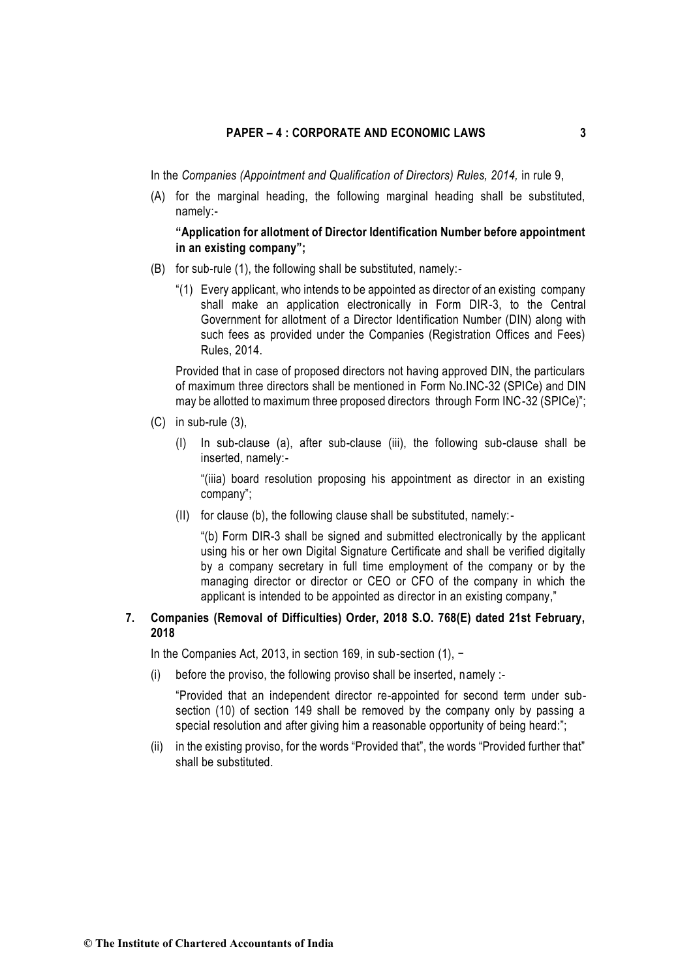In the *Companies (Appointment and Qualification of Directors) Rules, 2014,* in rule 9,

(A) for the marginal heading, the following marginal heading shall be substituted, namely:-

### **"Application for allotment of Director Identification Number before appointment in an existing company";**

- (B) for sub-rule (1), the following shall be substituted, namely:-
	- "(1) Every applicant, who intends to be appointed as director of an existing company shall make an application electronically in Form DIR-3, to the Central Government for allotment of a Director Identification Number (DIN) along with such fees as provided under the Companies (Registration Offices and Fees) Rules, 2014.

Provided that in case of proposed directors not having approved DIN, the particulars of maximum three directors shall be mentioned in Form No.INC-32 (SPICe) and DIN may be allotted to maximum three proposed directors through Form INC-32 (SPICe)";

- (C) in sub-rule (3),
	- (I) In sub-clause (a), after sub-clause (iii), the following sub-clause shall be inserted, namely:-

"(iiia) board resolution proposing his appointment as director in an existing company";

(II) for clause (b), the following clause shall be substituted, namely:-

"(b) Form DIR-3 shall be signed and submitted electronically by the applicant using his or her own Digital Signature Certificate and shall be verified digitally by a company secretary in full time employment of the company or by the managing director or director or CEO or CFO of the company in which the applicant is intended to be appointed as director in an existing company,"

# **7. Companies (Removal of Difficulties) Order, 2018 S.O. 768(E) dated 21st February, 2018**

In the Companies Act, 2013, in section 169, in sub-section (1), −

(i) before the proviso, the following proviso shall be inserted, namely :-

"Provided that an independent director re-appointed for second term under subsection (10) of section 149 shall be removed by the company only by passing a special resolution and after giving him a reasonable opportunity of being heard:";

(ii) in the existing proviso, for the words "Provided that", the words "Provided further that" shall be substituted.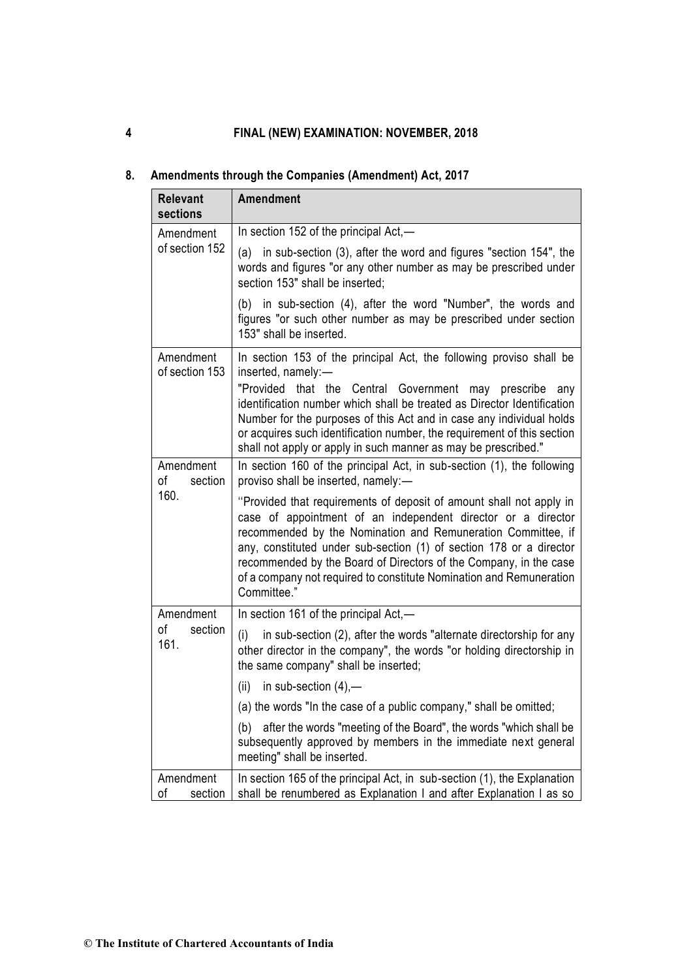| <b>Relevant</b><br>sections        | <b>Amendment</b>                                                                                                                                                                                                                                                                                                                                                                                                                                              |
|------------------------------------|---------------------------------------------------------------------------------------------------------------------------------------------------------------------------------------------------------------------------------------------------------------------------------------------------------------------------------------------------------------------------------------------------------------------------------------------------------------|
| Amendment<br>of section 152        | In section 152 of the principal Act,-                                                                                                                                                                                                                                                                                                                                                                                                                         |
|                                    | (a) in sub-section (3), after the word and figures "section 154", the<br>words and figures "or any other number as may be prescribed under<br>section 153" shall be inserted;                                                                                                                                                                                                                                                                                 |
|                                    | in sub-section (4), after the word "Number", the words and<br>(b)<br>figures "or such other number as may be prescribed under section<br>153" shall be inserted.                                                                                                                                                                                                                                                                                              |
| Amendment<br>of section 153        | In section 153 of the principal Act, the following proviso shall be<br>inserted, namely:-<br>"Provided<br>that the Central Government may<br>prescribe<br>any<br>identification number which shall be treated as Director Identification<br>Number for the purposes of this Act and in case any individual holds<br>or acquires such identification number, the requirement of this section<br>shall not apply or apply in such manner as may be prescribed." |
| Amendment<br>оf<br>section<br>160. | In section 160 of the principal Act, in sub-section (1), the following<br>proviso shall be inserted, namely:-                                                                                                                                                                                                                                                                                                                                                 |
|                                    | "Provided that requirements of deposit of amount shall not apply in<br>case of appointment of an independent director or a director<br>recommended by the Nomination and Remuneration Committee, if<br>any, constituted under sub-section (1) of section 178 or a director<br>recommended by the Board of Directors of the Company, in the case<br>of a company not required to constitute Nomination and Remuneration<br>Committee."                         |
| Amendment                          | In section 161 of the principal Act,—                                                                                                                                                                                                                                                                                                                                                                                                                         |
| оf<br>section<br>161.              | in sub-section (2), after the words "alternate directorship for any<br>(i)<br>other director in the company", the words "or holding directorship in<br>the same company" shall be inserted;                                                                                                                                                                                                                                                                   |
|                                    | (ii)<br>in sub-section $(4)$ ,-                                                                                                                                                                                                                                                                                                                                                                                                                               |
|                                    | (a) the words "In the case of a public company," shall be omitted;                                                                                                                                                                                                                                                                                                                                                                                            |
|                                    | after the words "meeting of the Board", the words "which shall be<br>(b)<br>subsequently approved by members in the immediate next general<br>meeting" shall be inserted.                                                                                                                                                                                                                                                                                     |
| Amendment<br>οf<br>section         | In section 165 of the principal Act, in sub-section (1), the Explanation<br>shall be renumbered as Explanation I and after Explanation I as so                                                                                                                                                                                                                                                                                                                |

# **8. Amendments through the Companies (Amendment) Act, 2017**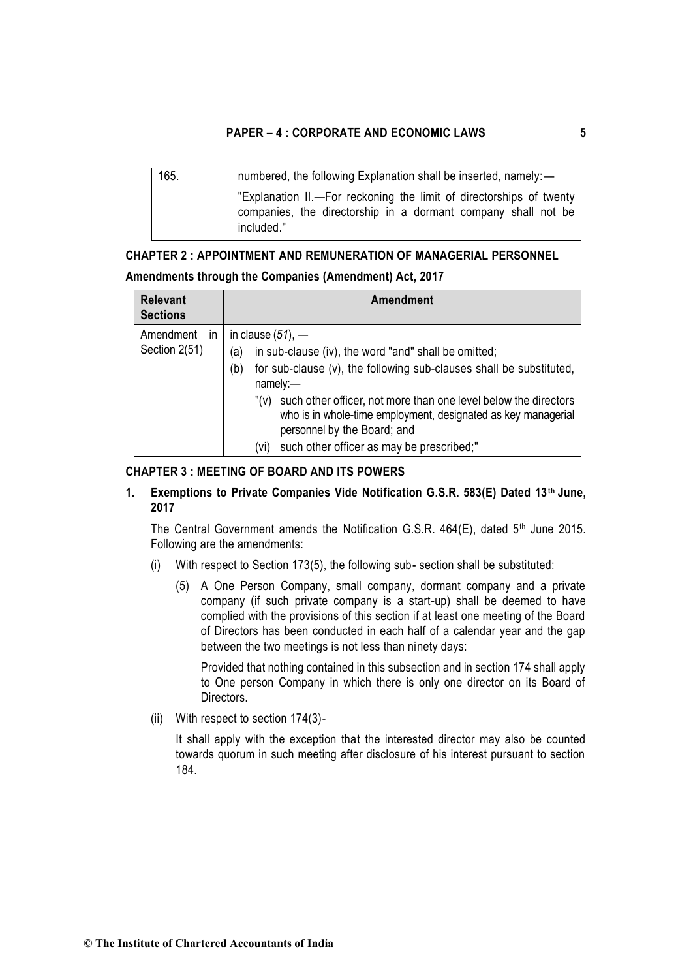| 165. | numbered, the following Explanation shall be inserted, namely:-                                                                                    |
|------|----------------------------------------------------------------------------------------------------------------------------------------------------|
|      | "Explanation II.—For reckoning the limit of directorships of twenty<br>companies, the directorship in a dormant company shall not be<br>included." |

# **CHAPTER 2 : APPOINTMENT AND REMUNERATION OF MANAGERIAL PERSONNEL**

# **Amendments through the Companies (Amendment) Act, 2017**

| <b>Relevant</b><br><b>Sections</b> | <b>Amendment</b>                                                                                                                                                                                                                                                                                                                                                                                                 |
|------------------------------------|------------------------------------------------------------------------------------------------------------------------------------------------------------------------------------------------------------------------------------------------------------------------------------------------------------------------------------------------------------------------------------------------------------------|
| Amendment<br>ın<br>Section 2(51)   | in clause $(51)$ , —<br>in sub-clause (iv), the word "and" shall be omitted;<br>a)<br>for sub-clause (v), the following sub-clauses shall be substituted,<br>(b)<br>namely:<br>such other officer, not more than one level below the directors<br>$"(\vee)$<br>who is in whole-time employment, designated as key managerial<br>personnel by the Board; and<br>such other officer as may be prescribed;"<br>(vi) |

# **CHAPTER 3 : MEETING OF BOARD AND ITS POWERS**

# **1. Exemptions to Private Companies Vide Notification G.S.R. 583(E) Dated 13th June, 2017**

The Central Government amends the Notification G.S.R. 464(E), dated 5<sup>th</sup> June 2015. Following are the amendments:

- (i) With respect to Section 173(5), the following sub- section shall be substituted:
	- (5) A One Person Company, small company, dormant company and a private company (if such private company is a start-up) shall be deemed to have complied with the provisions of this section if at least one meeting of the Board of Directors has been conducted in each half of a calendar year and the gap between the two meetings is not less than ninety days:

Provided that nothing contained in this subsection and in section 174 shall apply to One person Company in which there is only one director on its Board of Directors.

(ii) With respect to section 174(3)-

It shall apply with the exception that the interested director may also be counted towards quorum in such meeting after disclosure of his interest pursuant to section 184.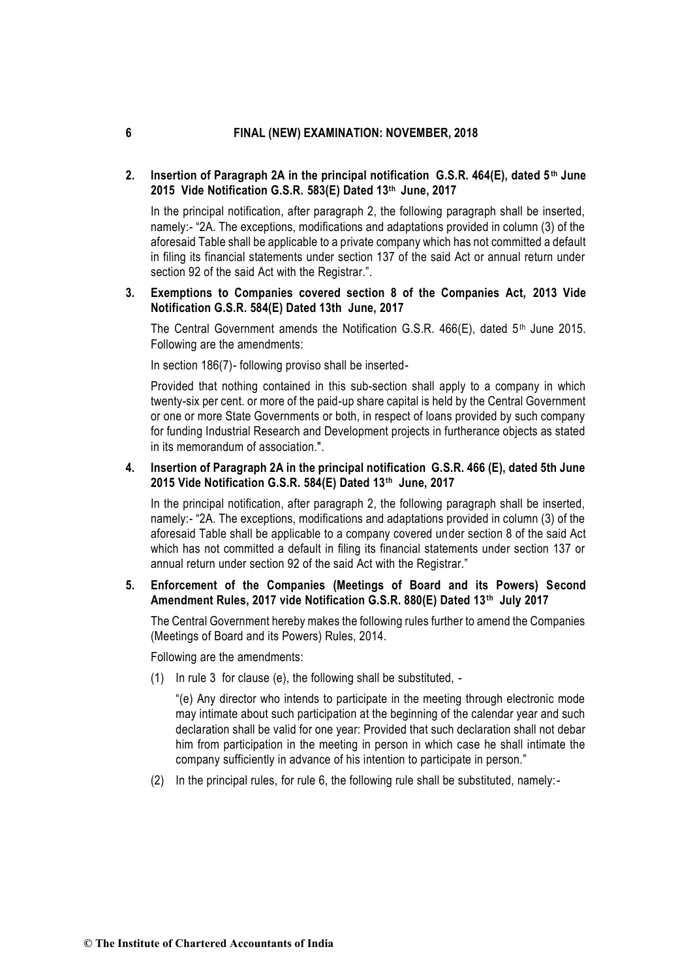# **2. Insertion of Paragraph 2A in the principal notification G.S.R. 464(E), dated 5th June 2015 Vide Notification G.S.R. 583(E) Dated 13th June, 2017**

In the principal notification, after paragraph 2, the following paragraph shall be inserted, namely:- "2A. The exceptions, modifications and adaptations provided in column (3) of the aforesaid Table shall be applicable to a private company which has not committed a default in filing its financial statements under section 137 of the said Act or annual return under section 92 of the said Act with the Registrar.".

# **3. Exemptions to Companies covered section 8 of the Companies Act, 2013 Vide Notification G.S.R. 584(E) Dated 13th June, 2017**

The Central Government amends the Notification G.S.R.  $466(E)$ , dated  $5<sup>th</sup>$  June 2015. Following are the amendments:

In section 186(7)- following proviso shall be inserted-

Provided that nothing contained in this sub-section shall apply to a company in which twenty-six per cent. or more of the paid-up share capital is held by the Central Government or one or more State Governments or both, in respect of loans provided by such company for funding Industrial Research and Development projects in furtherance objects as stated in its memorandum of association.".

# **4. Insertion of Paragraph 2A in the principal notification G.S.R. 466 (E), dated 5th June 2015 Vide Notification G.S.R. 584(E) Dated 13th June, 2017**

In the principal notification, after paragraph 2, the following paragraph shall be inserted, namely:- "2A. The exceptions, modifications and adaptations provided in column (3) of the aforesaid Table shall be applicable to a company covered under section 8 of the said Act which has not committed a default in filing its financial statements under section 137 or annual return under section 92 of the said Act with the Registrar."

# **5. Enforcement of the Companies (Meetings of Board and its Powers) Second Amendment Rules, 2017 vide Notification G.S.R. 880(E) Dated 13th July 2017**

The Central Government hereby makes the following rules further to amend the Companies (Meetings of Board and its Powers) Rules, 2014.

Following are the amendments:

(1) In rule 3 for clause (e), the following shall be substituted, -

"(e) Any director who intends to participate in the meeting through electronic mode may intimate about such participation at the beginning of the calendar year and such declaration shall be valid for one year: Provided that such declaration shall not debar him from participation in the meeting in person in which case he shall intimate the company sufficiently in advance of his intention to participate in person."

(2) In the principal rules, for rule 6, the following rule shall be substituted, namely:-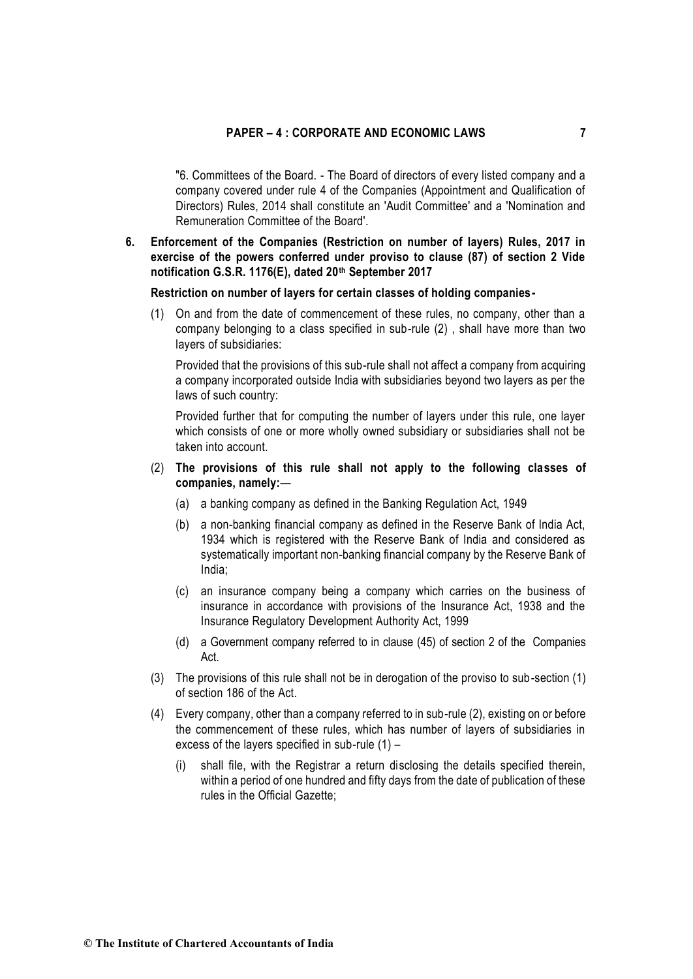"6. Committees of the Board. - The Board of directors of every listed company and a company covered under rule 4 of the Companies (Appointment and Qualification of Directors) Rules, 2014 shall constitute an 'Audit Committee' and a 'Nomination and Remuneration Committee of the Board'.

# **6. Enforcement of the Companies (Restriction on number of layers) Rules, 2017 in exercise of the powers conferred under proviso to clause (87) of section 2 Vide notification G.S.R. 1176(E), dated 20th September 2017**

#### **Restriction on number of layers for certain classes of holding companies-**

(1) On and from the date of commencement of these rules, no company, other than a company belonging to a class specified in sub-rule (2) , shall have more than two layers of subsidiaries:

Provided that the provisions of this sub-rule shall not affect a company from acquiring a company incorporated outside India with subsidiaries beyond two layers as per the laws of such country:

Provided further that for computing the number of layers under this rule, one layer which consists of one or more wholly owned subsidiary or subsidiaries shall not be taken into account.

- (2) **The provisions of this rule shall not apply to the following classes of companies, namely:**—
	- (a) a banking company as defined in the Banking Regulation Act, 1949
	- (b) a non-banking financial company as defined in the Reserve Bank of India Act, 1934 which is registered with the Reserve Bank of India and considered as systematically important non-banking financial company by the Reserve Bank of India;
	- (c) an insurance company being a company which carries on the business of insurance in accordance with provisions of the Insurance Act, 1938 and the Insurance Regulatory Development Authority Act, 1999
	- (d) a Government company referred to in clause (45) of section 2 of the Companies Act.
- (3) The provisions of this rule shall not be in derogation of the proviso to sub-section (1) of section 186 of the Act.
- (4) Every company, other than a company referred to in sub-rule (2), existing on or before the commencement of these rules, which has number of layers of subsidiaries in excess of the layers specified in sub-rule (1) –
	- (i) shall file, with the Registrar a return disclosing the details specified therein, within a period of one hundred and fifty days from the date of publication of these rules in the Official Gazette;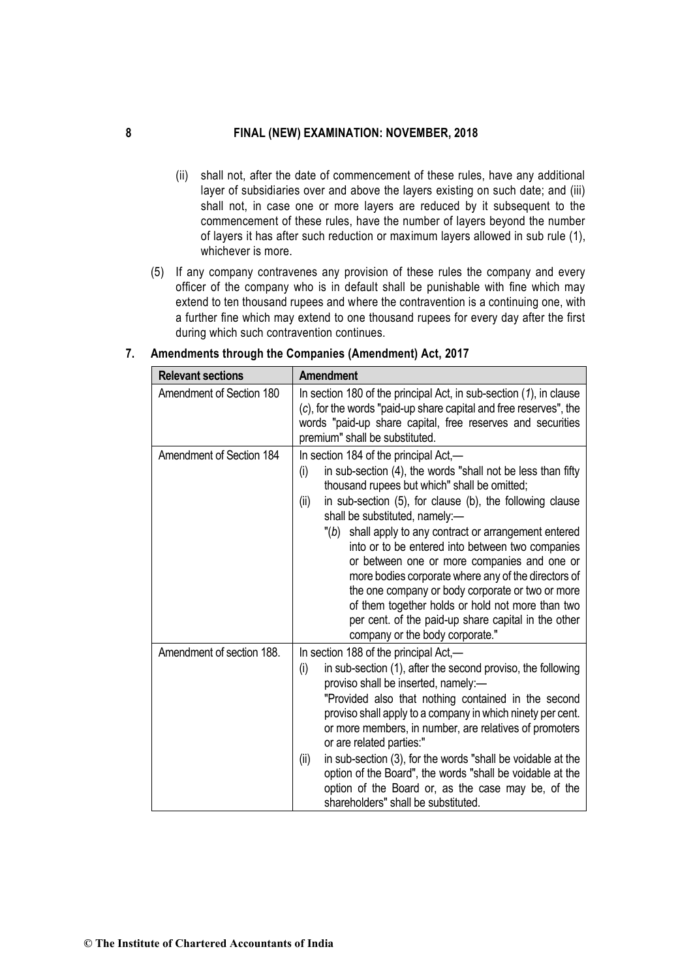- (ii) shall not, after the date of commencement of these rules, have any additional layer of subsidiaries over and above the layers existing on such date; and (iii) shall not, in case one or more layers are reduced by it subsequent to the commencement of these rules, have the number of layers beyond the number of layers it has after such reduction or maximum layers allowed in sub rule (1), whichever is more.
- (5) If any company contravenes any provision of these rules the company and every officer of the company who is in default shall be punishable with fine which may extend to ten thousand rupees and where the contravention is a continuing one, with a further fine which may extend to one thousand rupees for every day after the first during which such contravention continues.

| <b>Relevant sections</b>  | <b>Amendment</b>                                                                                                                                                                                                                                                                                                                                                                                                                                                                                                                                                                                                                                                                         |
|---------------------------|------------------------------------------------------------------------------------------------------------------------------------------------------------------------------------------------------------------------------------------------------------------------------------------------------------------------------------------------------------------------------------------------------------------------------------------------------------------------------------------------------------------------------------------------------------------------------------------------------------------------------------------------------------------------------------------|
| Amendment of Section 180  | In section 180 of the principal Act, in sub-section (1), in clause<br>(c), for the words "paid-up share capital and free reserves", the<br>words "paid-up share capital, free reserves and securities<br>premium" shall be substituted.                                                                                                                                                                                                                                                                                                                                                                                                                                                  |
| Amendment of Section 184  | In section 184 of the principal Act,—<br>in sub-section (4), the words "shall not be less than fifty<br>(i)<br>thousand rupees but which" shall be omitted;<br>in sub-section (5), for clause (b), the following clause<br>(ii)<br>shall be substituted, namely:-<br>"(b) shall apply to any contract or arrangement entered<br>into or to be entered into between two companies<br>or between one or more companies and one or<br>more bodies corporate where any of the directors of<br>the one company or body corporate or two or more<br>of them together holds or hold not more than two<br>per cent. of the paid-up share capital in the other<br>company or the body corporate." |
| Amendment of section 188. | In section 188 of the principal Act,—<br>in sub-section (1), after the second proviso, the following<br>(i)<br>proviso shall be inserted, namely:-<br>"Provided also that nothing contained in the second<br>proviso shall apply to a company in which ninety per cent.<br>or more members, in number, are relatives of promoters<br>or are related parties:"<br>in sub-section (3), for the words "shall be voidable at the<br>(ii)<br>option of the Board", the words "shall be voidable at the<br>option of the Board or, as the case may be, of the<br>shareholders" shall be substituted.                                                                                           |

**7. Amendments through the Companies (Amendment) Act, 2017**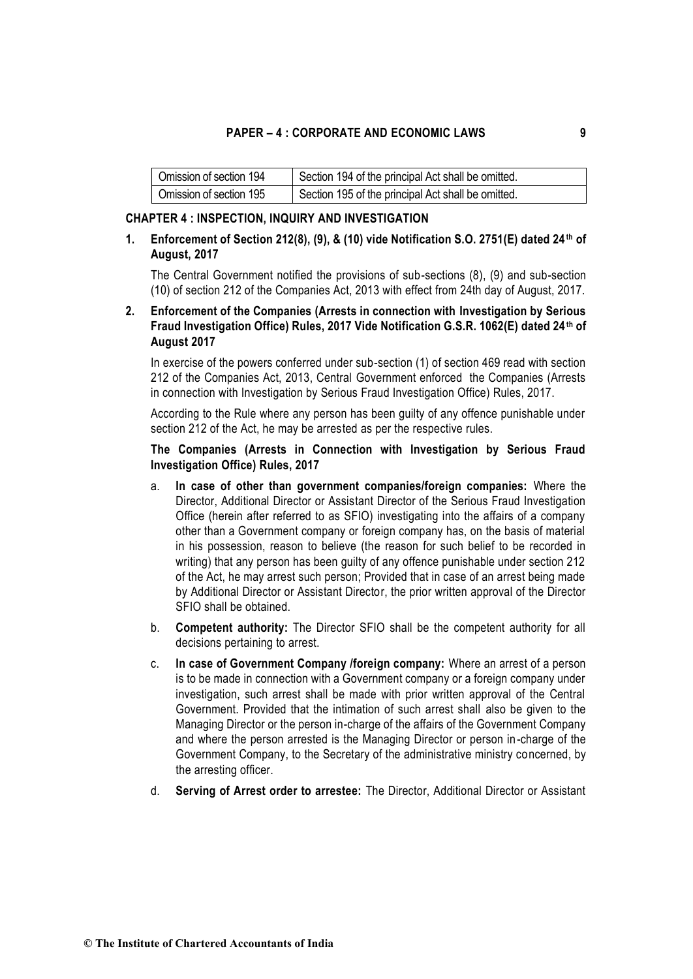| Omission of section 194 | Section 194 of the principal Act shall be omitted. |
|-------------------------|----------------------------------------------------|
| Omission of section 195 | Section 195 of the principal Act shall be omitted. |

#### **CHAPTER 4 : INSPECTION, INQUIRY AND INVESTIGATION**

# **1. Enforcement of Section 212(8), (9), & (10) vide Notification S.O. 2751(E) dated 24th of August, 2017**

The Central Government notified the provisions of sub-sections (8), (9) and sub-section (10) of section 212 of the Companies Act, 2013 with effect from 24th day of August, 2017.

# **2. Enforcement of the Companies (Arrests in connection with Investigation by Serious Fraud Investigation Office) Rules, 2017 Vide Notification G.S.R. 1062(E) dated 24th of August 2017**

In exercise of the powers conferred under sub-section (1) of section 469 read with section 212 of the Companies Act, 2013, Central Government enforced the Companies (Arrests in connection with Investigation by Serious Fraud Investigation Office) Rules, 2017.

According to the Rule where any person has been guilty of any offence punishable under section 212 of the Act, he may be arrested as per the respective rules.

# **The Companies (Arrests in Connection with Investigation by Serious Fraud Investigation Office) Rules, 2017**

- a. **In case of other than government companies/foreign companies:** Where the Director, Additional Director or Assistant Director of the Serious Fraud Investigation Office (herein after referred to as SFIO) investigating into the affairs of a company other than a Government company or foreign company has, on the basis of material in his possession, reason to believe (the reason for such belief to be recorded in writing) that any person has been guilty of any offence punishable under section 212 of the Act, he may arrest such person; Provided that in case of an arrest being made by Additional Director or Assistant Director, the prior written approval of the Director SFIO shall be obtained.
- b. **Competent authority:** The Director SFIO shall be the competent authority for all decisions pertaining to arrest.
- c. **In case of Government Company /foreign company:** Where an arrest of a person is to be made in connection with a Government company or a foreign company under investigation, such arrest shall be made with prior written approval of the Central Government. Provided that the intimation of such arrest shall also be given to the Managing Director or the person in-charge of the affairs of the Government Company and where the person arrested is the Managing Director or person in-charge of the Government Company, to the Secretary of the administrative ministry concerned, by the arresting officer.
- d. **Serving of Arrest order to arrestee:** The Director, Additional Director or Assistant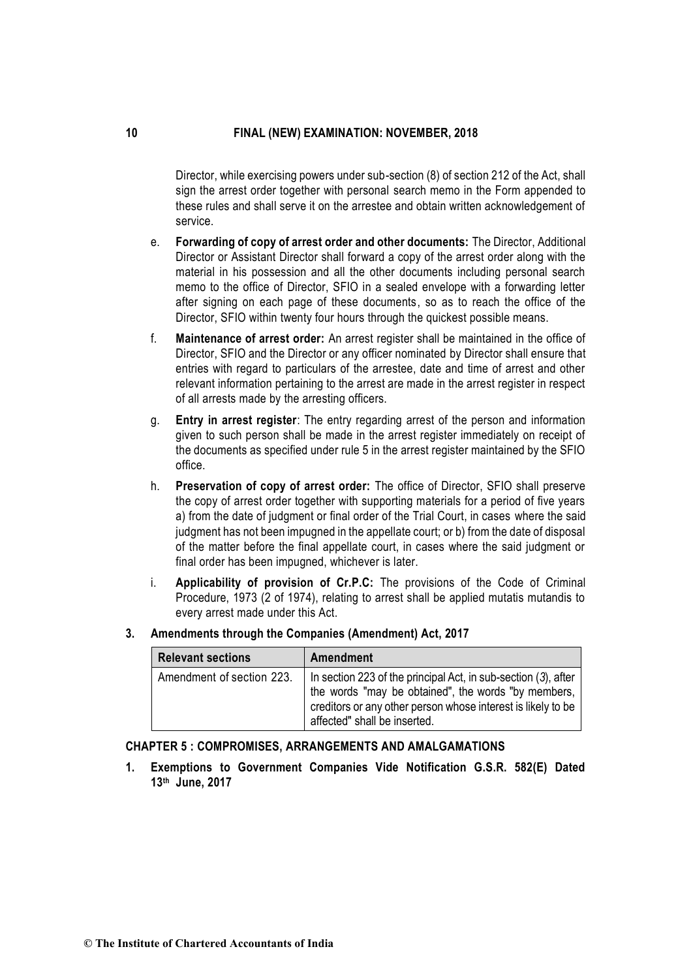Director, while exercising powers under sub-section (8) of section 212 of the Act, shall sign the arrest order together with personal search memo in the Form appended to these rules and shall serve it on the arrestee and obtain written acknowledgement of service.

- e. **Forwarding of copy of arrest order and other documents:** The Director, Additional Director or Assistant Director shall forward a copy of the arrest order along with the material in his possession and all the other documents including personal search memo to the office of Director, SFIO in a sealed envelope with a forwarding letter after signing on each page of these documents, so as to reach the office of the Director, SFIO within twenty four hours through the quickest possible means.
- f. **Maintenance of arrest order:** An arrest register shall be maintained in the office of Director, SFIO and the Director or any officer nominated by Director shall ensure that entries with regard to particulars of the arrestee, date and time of arrest and other relevant information pertaining to the arrest are made in the arrest register in respect of all arrests made by the arresting officers.
- g. **Entry in arrest register**: The entry regarding arrest of the person and information given to such person shall be made in the arrest register immediately on receipt of the documents as specified under rule 5 in the arrest register maintained by the SFIO office.
- h. **Preservation of copy of arrest order:** The office of Director, SFIO shall preserve the copy of arrest order together with supporting materials for a period of five years a) from the date of judgment or final order of the Trial Court, in cases where the said judgment has not been impugned in the appellate court; or b) from the date of disposal of the matter before the final appellate court, in cases where the said judgment or final order has been impugned, whichever is later.
- i. **Applicability of provision of Cr.P.C:** The provisions of the Code of Criminal Procedure, 1973 (2 of 1974), relating to arrest shall be applied mutatis mutandis to every arrest made under this Act.
- **Relevant sections Amendment**

| Amendments through the Companies (Amendment) Act, 2017<br>3. |  |
|--------------------------------------------------------------|--|
|--------------------------------------------------------------|--|

| <b>INGICYAIIL SCULIUIIS</b> | <b>AIII</b> GHUIIIGHU                                                                                                                                                                                                 |
|-----------------------------|-----------------------------------------------------------------------------------------------------------------------------------------------------------------------------------------------------------------------|
| Amendment of section 223.   | In section 223 of the principal Act, in sub-section (3), after<br>the words "may be obtained", the words "by members,<br>creditors or any other person whose interest is likely to be<br>affected" shall be inserted. |

# **CHAPTER 5 : COMPROMISES, ARRANGEMENTS AND AMALGAMATIONS**

**1. Exemptions to Government Companies Vide Notification G.S.R. 582(E) Dated 13th June, 2017**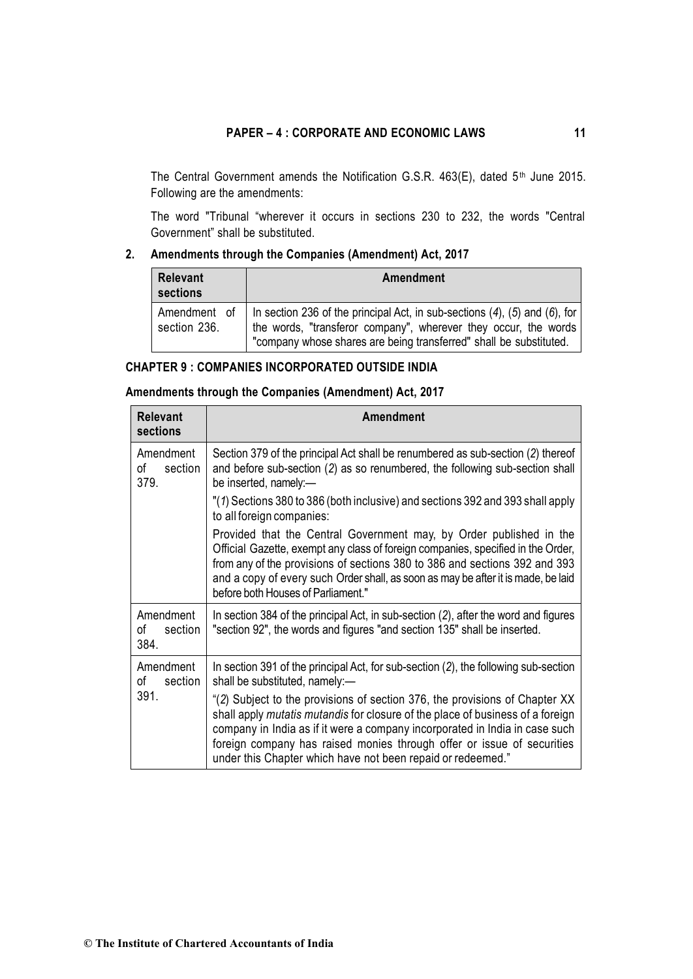The Central Government amends the Notification G.S.R. 463(E), dated 5<sup>th</sup> June 2015. Following are the amendments:

The word "Tribunal "wherever it occurs in sections 230 to 232, the words "Central Government" shall be substituted.

# **2. Amendments through the Companies (Amendment) Act, 2017**

| Relevant<br>sections         | Amendment                                                                                                                                                                                                                   |
|------------------------------|-----------------------------------------------------------------------------------------------------------------------------------------------------------------------------------------------------------------------------|
| Amendment of<br>section 236. | In section 236 of the principal Act, in sub-sections $(4)$ , $(5)$ and $(6)$ , for<br>the words, "transferor company", wherever they occur, the words<br>"company whose shares are being transferred" shall be substituted. |

# **CHAPTER 9 : COMPANIES INCORPORATED OUTSIDE INDIA**

# **Amendments through the Companies (Amendment) Act, 2017**

| <b>Relevant</b><br>sections        | Amendment                                                                                                                                                                                                                                                                                                                                                                             |
|------------------------------------|---------------------------------------------------------------------------------------------------------------------------------------------------------------------------------------------------------------------------------------------------------------------------------------------------------------------------------------------------------------------------------------|
| Amendment<br>οf<br>section<br>379. | Section 379 of the principal Act shall be renumbered as sub-section (2) thereof<br>and before sub-section (2) as so renumbered, the following sub-section shall<br>be inserted, namely:-                                                                                                                                                                                              |
|                                    | "(1) Sections 380 to 386 (both inclusive) and sections 392 and 393 shall apply<br>to all foreign companies:                                                                                                                                                                                                                                                                           |
|                                    | Provided that the Central Government may, by Order published in the<br>Official Gazette, exempt any class of foreign companies, specified in the Order,<br>from any of the provisions of sections 380 to 386 and sections 392 and 393<br>and a copy of every such Order shall, as soon as may be after it is made, be laid<br>before both Houses of Parliament."                      |
| Amendment<br>οf<br>section<br>384. | In section 384 of the principal Act, in sub-section (2), after the word and figures<br>"section 92", the words and figures "and section 135" shall be inserted.                                                                                                                                                                                                                       |
| Amendment<br>οf<br>section         | In section 391 of the principal Act, for sub-section (2), the following sub-section<br>shall be substituted, namely:-                                                                                                                                                                                                                                                                 |
| 391.                               | "(2) Subject to the provisions of section 376, the provisions of Chapter XX<br>shall apply mutatis mutandis for closure of the place of business of a foreign<br>company in India as if it were a company incorporated in India in case such<br>foreign company has raised monies through offer or issue of securities<br>under this Chapter which have not been repaid or redeemed." |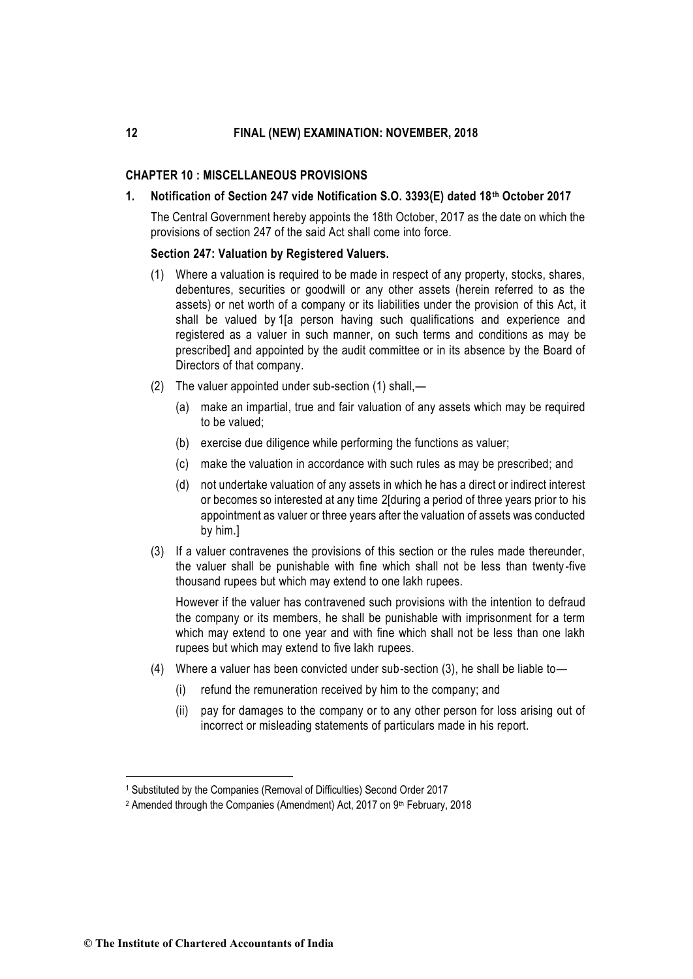### **CHAPTER 10 : MISCELLANEOUS PROVISIONS**

#### **1. Notification of Section 247 vide Notification S.O. 3393(E) dated 18th October 2017**

The Central Government hereby appoints the 18th October, 2017 as the date on which the provisions of section 247 of the said Act shall come into force.

#### **Section 247: Valuation by Registered Valuers.**

- (1) Where a valuation is required to be made in respect of any property, stocks, shares, debentures, securities or goodwill or any other assets (herein referred to as the assets) or net worth of a company or its liabilities under the provision of this Act, it shall be valued by 1[a person having such qualifications and experience and registered as a valuer in such manner, on such terms and conditions [as may be](http://ebook.mca.gov.in/Actpagedisplay.aspx?PAGENAME=28110)  [prescribed\]](http://ebook.mca.gov.in/Actpagedisplay.aspx?PAGENAME=28110) and appointed by the audit committee or in its absence by the Board of Directors of that company.
- (2) The valuer appointed under sub-section (1) shall,—
	- (a) make an impartial, true and fair valuation of any assets which may be required to be valued;
	- (b) exercise due diligence while performing the functions as valuer;
	- (c) make the valuation in accordance with such rules [as may be prescribed;](http://ebook.mca.gov.in/Actpagedisplay.aspx?PAGENAME=28112) and
	- (d) not undertake valuation of any assets in which he has a direct or indirect interest or becomes so interested at any time 2[during a period of three years prior to his appointment as valuer or three years after the valuation of assets was conducted by him.]
- (3) If a valuer contravenes the provisions of this section or the rules made thereunder, the valuer shall be punishable with fine which shall not be less than twenty -five thousand rupees but which may extend to one lakh rupees.

However if the valuer has contravened such provisions with the intention to defraud the company or its members, he shall be punishable with imprisonment for a term which may extend to one year and with fine which shall not be less than one lakh rupees but which may extend to five lakh rupees.

- (4) Where a valuer has been convicted under sub-section (3), he shall be liable to—
	- (i) refund the remuneration received by him to the company; and
	- (ii) pay for damages to the company or to any other person for loss arising out of incorrect or misleading statements of particulars made in his report.

-

<sup>1</sup> [Substituted by the Companies \(Removal of Difficulties\) Second Order 2017](http://ebook.mca.gov.in/notificationdetail.aspx?acturl=6CoJDC4uKVUR7C9Fl4rZdatyDbeJTqg3Pgb6rKVBZRsWG9n44jPhgwflb7vhiDIPD3jq7AzjzoiiPK9gVBiIj4dazyhFXgNcZ/JXEdiTWmDqFrHKrVw5gN9vP6O1CuX0ZnxDv+lKUT4=)

<sup>&</sup>lt;sup>2</sup> Amended through the Companies (Amendment) Act, 2017 on 9<sup>th</sup> February, 2018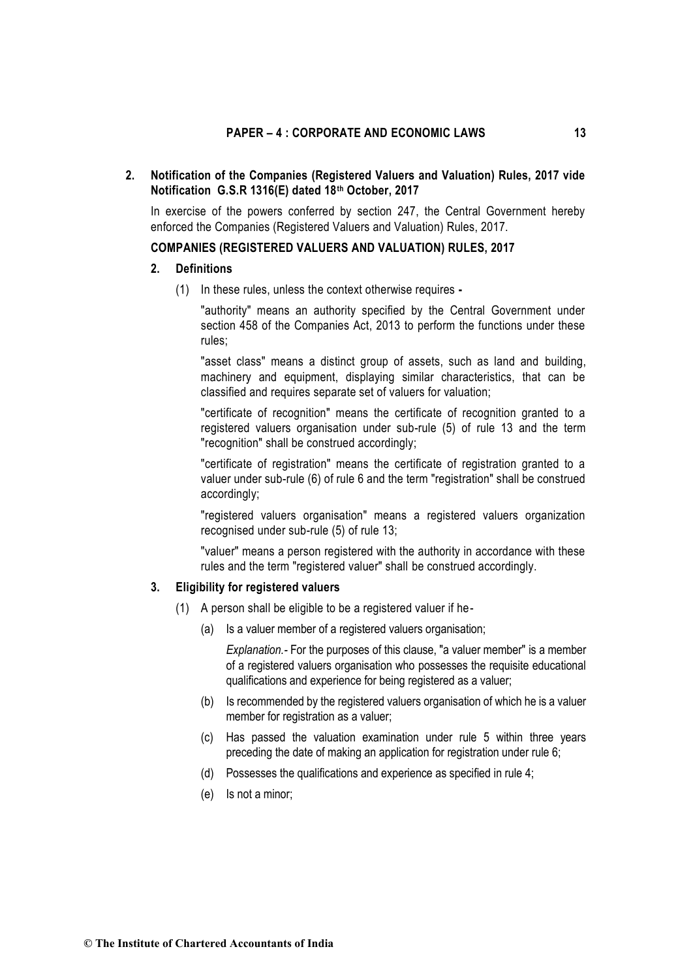# **2. Notification of the Companies (Registered Valuers and Valuation) Rules, 2017 vide Notification G.S.R 1316(E) dated 18th October, 2017**

In exercise of the powers conferred by section 247, the Central Government hereby enforced the Companies (Registered Valuers and Valuation) Rules, 2017.

# **COMPANIES (REGISTERED VALUERS AND VALUATION) RULES, 2017**

# **2. Definitions**

(1) In these rules, unless the context otherwise requires **-**

"authority" means an authority specified by the Central Government under section 458 of the Companies Act, 2013 to perform the functions under these rules;

"asset class" means a distinct group of assets, such as land and building, machinery and equipment, displaying similar characteristics, that can be classified and requires separate set of valuers for valuation;

"certificate of recognition" means the certificate of recognition granted to a registered valuers organisation under sub-rule (5) of rule 13 and the term "recognition" shall be construed accordingly;

"certificate of registration" means the certificate of registration granted to a valuer under sub-rule (6) of rule 6 and the term "registration" shall be construed accordingly;

"registered valuers organisation" means a registered valuers organization recognised under sub-rule (5) of rule 13;

"valuer" means a person registered with the authority in accordance with these rules and the term "registered valuer" shall be construed accordingly.

### **3. Eligibility for registered valuers**

- (1) A person shall be eligible to be a registered valuer if he-
	- (a) Is a valuer member of a registered valuers organisation;

*Explanation.-* For the purposes of this clause, "a valuer member" is a member of a registered valuers organisation who possesses the requisite educational qualifications and experience for being registered as a valuer;

- (b) Is recommended by the registered valuers organisation of which he is a valuer member for registration as a valuer;
- (c) Has passed the valuation examination under rule 5 within three years preceding the date of making an application for registration under rule 6;
- (d) Possesses the qualifications and experience as specified in rule 4;
- (e) Is not a minor;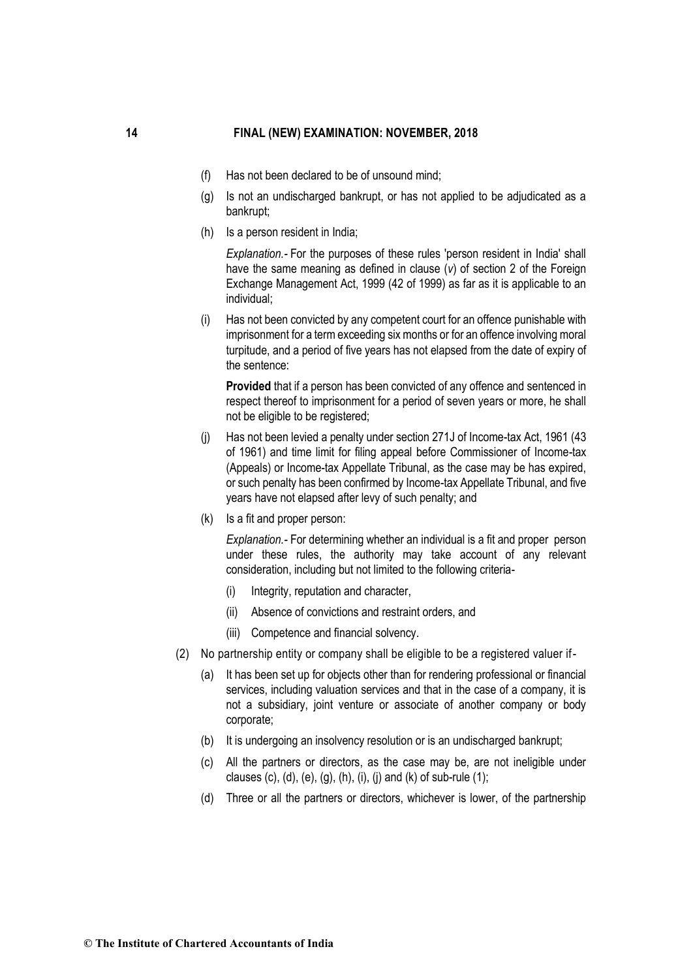- (f) Has not been declared to be of unsound mind;
- (g) Is not an undischarged bankrupt, or has not applied to be adjudicated as a bankrupt;
- (h) Is a person resident in India;

*Explanation.-* For the purposes of these rules 'person resident in India' shall have the same meaning as defined in clause (*v*) of section 2 of the Foreign Exchange Management Act, 1999 (42 of 1999) as far as it is applicable to an individual;

(i) Has not been convicted by any competent court for an offence punishable with imprisonment for a term exceeding six months or for an offence involving moral turpitude, and a period of five years has not elapsed from the date of expiry of the sentence:

**Provided** that if a person has been convicted of any offence and sentenced in respect thereof to imprisonment for a period of seven years or more, he shall not be eligible to be registered;

- (j) Has not been levied a penalty under section 271J of Income-tax Act, 1961 (43 of 1961) and time limit for filing appeal before Commissioner of Income-tax (Appeals) or Income-tax Appellate Tribunal, as the case may be has expired, or such penalty has been confirmed by Income-tax Appellate Tribunal, and five years have not elapsed after levy of such penalty; and
- (k) Is a fit and proper person:

*Explanation.-* For determining whether an individual is a fit and proper person under these rules, the authority may take account of any relevant consideration, including but not limited to the following criteria-

- (i) Integrity, reputation and character,
- (ii) Absence of convictions and restraint orders, and
- (iii) Competence and financial solvency.
- (2) No partnership entity or company shall be eligible to be a registered valuer if-
	- (a) It has been set up for objects other than for rendering professional or financial services, including valuation services and that in the case of a company, it is not a subsidiary, joint venture or associate of another company or body corporate;
	- (b) It is undergoing an insolvency resolution or is an undischarged bankrupt;
	- (c) All the partners or directors, as the case may be, are not ineligible under clauses (c), (d), (e), (g), (h), (i), (j) and (k) of sub-rule (1);
	- (d) Three or all the partners or directors, whichever is lower, of the partnership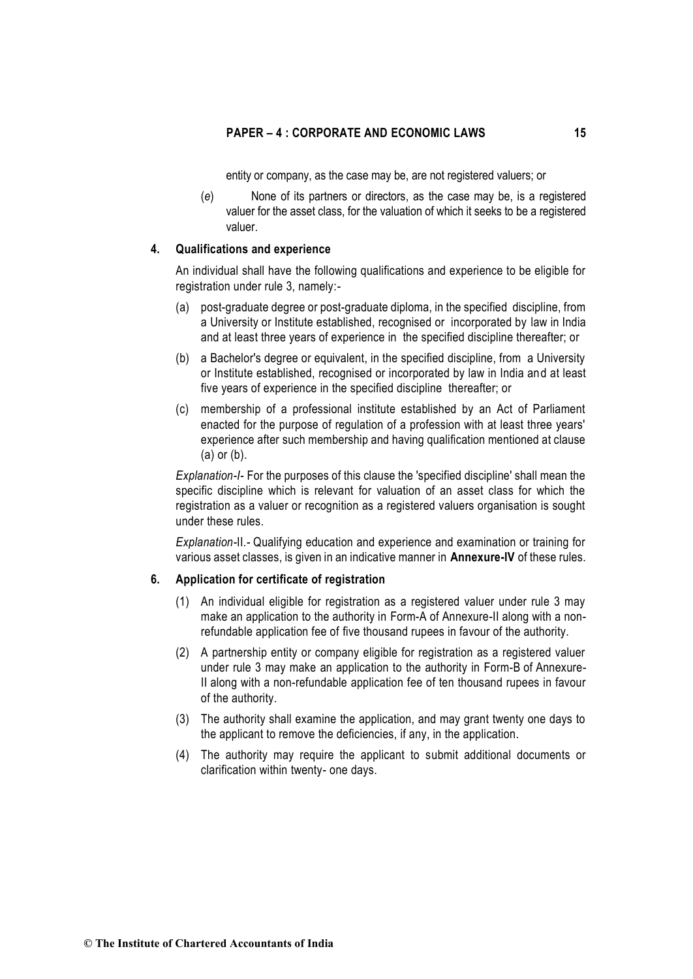entity or company, as the case may be, are not registered valuers; or

(*e*) None of its partners or directors, as the case may be, is a registered valuer for the asset class, for the valuation of which it seeks to be a registered valuer.

# **4. Qualifications and experience**

An individual shall have the following qualifications and experience to be eligible for registration under rule 3, namely:-

- (a) post-graduate degree or post-graduate diploma, in the specified discipline, from a University or Institute established, recognised or incorporated by law in India and at least three years of experience in the specified discipline thereafter; or
- (b) a Bachelor's degree or equivalent, in the specified discipline, from a University or Institute established, recognised or incorporated by law in India and at least five years of experience in the specified discipline thereafter; or
- (c) membership of a professional institute established by an Act of Parliament enacted for the purpose of regulation of a profession with at least three years' experience after such membership and having qualification mentioned at clause (a) or (b).

*Explanation-I-* For the purposes of this clause the 'specified discipline' shall mean the specific discipline which is relevant for valuation of an asset class for which the registration as a valuer or recognition as a registered valuers organisation is sought under these rules.

*Explanation-*II*.-* Qualifying education and experience and examination or training for various asset classes, is given in an indicative manner in **Annexure-IV** of these rules.

# **6. Application for certificate of registration**

- (1) An individual eligible for registration as a registered valuer under rule 3 may make an application to the authority in Form-A of Annexure-II along with a nonrefundable application fee of five thousand rupees in favour of the authority.
- (2) A partnership entity or company eligible for registration as a registered valuer under rule 3 may make an application to the authority in Form-B of Annexure-II along with a non-refundable application fee of ten thousand rupees in favour of the authority.
- (3) The authority shall examine the application, and may grant twenty one days to the applicant to remove the deficiencies, if any, in the application.
- (4) The authority may require the applicant to submit additional documents or clarification within twenty- one days.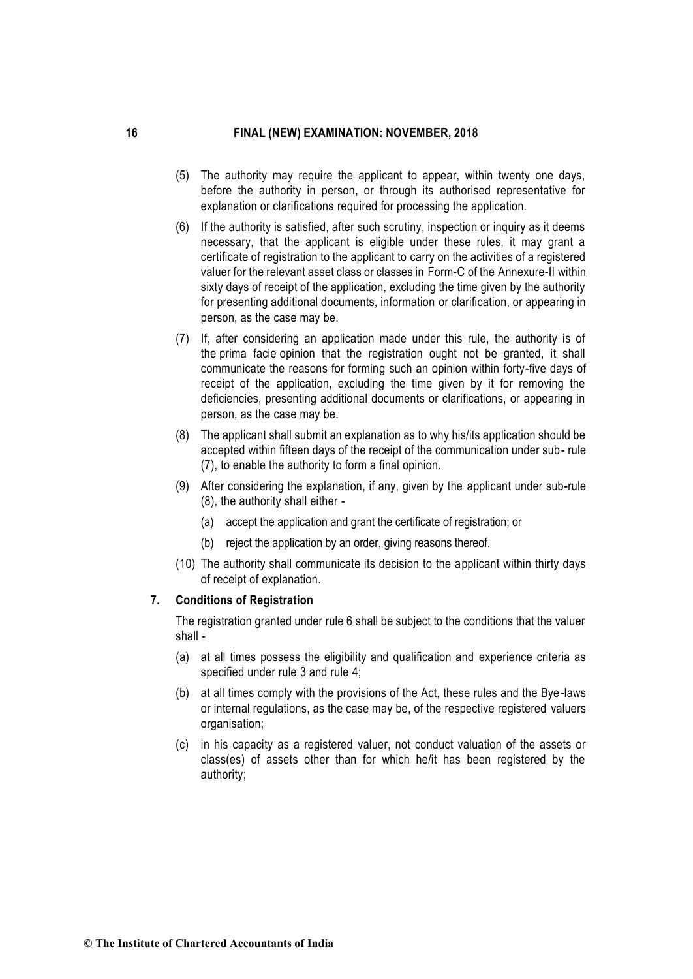- (5) The authority may require the applicant to appear, within twenty one days, before the authority in person, or through its authorised representative for explanation or clarifications required for processing the application.
- (6) If the authority is satisfied, after such scrutiny, inspection or inquiry as it deems necessary, that the applicant is eligible under these rules, it may grant a certificate of registration to the applicant to carry on the activities of a registered valuer for the relevant asset class or classes in Form-C of the Annexure-II within sixty days of receipt of the application, excluding the time given by the authority for presenting additional documents, information or clarification, or appearing in person, as the case may be.
- (7) If, after considering an application made under this rule, the authority is of the prima facie opinion that the registration ought not be granted, it shall communicate the reasons for forming such an opinion within forty-five days of receipt of the application, excluding the time given by it for removing the deficiencies, presenting additional documents or clarifications, or appearing in person, as the case may be.
- (8) The applicant shall submit an explanation as to why his/its application should be accepted within fifteen days of the receipt of the communication under sub- rule (7), to enable the authority to form a final opinion.
- (9) After considering the explanation, if any, given by the applicant under sub-rule (8), the authority shall either -
	- (a) accept the application and grant the certificate of registration; or
	- (b) reject the application by an order, giving reasons thereof.
- (10) The authority shall communicate its decision to the applicant within thirty days of receipt of explanation.

#### **7. Conditions of Registration**

The registration granted under rule 6 shall be subject to the conditions that the valuer shall -

- (a) at all times possess the eligibility and qualification and experience criteria as specified under rule 3 and rule 4;
- (b) at all times comply with the provisions of the Act, these rules and the Bye-laws or internal regulations, as the case may be, of the respective registered valuers organisation;
- (c) in his capacity as a registered valuer, not conduct valuation of the assets or class(es) of assets other than for which he/it has been registered by the authority;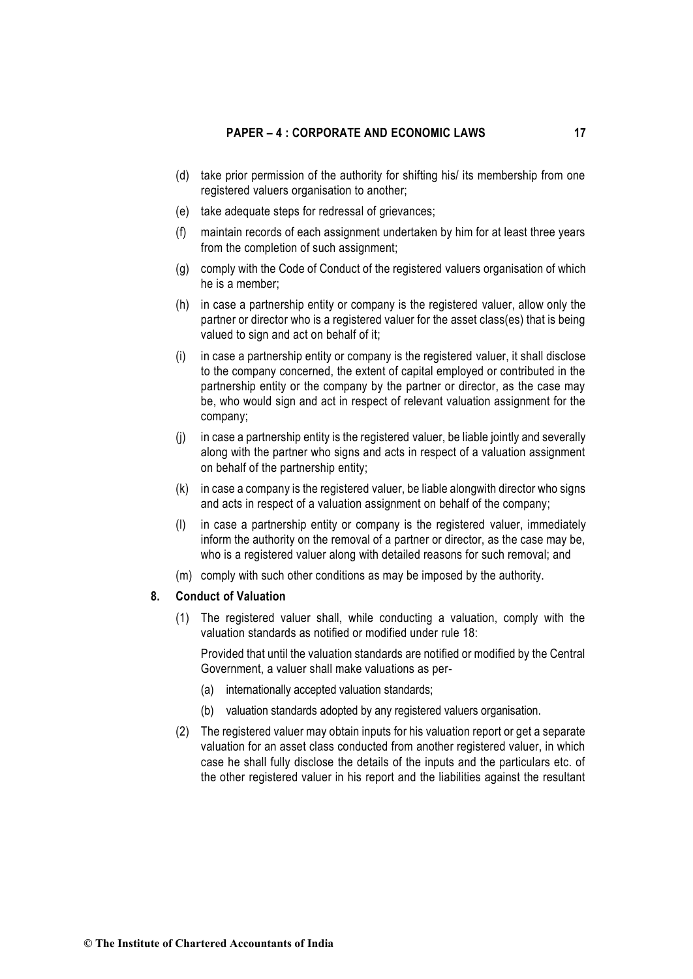- (d) take prior permission of the authority for shifting his/ its membership from one registered valuers organisation to another;
- (e) take adequate steps for redressal of grievances;
- (f) maintain records of each assignment undertaken by him for at least three years from the completion of such assignment;
- (g) comply with the Code of Conduct of the registered valuers organisation of which he is a member;
- (h) in case a partnership entity or company is the registered valuer, allow only the partner or director who is a registered valuer for the asset class(es) that is being valued to sign and act on behalf of it;
- (i) in case a partnership entity or company is the registered valuer, it shall disclose to the company concerned, the extent of capital employed or contributed in the partnership entity or the company by the partner or director, as the case may be, who would sign and act in respect of relevant valuation assignment for the company;
- (j) in case a partnership entity is the registered valuer, be liable jointly and severally along with the partner who signs and acts in respect of a valuation assignment on behalf of the partnership entity;
- (k) in case a company is the registered valuer, be liable alongwith director who signs and acts in respect of a valuation assignment on behalf of the company;
- (l) in case a partnership entity or company is the registered valuer, immediately inform the authority on the removal of a partner or director, as the case may be, who is a registered valuer along with detailed reasons for such removal; and
- (m) comply with such other conditions as may be imposed by the authority.

#### **8. Conduct of Valuation**

(1) The registered valuer shall, while conducting a valuation, comply with the valuation standards as notified or modified under rule 18:

Provided that until the valuation standards are notified or modified by the Central Government, a valuer shall make valuations as per-

- (a) internationally accepted valuation standards;
- (b) valuation standards adopted by any registered valuers organisation.
- (2) The registered valuer may obtain inputs for his valuation report or get a separate valuation for an asset class conducted from another registered valuer, in which case he shall fully disclose the details of the inputs and the particulars etc. of the other registered valuer in his report and the liabilities against the resultant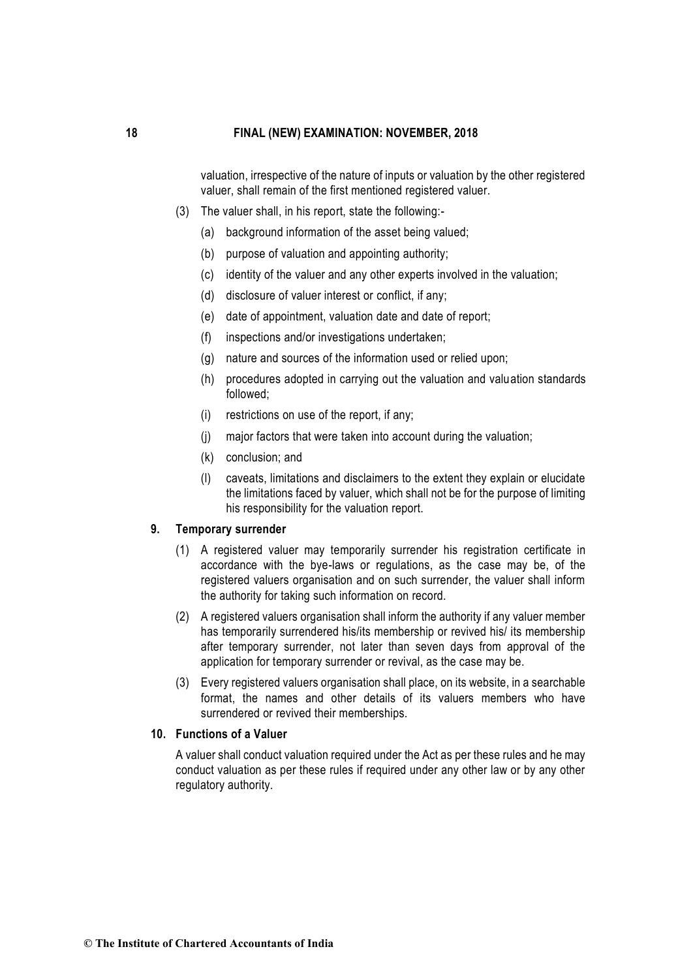valuation, irrespective of the nature of inputs or valuation by the other registered valuer, shall remain of the first mentioned registered valuer.

- (3) The valuer shall, in his report, state the following:-
	- (a) background information of the asset being valued;
	- (b) purpose of valuation and appointing authority;
	- (c) identity of the valuer and any other experts involved in the valuation;
	- (d) disclosure of valuer interest or conflict, if any;
	- (e) date of appointment, valuation date and date of report;
	- (f) inspections and/or investigations undertaken;
	- (g) nature and sources of the information used or relied upon;
	- (h) procedures adopted in carrying out the valuation and valuation standards followed;
	- (i) restrictions on use of the report, if any;
	- (j) major factors that were taken into account during the valuation;
	- (k) conclusion; and
	- (l) caveats, limitations and disclaimers to the extent they explain or elucidate the limitations faced by valuer, which shall not be for the purpose of limiting his responsibility for the valuation report.

### **9. Temporary surrender**

- (1) A registered valuer may temporarily surrender his registration certificate in accordance with the bye-laws or regulations, as the case may be, of the registered valuers organisation and on such surrender, the valuer shall inform the authority for taking such information on record.
- (2) A registered valuers organisation shall inform the authority if any valuer member has temporarily surrendered his/its membership or revived his/ its membership after temporary surrender, not later than seven days from approval of the application for temporary surrender or revival, as the case may be.
- (3) Every registered valuers organisation shall place, on its website, in a searchable format, the names and other details of its valuers members who have surrendered or revived their memberships.

### **10. Functions of a Valuer**

A valuer shall conduct valuation required under the Act as per these rules and he may conduct valuation as per these rules if required under any other law or by any other regulatory authority.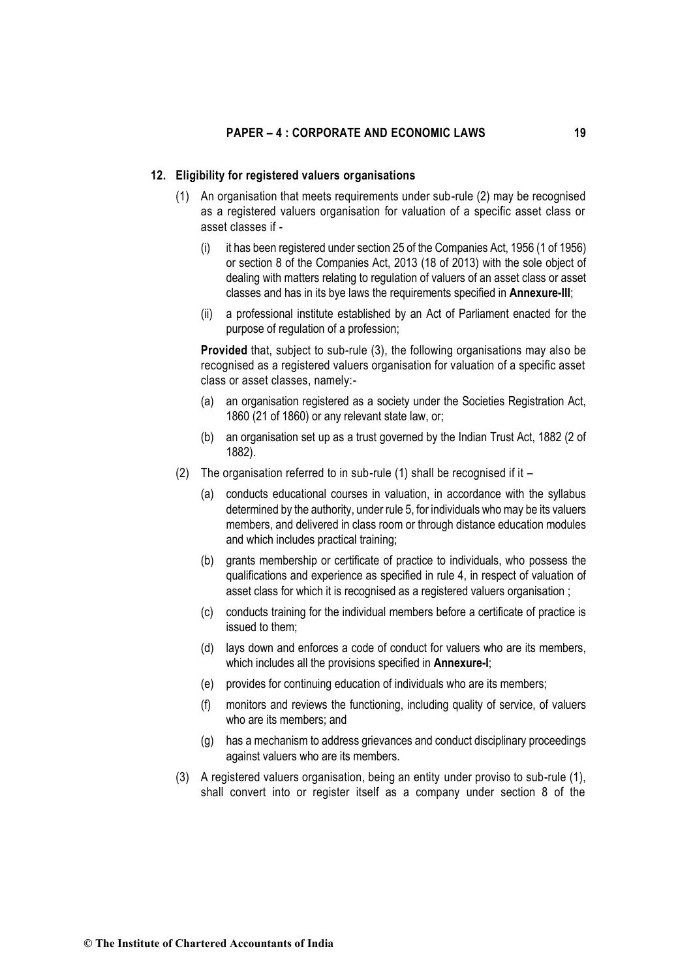### **12. Eligibility for registered valuers organisations**

- (1) An organisation that meets requirements under sub-rule (2) may be recognised as a registered valuers organisation for valuation of a specific asset class or asset classes if -
	- (i) it has been registered under section 25 of the Companies Act, 1956 (1 of 1956) or section 8 of the Companies Act, 2013 (18 of 2013) with the sole object of dealing with matters relating to regulation of valuers of an asset class or asset classes and has in its bye laws the requirements specified in **Annexure-III**;
	- (ii) a professional institute established by an Act of Parliament enacted for the purpose of regulation of a profession;

**Provided** that, subject to sub-rule (3), the following organisations may also be recognised as a registered valuers organisation for valuation of a specific asset class or asset classes, namely:-

- (a) an organisation registered as a society under the Societies Registration Act, 1860 (21 of 1860) or any relevant state law, or;
- (b) an organisation set up as a trust governed by the Indian Trust Act, 1882 (2 of 1882).
- (2) The organisation referred to in sub-rule (1) shall be recognised if it
	- (a) conducts educational courses in valuation, in accordance with the syllabus determined by the authority, under rule 5, for individuals who may be its valuers members, and delivered in class room or through distance education modules and which includes practical training;
	- (b) grants membership or certificate of practice to individuals, who possess the qualifications and experience as specified in rule 4, in respect of valuation of asset class for which it is recognised as a registered valuers organisation ;
	- (c) conducts training for the individual members before a certificate of practice is issued to them;
	- (d) lays down and enforces a code of conduct for valuers who are its members, which includes all the provisions specified in **Annexure-I**;
	- (e) provides for continuing education of individuals who are its members;
	- (f) monitors and reviews the functioning, including quality of service, of valuers who are its members; and
	- (g) has a mechanism to address grievances and conduct disciplinary proceedings against valuers who are its members.
- (3) A registered valuers organisation, being an entity under proviso to sub-rule (1), shall convert into or register itself as a company under section 8 of the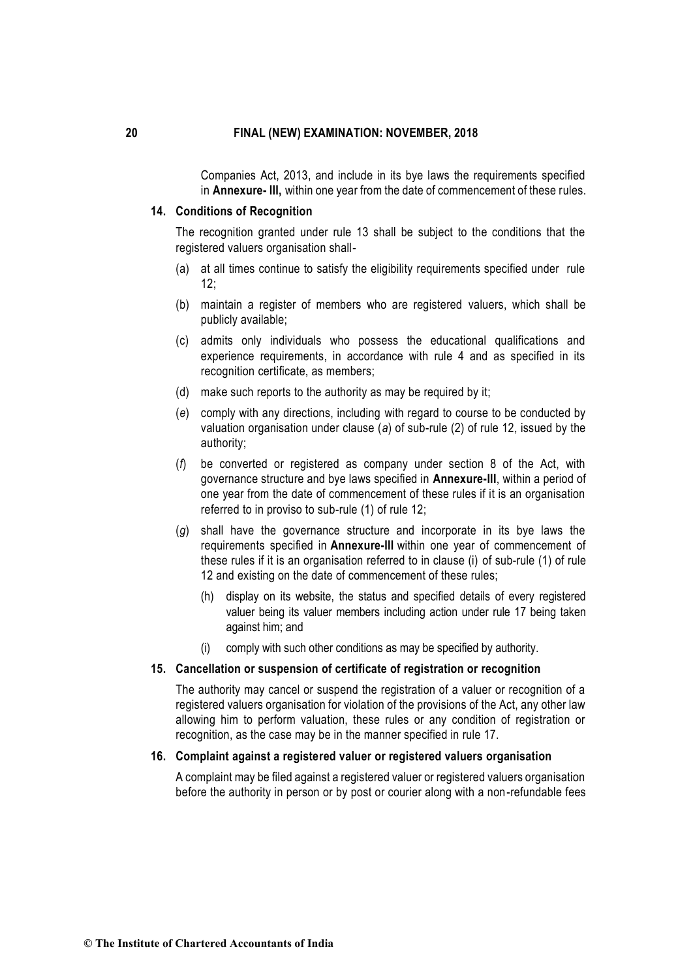Companies Act, 2013, and include in its bye laws the requirements specified in **Annexure- III,** within one year from the date of commencement of these rules.

### **14. Conditions of Recognition**

The recognition granted under rule 13 shall be subject to the conditions that the registered valuers organisation shall-

- (a) at all times continue to satisfy the eligibility requirements specified under rule  $12:$
- (b) maintain a register of members who are registered valuers, which shall be publicly available;
- (c) admits only individuals who possess the educational qualifications and experience requirements, in accordance with rule 4 and as specified in its recognition certificate, as members;
- (d) make such reports to the authority as may be required by it;
- (*e*) comply with any directions, including with regard to course to be conducted by valuation organisation under clause (*a*) of sub-rule (2) of rule 12, issued by the authority;
- (*f*) be converted or registered as company under section 8 of the Act, with governance structure and bye laws specified in **Annexure-III**, within a period of one year from the date of commencement of these rules if it is an organisation referred to in proviso to sub-rule (1) of rule 12;
- (*g*) shall have the governance structure and incorporate in its bye laws the requirements specified in **Annexure-III** within one year of commencement of these rules if it is an organisation referred to in clause (i) of sub-rule (1) of rule 12 and existing on the date of commencement of these rules;
	- (h) display on its website, the status and specified details of every registered valuer being its valuer members including action under rule 17 being taken against him; and
	- (i) comply with such other conditions as may be specified by authority.

# **15. Cancellation or suspension of certificate of registration or recognition**

The authority may cancel or suspend the registration of a valuer or recognition of a registered valuers organisation for violation of the provisions of the Act, any other law allowing him to perform valuation, these rules or any condition of registration or recognition, as the case may be in the manner specified in rule 17.

### **16. Complaint against a registered valuer or registered valuers organisation**

A complaint may be filed against a registered valuer or registered valuers organisation before the authority in person or by post or courier along with a non-refundable fees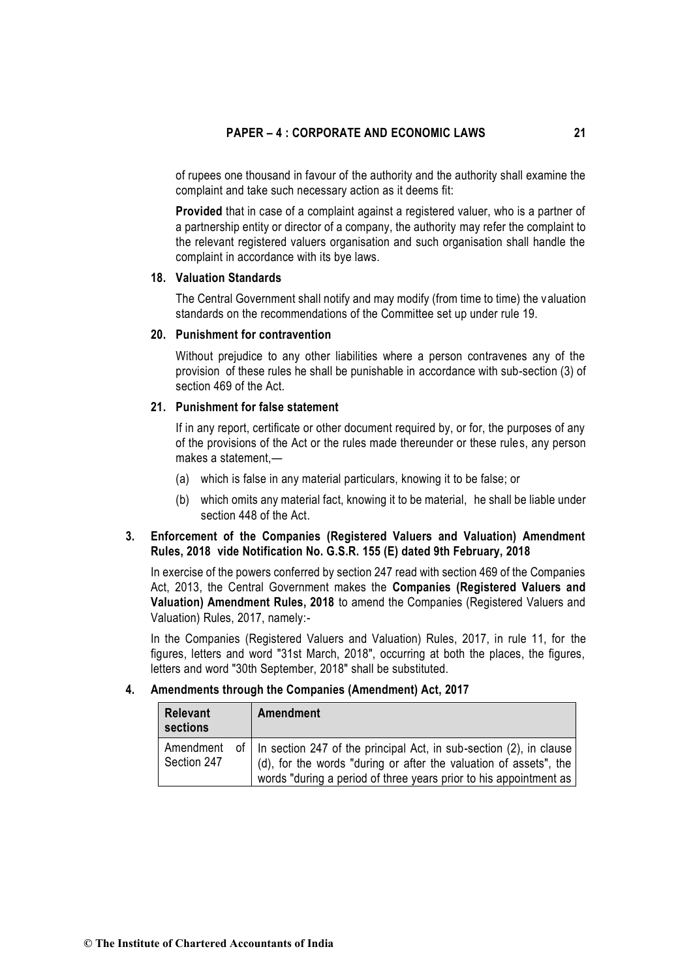of rupees one thousand in favour of the authority and the authority shall examine the complaint and take such necessary action as it deems fit:

**Provided** that in case of a complaint against a registered valuer, who is a partner of a partnership entity or director of a company, the authority may refer the complaint to the relevant registered valuers organisation and such organisation shall handle the complaint in accordance with its bye laws.

### **18. Valuation Standards**

The Central Government shall notify and may modify (from time to time) the valuation standards on the recommendations of the Committee set up under rule 19.

#### **20. Punishment for contravention**

Without prejudice to any other liabilities where a person contravenes any of the provision of these rules he shall be punishable in accordance with sub-section (3) of section 469 of the Act.

# **21. Punishment for false statement**

If in any report, certificate or other document required by, or for, the purposes of any of the provisions of the Act or the rules made thereunder or these rules, any person makes a statement,—

- (a) which is false in any material particulars, knowing it to be false; or
- (b) which omits any material fact, knowing it to be material, he shall be liable under section 448 of the Act.

# **3. Enforcement of the Companies (Registered Valuers and Valuation) Amendment Rules, 2018 vide Notification No. G.S.R. 155 (E) dated 9th February, 2018**

In exercise of the powers conferred by section 247 read with section 469 of the Companies Act, 2013, the Central Government makes the **Companies (Registered Valuers and Valuation) Amendment Rules, 2018** to amend the Companies (Registered Valuers and Valuation) Rules, 2017, namely:-

In the Companies (Registered Valuers and Valuation) Rules, 2017, in rule 11, for the figures, letters and word "31st March, 2018", occurring at both the places, the figures, letters and word "30th September, 2018" shall be substituted.

# **4. Amendments through the Companies (Amendment) Act, 2017**

| <b>Relevant</b><br>sections | Amendment                                                                                                                                                                                                         |
|-----------------------------|-------------------------------------------------------------------------------------------------------------------------------------------------------------------------------------------------------------------|
| Amendment<br>Section 247    | of   In section 247 of the principal Act, in sub-section (2), in clause<br>(d), for the words "during or after the valuation of assets", the<br>words "during a period of three years prior to his appointment as |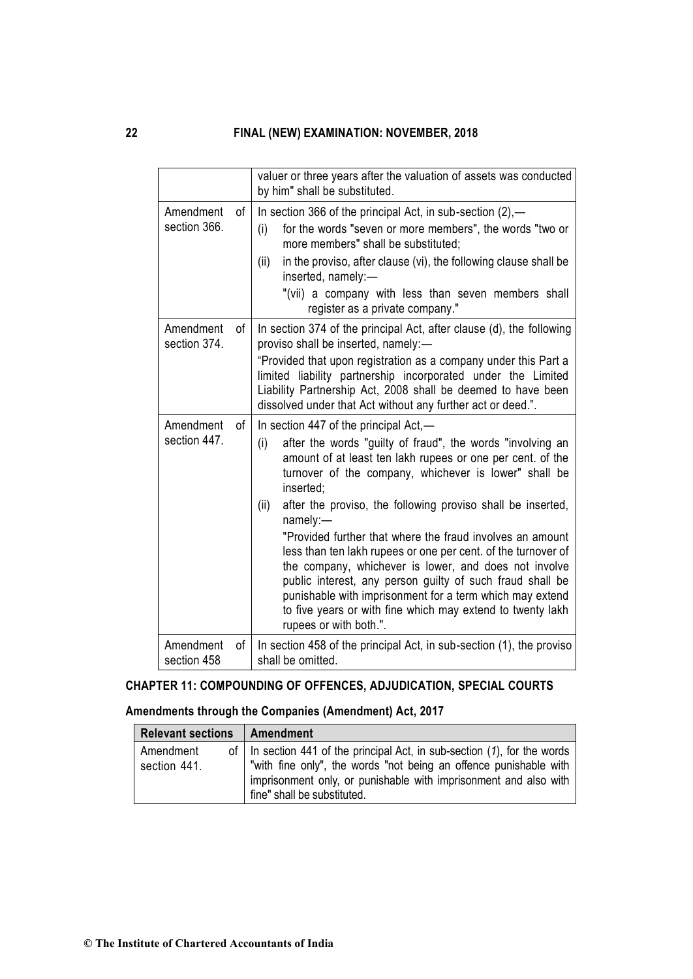|                           |    | valuer or three years after the valuation of assets was conducted<br>by him" shall be substituted.                                                                                                                                                                                                                                                                                                                                                                                                                                                                                                                                                                                                                                        |
|---------------------------|----|-------------------------------------------------------------------------------------------------------------------------------------------------------------------------------------------------------------------------------------------------------------------------------------------------------------------------------------------------------------------------------------------------------------------------------------------------------------------------------------------------------------------------------------------------------------------------------------------------------------------------------------------------------------------------------------------------------------------------------------------|
| Amendment<br>section 366. | οf | In section 366 of the principal Act, in sub-section $(2)$ ,—<br>for the words "seven or more members", the words "two or<br>(i)<br>more members" shall be substituted;<br>in the proviso, after clause (vi), the following clause shall be<br>(ii)<br>inserted, namely:-<br>"(vii) a company with less than seven members shall<br>register as a private company."                                                                                                                                                                                                                                                                                                                                                                        |
| Amendment<br>section 374. | οf | In section 374 of the principal Act, after clause (d), the following<br>proviso shall be inserted, namely:-<br>"Provided that upon registration as a company under this Part a<br>limited liability partnership incorporated under the Limited<br>Liability Partnership Act, 2008 shall be deemed to have been<br>dissolved under that Act without any further act or deed.".                                                                                                                                                                                                                                                                                                                                                             |
| Amendment<br>section 447. | оf | In section 447 of the principal Act,—<br>(i)<br>after the words "guilty of fraud", the words "involving an<br>amount of at least ten lakh rupees or one per cent. of the<br>turnover of the company, whichever is lower" shall be<br>inserted;<br>after the proviso, the following proviso shall be inserted,<br>(ii)<br>namely:-<br>"Provided further that where the fraud involves an amount<br>less than ten lakh rupees or one per cent. of the turnover of<br>the company, whichever is lower, and does not involve<br>public interest, any person guilty of such fraud shall be<br>punishable with imprisonment for a term which may extend<br>to five years or with fine which may extend to twenty lakh<br>rupees or with both.". |
| Amendment<br>section 458  | οf | In section 458 of the principal Act, in sub-section (1), the proviso<br>shall be omitted.                                                                                                                                                                                                                                                                                                                                                                                                                                                                                                                                                                                                                                                 |

# **CHAPTER 11: COMPOUNDING OF OFFENCES, ADJUDICATION, SPECIAL COURTS**

# **Amendments through the Companies (Amendment) Act, 2017**

| <b>Relevant sections</b>  | Amendment                                                                                                                                                                                                                                                 |
|---------------------------|-----------------------------------------------------------------------------------------------------------------------------------------------------------------------------------------------------------------------------------------------------------|
| Amendment<br>section 441. | of $\vert$ In section 441 of the principal Act, in sub-section (1), for the words<br>"with fine only", the words "not being an offence punishable with<br>imprisonment only, or punishable with imprisonment and also with<br>fine" shall be substituted. |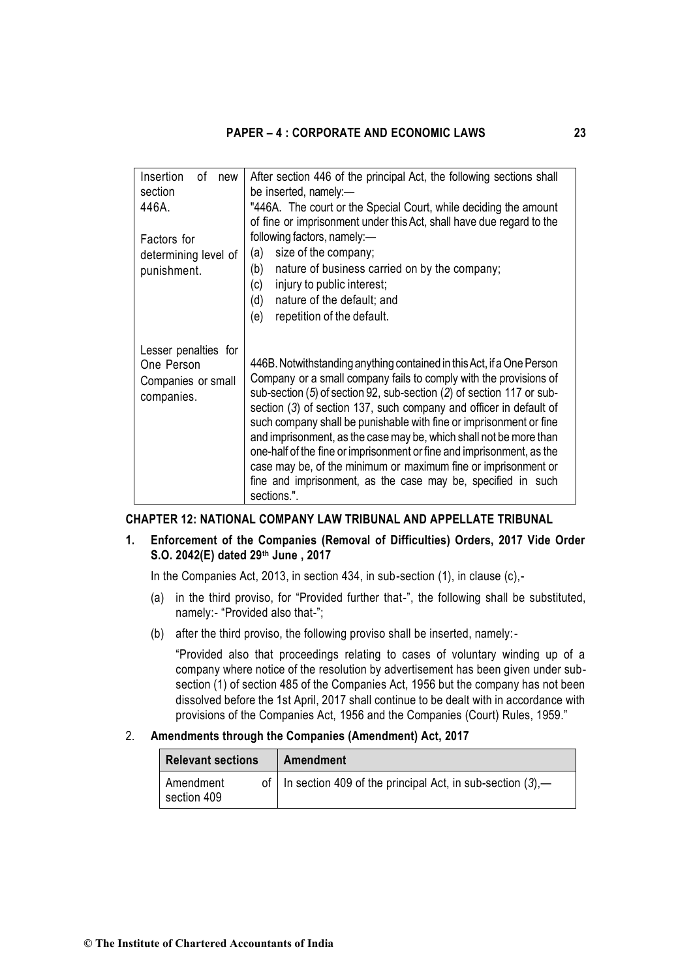| Insertion<br>οf<br>new<br>section<br>446A.                             | After section 446 of the principal Act, the following sections shall<br>be inserted, namely:-<br>"446A. The court or the Special Court, while deciding the amount<br>of fine or imprisonment under this Act, shall have due regard to the                                                                                                                                                                                                                                                                                                                                                                                                                       |
|------------------------------------------------------------------------|-----------------------------------------------------------------------------------------------------------------------------------------------------------------------------------------------------------------------------------------------------------------------------------------------------------------------------------------------------------------------------------------------------------------------------------------------------------------------------------------------------------------------------------------------------------------------------------------------------------------------------------------------------------------|
| Factors for                                                            | following factors, namely:-                                                                                                                                                                                                                                                                                                                                                                                                                                                                                                                                                                                                                                     |
| determining level of                                                   | size of the company;<br>(a)                                                                                                                                                                                                                                                                                                                                                                                                                                                                                                                                                                                                                                     |
| punishment.                                                            | nature of business carried on by the company;<br>(b)<br>injury to public interest;<br>(c)                                                                                                                                                                                                                                                                                                                                                                                                                                                                                                                                                                       |
|                                                                        | (d)<br>nature of the default; and                                                                                                                                                                                                                                                                                                                                                                                                                                                                                                                                                                                                                               |
|                                                                        | repetition of the default.<br>(e)                                                                                                                                                                                                                                                                                                                                                                                                                                                                                                                                                                                                                               |
| Lesser penalties for<br>One Person<br>Companies or small<br>companies. | 446B. Notwithstanding anything contained in this Act, if a One Person<br>Company or a small company fails to comply with the provisions of<br>sub-section (5) of section 92, sub-section (2) of section 117 or sub-<br>section (3) of section 137, such company and officer in default of<br>such company shall be punishable with fine or imprisonment or fine<br>and imprisonment, as the case may be, which shall not be more than<br>one-half of the fine or imprisonment or fine and imprisonment, as the<br>case may be, of the minimum or maximum fine or imprisonment or<br>fine and imprisonment, as the case may be, specified in such<br>sections.". |

#### **CHAPTER 12: NATIONAL COMPANY LAW TRIBUNAL AND APPELLATE TRIBUNAL**

# **1. Enforcement of the Companies (Removal of Difficulties) Orders, 2017 Vide Order S.O. 2042(E) dated 29th June , 2017**

In the Companies Act, 2013, in section 434, in sub-section (1), in clause (c),-

- (a) in the third proviso, for "Provided further that-", the following shall be substituted, namely:- "Provided also that-";
- (b) after the third proviso, the following proviso shall be inserted, namely:-

"Provided also that proceedings relating to cases of voluntary winding up of a company where notice of the resolution by advertisement has been given under subsection (1) of section 485 of the Companies Act, 1956 but the company has not been dissolved before the 1st April, 2017 shall continue to be dealt with in accordance with provisions of the Companies Act, 1956 and the Companies (Court) Rules, 1959."

### 2. **Amendments through the Companies (Amendment) Act, 2017**

| <b>Relevant sections</b> | Amendment                                                         |
|--------------------------|-------------------------------------------------------------------|
| Amendment<br>section 409 | of   In section 409 of the principal Act, in sub-section $(3)$ ,— |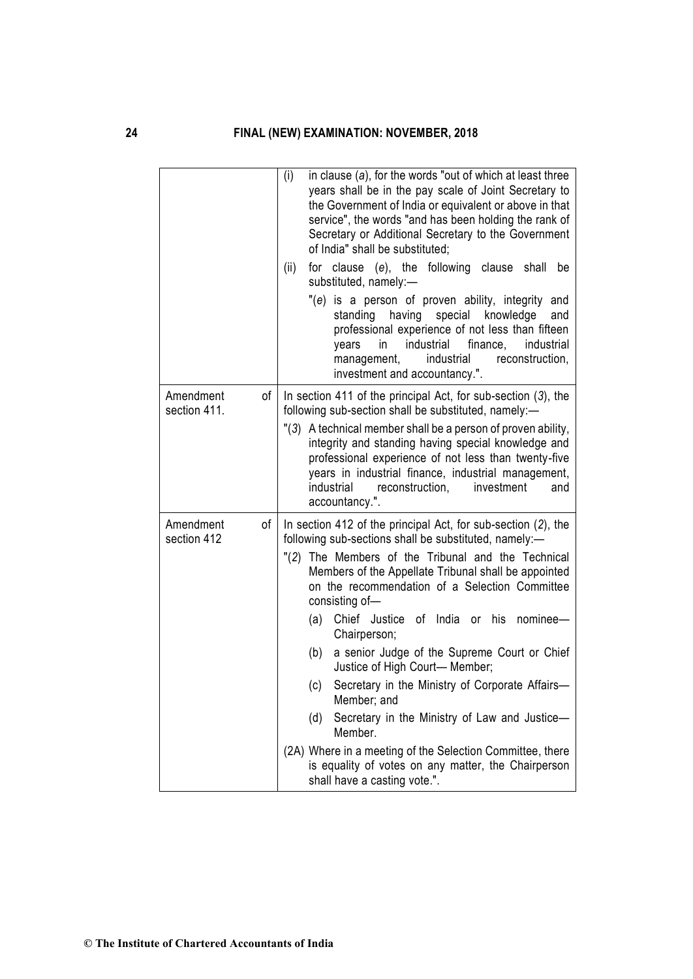|                           |    | (i)<br>in clause $(a)$ , for the words "out of which at least three<br>years shall be in the pay scale of Joint Secretary to<br>the Government of India or equivalent or above in that<br>service", the words "and has been holding the rank of<br>Secretary or Additional Secretary to the Government<br>of India" shall be substituted: |
|---------------------------|----|-------------------------------------------------------------------------------------------------------------------------------------------------------------------------------------------------------------------------------------------------------------------------------------------------------------------------------------------|
|                           |    | (ii)<br>for clause (e), the following clause<br>shall be<br>substituted, namely:-                                                                                                                                                                                                                                                         |
|                           |    | "(e) is a person of proven ability, integrity and<br>standing having special knowledge<br>and<br>professional experience of not less than fifteen<br>industrial<br>finance,<br>industrial<br>in<br>years<br>industrial<br>management,<br>reconstruction,<br>investment and accountancy.".                                                 |
| Amendment<br>section 411. | οf | In section 411 of the principal Act, for sub-section $(3)$ , the<br>following sub-section shall be substituted, namely:-                                                                                                                                                                                                                  |
|                           |    | "(3) A technical member shall be a person of proven ability,<br>integrity and standing having special knowledge and<br>professional experience of not less than twenty-five<br>years in industrial finance, industrial management,<br>industrial<br>reconstruction,<br>investment<br>and<br>accountancy.".                                |
| Amendment<br>section 412  | οf | In section 412 of the principal Act, for sub-section (2), the<br>following sub-sections shall be substituted, namely:-                                                                                                                                                                                                                    |
|                           |    | "(2) The Members of the Tribunal and the Technical<br>Members of the Appellate Tribunal shall be appointed<br>on the recommendation of a Selection Committee<br>consisting of-                                                                                                                                                            |
|                           |    | Chief Justice of India or his<br>nominee-<br>(a)<br>Chairperson;                                                                                                                                                                                                                                                                          |
|                           |    | a senior Judge of the Supreme Court or Chief<br>(b)<br>Justice of High Court- Member;                                                                                                                                                                                                                                                     |
|                           |    | Secretary in the Ministry of Corporate Affairs-<br>(c)<br>Member; and                                                                                                                                                                                                                                                                     |
|                           |    | Secretary in the Ministry of Law and Justice-<br>(d)<br>Member.                                                                                                                                                                                                                                                                           |
|                           |    | (2A) Where in a meeting of the Selection Committee, there<br>is equality of votes on any matter, the Chairperson<br>shall have a casting vote.".                                                                                                                                                                                          |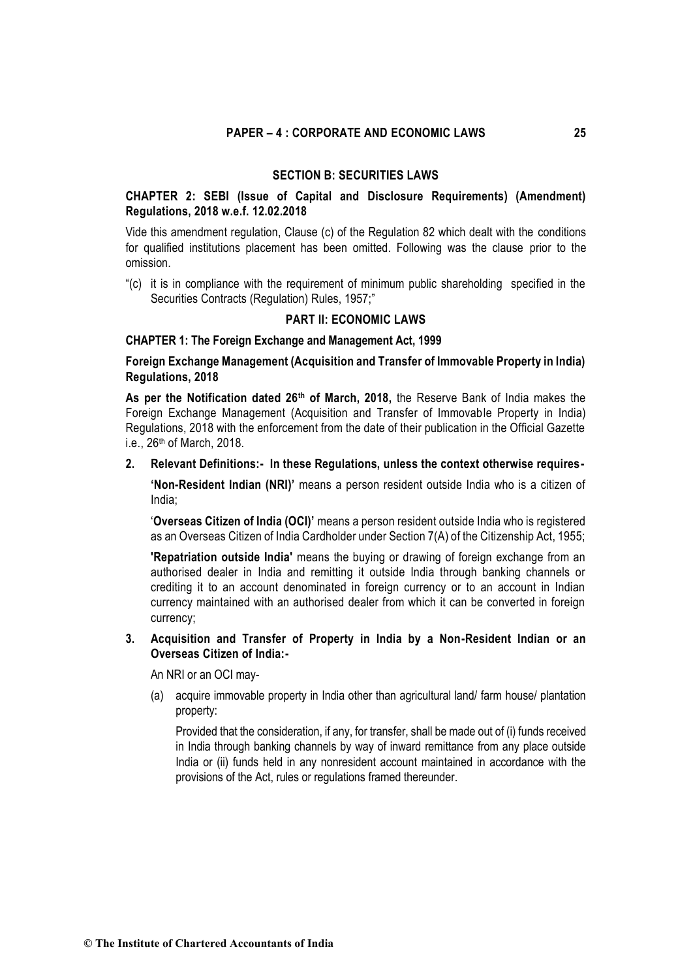### **SECTION B: SECURITIES LAWS**

# **CHAPTER 2: SEBI (Issue of Capital and Disclosure Requirements) (Amendment) Regulations, 2018 w.e.f. 12.02.2018**

Vide this amendment regulation, Clause (c) of the Regulation 82 which dealt with the conditions for qualified institutions placement has been omitted. Following was the clause prior to the omission.

"(c) it is in compliance with the requirement of minimum public shareholding specified in the Securities Contracts (Regulation) Rules, 1957;"

### **PART II: ECONOMIC LAWS**

### **CHAPTER 1: The Foreign Exchange and Management Act, 1999**

**Foreign Exchange Management (Acquisition and Transfer of Immovable Property in India) Regulations, 2018** 

**As per the Notification dated 26th of March, 2018,** the Reserve Bank of India makes the Foreign Exchange Management (Acquisition and Transfer of Immovable Property in India) Regulations, 2018 with the enforcement from the date of their publication in the Official Gazette i.e., 26th of March, 2018.

### **2. Relevant Definitions:- In these Regulations, unless the context otherwise requires-**

**'Non-Resident Indian (NRI)'** means a person resident outside India who is a citizen of India;

'**Overseas Citizen of India (OCI)'** means a person resident outside India who is registered as an Overseas Citizen of India Cardholder under Section 7(A) of the Citizenship Act, 1955;

**'Repatriation outside India'** means the buying or drawing of foreign exchange from an authorised dealer in India and remitting it outside India through banking channels or crediting it to an account denominated in foreign currency or to an account in Indian currency maintained with an authorised dealer from which it can be converted in foreign currency;

### **3. Acquisition and Transfer of Property in India by a Non-Resident Indian or an Overseas Citizen of India:-**

An NRI or an OCI may-

(a) acquire immovable property in India other than agricultural land/ farm house/ plantation property:

Provided that the consideration, if any, for transfer, shall be made out of (i) funds received in India through banking channels by way of inward remittance from any place outside India or (ii) funds held in any nonresident account maintained in accordance with the provisions of the Act, rules or regulations framed thereunder.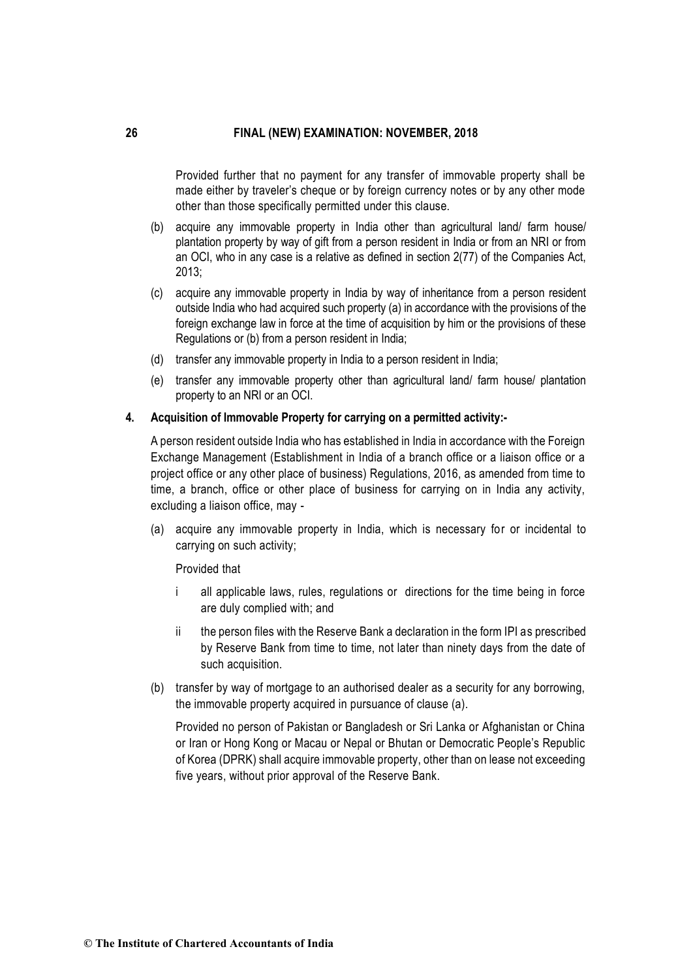Provided further that no payment for any transfer of immovable property shall be made either by traveler's cheque or by foreign currency notes or by any other mode other than those specifically permitted under this clause.

- (b) acquire any immovable property in India other than agricultural land/ farm house/ plantation property by way of gift from a person resident in India or from an NRI or from an OCI, who in any case is a relative as defined in section 2(77) of the Companies Act, 2013;
- (c) acquire any immovable property in India by way of inheritance from a person resident outside India who had acquired such property (a) in accordance with the provisions of the foreign exchange law in force at the time of acquisition by him or the provisions of these Regulations or (b) from a person resident in India;
- (d) transfer any immovable property in India to a person resident in India;
- (e) transfer any immovable property other than agricultural land/ farm house/ plantation property to an NRI or an OCI.

#### **4. Acquisition of Immovable Property for carrying on a permitted activity:-**

A person resident outside India who has established in India in accordance with the Foreign Exchange Management (Establishment in India of a branch office or a liaison office or a project office or any other place of business) Regulations, 2016, as amended from time to time, a branch, office or other place of business for carrying on in India any activity, excluding a liaison office, may -

(a) acquire any immovable property in India, which is necessary for or incidental to carrying on such activity;

Provided that

- i all applicable laws, rules, regulations or directions for the time being in force are duly complied with; and
- ii the person files with the Reserve Bank a declaration in the form IPI as prescribed by Reserve Bank from time to time, not later than ninety days from the date of such acquisition.
- (b) transfer by way of mortgage to an authorised dealer as a security for any borrowing, the immovable property acquired in pursuance of clause (a).

Provided no person of Pakistan or Bangladesh or Sri Lanka or Afghanistan or China or Iran or Hong Kong or Macau or Nepal or Bhutan or Democratic People's Republic of Korea (DPRK) shall acquire immovable property, other than on lease not exceeding five years, without prior approval of the Reserve Bank.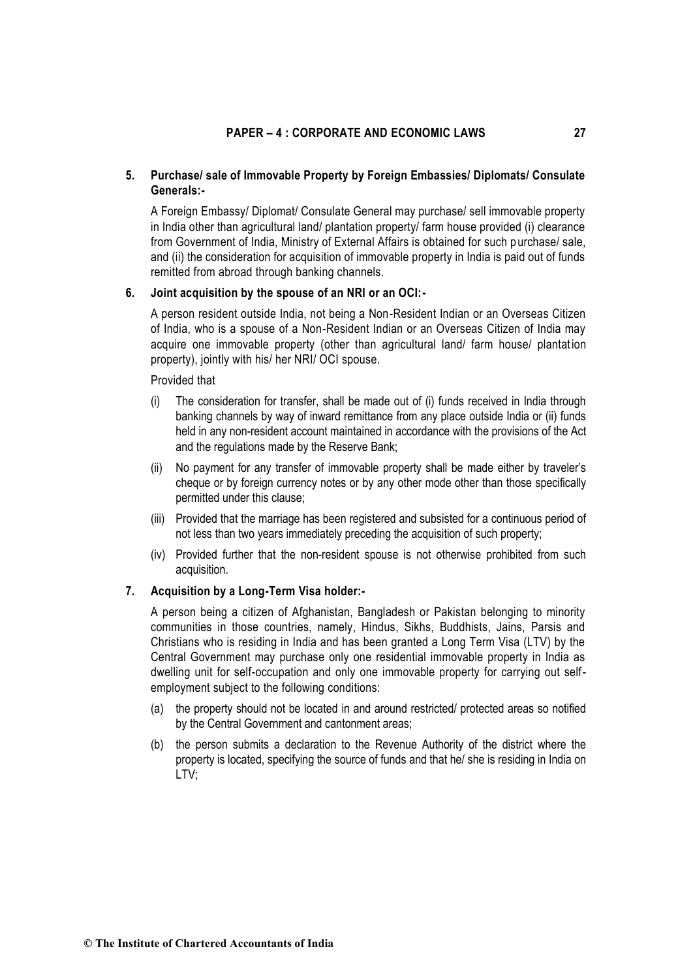# **5. Purchase/ sale of Immovable Property by Foreign Embassies/ Diplomats/ Consulate Generals:-**

A Foreign Embassy/ Diplomat/ Consulate General may purchase/ sell immovable property in India other than agricultural land/ plantation property/ farm house provided (i) clearance from Government of India, Ministry of External Affairs is obtained for such p urchase/ sale, and (ii) the consideration for acquisition of immovable property in India is paid out of funds remitted from abroad through banking channels.

### **6. Joint acquisition by the spouse of an NRI or an OCI:-**

A person resident outside India, not being a Non-Resident Indian or an Overseas Citizen of India, who is a spouse of a Non-Resident Indian or an Overseas Citizen of India may acquire one immovable property (other than agricultural land/ farm house/ plantation property), jointly with his/ her NRI/ OCI spouse.

#### Provided that

- (i) The consideration for transfer, shall be made out of (i) funds received in India through banking channels by way of inward remittance from any place outside India or (ii) funds held in any non-resident account maintained in accordance with the provisions of the Act and the regulations made by the Reserve Bank;
- (ii) No payment for any transfer of immovable property shall be made either by traveler's cheque or by foreign currency notes or by any other mode other than those specifically permitted under this clause;
- (iii) Provided that the marriage has been registered and subsisted for a continuous period of not less than two years immediately preceding the acquisition of such property;
- (iv) Provided further that the non-resident spouse is not otherwise prohibited from such acquisition.

# **7. Acquisition by a Long-Term Visa holder:-**

A person being a citizen of Afghanistan, Bangladesh or Pakistan belonging to minority communities in those countries, namely, Hindus, Sikhs, Buddhists, Jains, Parsis and Christians who is residing in India and has been granted a Long Term Visa (LTV) by the Central Government may purchase only one residential immovable property in India as dwelling unit for self-occupation and only one immovable property for carrying out selfemployment subject to the following conditions:

- (a) the property should not be located in and around restricted/ protected areas so notified by the Central Government and cantonment areas;
- (b) the person submits a declaration to the Revenue Authority of the district where the property is located, specifying the source of funds and that he/ she is residing in India on LTV;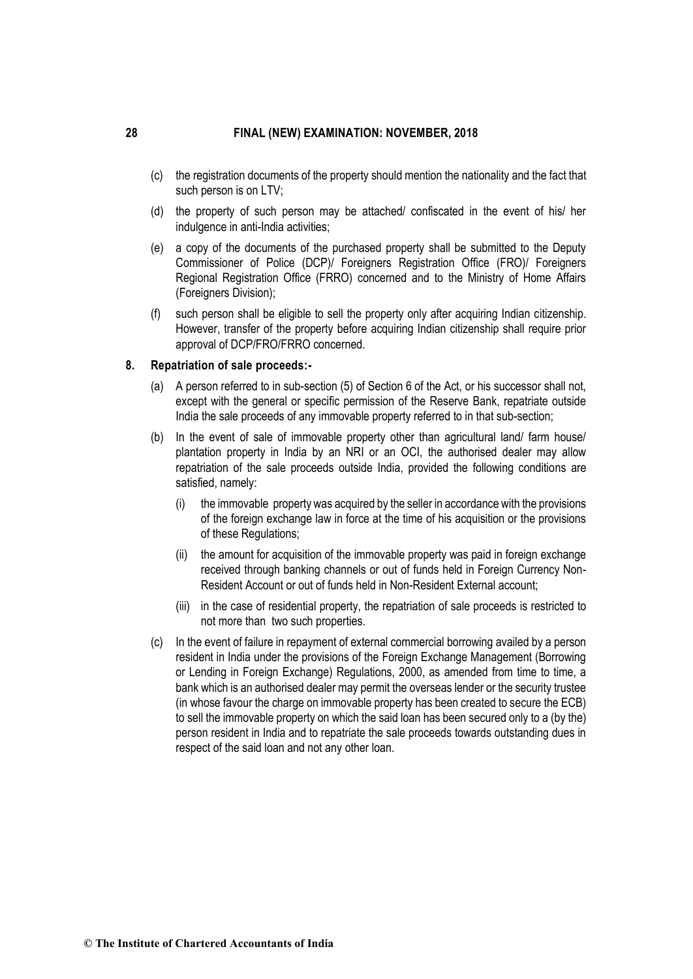- (c) the registration documents of the property should mention the nationality and the fact that such person is on LTV;
- (d) the property of such person may be attached/ confiscated in the event of his/ her indulgence in anti-India activities;
- (e) a copy of the documents of the purchased property shall be submitted to the Deputy Commissioner of Police (DCP)/ Foreigners Registration Office (FRO)/ Foreigners Regional Registration Office (FRRO) concerned and to the Ministry of Home Affairs (Foreigners Division);
- (f) such person shall be eligible to sell the property only after acquiring Indian citizenship. However, transfer of the property before acquiring Indian citizenship shall require prior approval of DCP/FRO/FRRO concerned.

#### **8. Repatriation of sale proceeds:-**

- (a) A person referred to in sub-section (5) of Section 6 of the Act, or his successor shall not, except with the general or specific permission of the Reserve Bank, repatriate outside India the sale proceeds of any immovable property referred to in that sub-section;
- (b) In the event of sale of immovable property other than agricultural land/ farm house/ plantation property in India by an NRI or an OCI, the authorised dealer may allow repatriation of the sale proceeds outside India, provided the following conditions are satisfied, namely:
	- (i) the immovable property was acquired by the seller in accordance with the provisions of the foreign exchange law in force at the time of his acquisition or the provisions of these Regulations;
	- (ii) the amount for acquisition of the immovable property was paid in foreign exchange received through banking channels or out of funds held in Foreign Currency Non-Resident Account or out of funds held in Non-Resident External account;
	- (iii) in the case of residential property, the repatriation of sale proceeds is restricted to not more than two such properties.
- (c) In the event of failure in repayment of external commercial borrowing availed by a person resident in India under the provisions of the Foreign Exchange Management (Borrowing or Lending in Foreign Exchange) Regulations, 2000, as amended from time to time, a bank which is an authorised dealer may permit the overseas lender or the security trustee (in whose favour the charge on immovable property has been created to secure the ECB) to sell the immovable property on which the said loan has been secured only to a (by the) person resident in India and to repatriate the sale proceeds towards outstanding dues in respect of the said loan and not any other loan.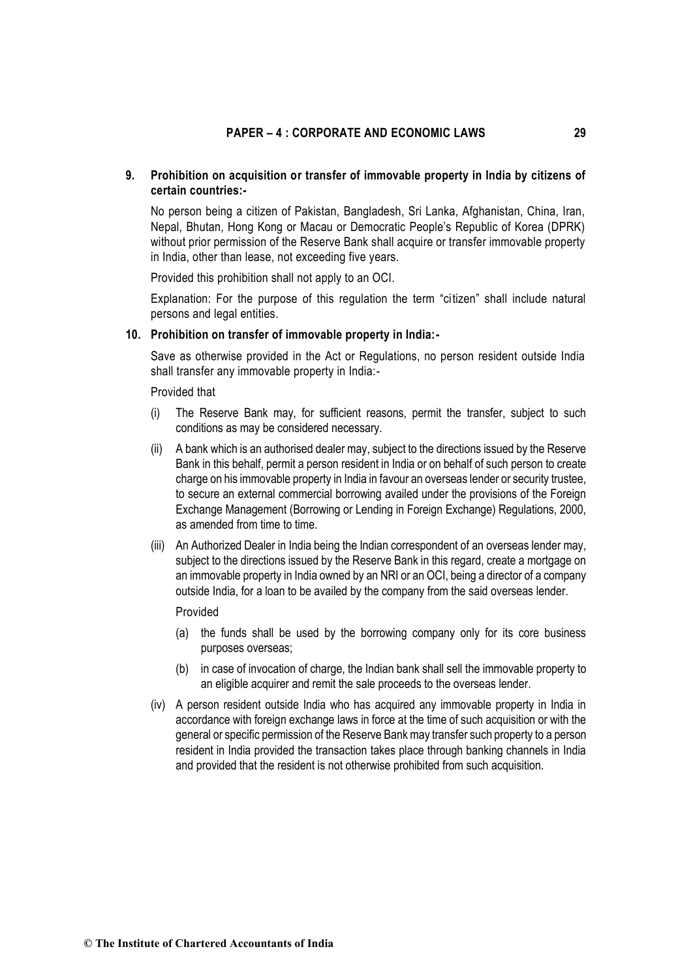# **9. Prohibition on acquisition or transfer of immovable property in India by citizens of certain countries:-**

No person being a citizen of Pakistan, Bangladesh, Sri Lanka, Afghanistan, China, Iran, Nepal, Bhutan, Hong Kong or Macau or Democratic People's Republic of Korea (DPRK) without prior permission of the Reserve Bank shall acquire or transfer immovable property in India, other than lease, not exceeding five years.

Provided this prohibition shall not apply to an OCI.

Explanation: For the purpose of this regulation the term "citizen" shall include natural persons and legal entities.

#### **10. Prohibition on transfer of immovable property in India:-**

Save as otherwise provided in the Act or Regulations, no person resident outside India shall transfer any immovable property in India:-

Provided that

- (i) The Reserve Bank may, for sufficient reasons, permit the transfer, subject to such conditions as may be considered necessary.
- (ii) A bank which is an authorised dealer may, subject to the directions issued by the Reserve Bank in this behalf, permit a person resident in India or on behalf of such person to create charge on his immovable property in India in favour an overseas lender or security trustee, to secure an external commercial borrowing availed under the provisions of the Foreign Exchange Management (Borrowing or Lending in Foreign Exchange) Regulations, 2000, as amended from time to time.
- (iii) An Authorized Dealer in India being the Indian correspondent of an overseas lender may, subject to the directions issued by the Reserve Bank in this regard, create a mortgage on an immovable property in India owned by an NRI or an OCI, being a director of a company outside India, for a loan to be availed by the company from the said overseas lender.

#### Provided

- (a) the funds shall be used by the borrowing company only for its core business purposes overseas;
- (b) in case of invocation of charge, the Indian bank shall sell the immovable property to an eligible acquirer and remit the sale proceeds to the overseas lender.
- (iv) A person resident outside India who has acquired any immovable property in India in accordance with foreign exchange laws in force at the time of such acquisition or with the general or specific permission of the Reserve Bank may transfer such property to a person resident in India provided the transaction takes place through banking channels in India and provided that the resident is not otherwise prohibited from such acquisition.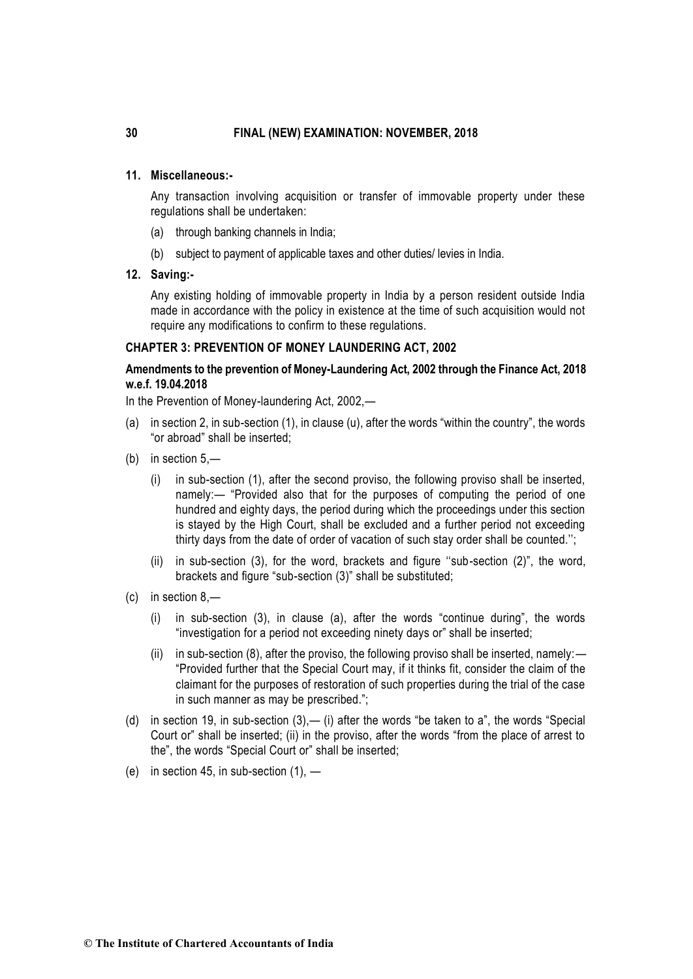# **11. Miscellaneous:-**

Any transaction involving acquisition or transfer of immovable property under these regulations shall be undertaken:

- (a) through banking channels in India;
- (b) subject to payment of applicable taxes and other duties/ levies in India.
- **12. Saving:-**

Any existing holding of immovable property in India by a person resident outside India made in accordance with the policy in existence at the time of such acquisition would not require any modifications to confirm to these regulations.

### **CHAPTER 3: PREVENTION OF MONEY LAUNDERING ACT, 2002**

# **Amendments to the prevention of Money-Laundering Act, 2002 through the Finance Act, 2018 w.e.f. 19.04.2018**

In the Prevention of Money-laundering Act, 2002,—

- (a) in section 2, in sub-section (1), in clause (u), after the words "within the country", the words "or abroad" shall be inserted;
- (b) in section 5,—
	- (i) in sub-section (1), after the second proviso, the following proviso shall be inserted, namely:— "Provided also that for the purposes of computing the period of one hundred and eighty days, the period during which the proceedings under this section is stayed by the High Court, shall be excluded and a further period not exceeding thirty days from the date of order of vacation of such stay order shall be counted.'';
	- (ii) in sub-section (3), for the word, brackets and figure ''sub-section (2)", the word, brackets and figure "sub-section (3)" shall be substituted;
- (c) in section 8,—
	- (i) in sub-section (3), in clause (a), after the words "continue during", the words "investigation for a period not exceeding ninety days or" shall be inserted;
	- (ii) in sub-section (8), after the proviso, the following proviso shall be inserted, namely:— "Provided further that the Special Court may, if it thinks fit, consider the claim of the claimant for the purposes of restoration of such properties during the trial of the case in such manner as may be prescribed.";
- (d) in section 19, in sub-section  $(3)$ ,  $-$  (i) after the words "be taken to a", the words "Special Court or" shall be inserted; (ii) in the proviso, after the words "from the place of arrest to the", the words "Special Court or" shall be inserted;
- (e) in section 45, in sub-section  $(1)$ ,  $-$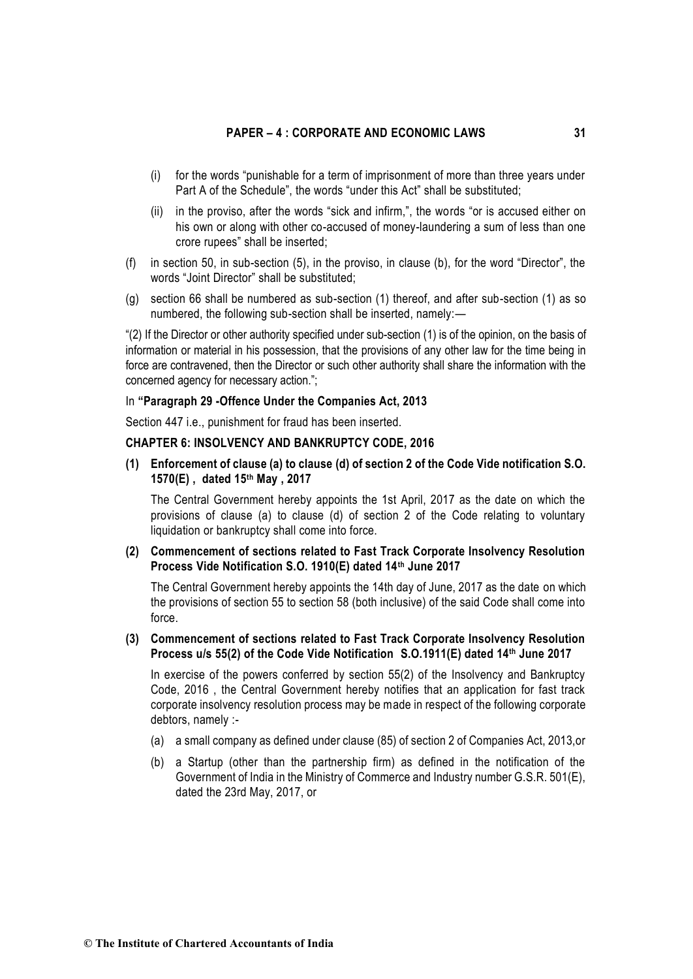- (i) for the words "punishable for a term of imprisonment of more than three years under Part A of the Schedule", the words "under this Act" shall be substituted;
- (ii) in the proviso, after the words "sick and infirm,", the words "or is accused either on his own or along with other co-accused of money-laundering a sum of less than one crore rupees" shall be inserted;
- (f) in section 50, in sub-section (5), in the proviso, in clause (b), for the word "Director", the words "Joint Director" shall be substituted;
- (g) section 66 shall be numbered as sub-section (1) thereof, and after sub-section (1) as so numbered, the following sub-section shall be inserted, namely:—

"(2) If the Director or other authority specified under sub-section (1) is of the opinion, on the basis of information or material in his possession, that the provisions of any other law for the time being in force are contravened, then the Director or such other authority shall share the information with the concerned agency for necessary action.";

#### In **"Paragraph 29 -Offence Under the Companies Act, 2013**

Section 447 i.e., punishment for fraud has been inserted.

# **CHAPTER 6: INSOLVENCY AND BANKRUPTCY CODE, 2016**

**(1) Enforcement of clause (a) to clause (d) of section 2 of the Code Vide notification S.O. 1570(E) , dated 15th May , 2017**

The Central Government hereby appoints the 1st April, 2017 as the date on which the provisions of clause (a) to clause (d) of section 2 of the Code relating to voluntary liquidation or bankruptcy shall come into force.

**(2) Commencement of sections related to Fast Track Corporate Insolvency Resolution Process Vide Notification S.O. 1910(E) dated 14th June 2017**

The Central Government hereby appoints the 14th day of June, 2017 as the date on which the provisions of section 55 to section 58 (both inclusive) of the said Code shall come into force.

**(3) Commencement of sections related to Fast Track Corporate Insolvency Resolution Process u/s 55(2) of the Code Vide Notification S.O.1911(E) dated 14th June 2017**

In exercise of the powers conferred by section 55(2) of the Insolvency and Bankruptcy Code, 2016 , the Central Government hereby notifies that an application for fast track corporate insolvency resolution process may be made in respect of the following corporate debtors, namely :-

- (a) a small company as defined under clause (85) of section 2 of Companies Act, 2013,or
- (b) a Startup (other than the partnership firm) as defined in the notification of the Government of India in the Ministry of Commerce and Industry number G.S.R. 501(E), dated the 23rd May, 2017, or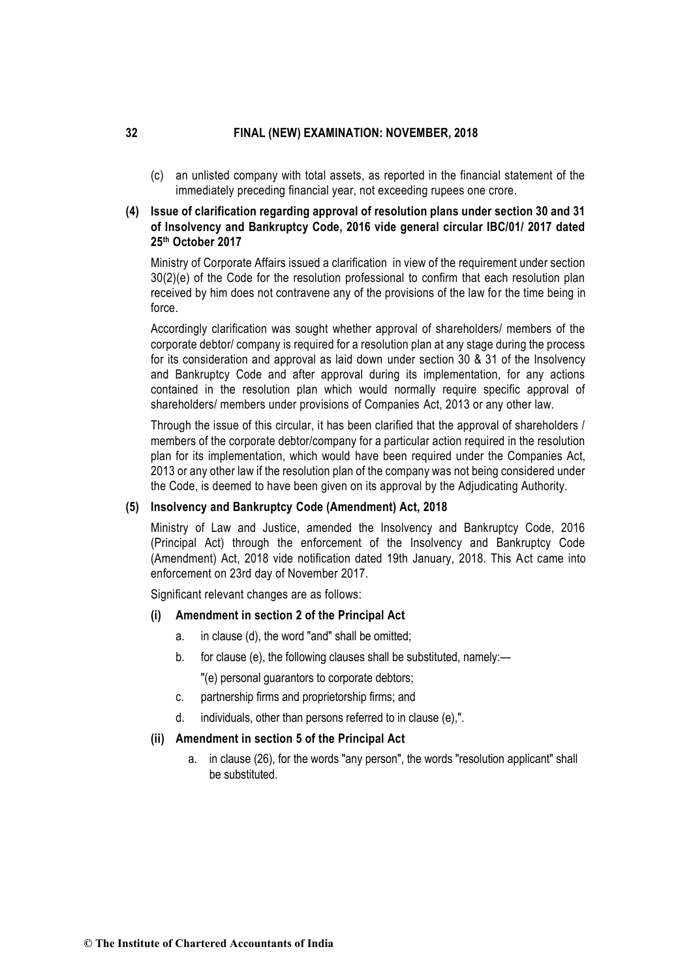(c) an unlisted company with total assets, as reported in the financial statement of the immediately preceding financial year, not exceeding rupees one crore.

# **(4) Issue of clarification regarding approval of resolution plans under section 30 and 31 of Insolvency and Bankruptcy Code, 2016 vide general circular IBC/01/ 2017 dated 25th October 2017**

Ministry of Corporate Affairs issued a clarification in view of the requirement under section 30(2)(e) of the Code for the resolution professional to confirm that each resolution plan received by him does not contravene any of the provisions of the law for the time being in force.

Accordingly clarification was sought whether approval of shareholders/ members of the corporate debtor/ company is required for a resolution plan at any stage during the process for its consideration and approval as laid down under section 30 & 31 of the Insolvency and Bankruptcy Code and after approval during its implementation, for any actions contained in the resolution plan which would normally require specific approval of shareholders/ members under provisions of Companies Act, 2013 or any other law.

Through the issue of this circular, it has been clarified that the approval of shareholders / members of the corporate debtor/company for a particular action required in the resolution plan for its implementation, which would have been required under the Companies Act, 2013 or any other law if the resolution plan of the company was not being considered under the Code, is deemed to have been given on its approval by the Adjudicating Authority.

# **(5) Insolvency and Bankruptcy Code (Amendment) Act, 2018**

Ministry of Law and Justice, amended the Insolvency and Bankruptcy Code, 2016 (Principal Act) through the enforcement of the Insolvency and Bankruptcy Code (Amendment) Act, 2018 vide notification dated 19th January, 2018. This Act came into enforcement on 23rd day of November 2017.

Significant relevant changes are as follows:

# **(i) Amendment in section 2 of the Principal Act**

- a. in clause (d), the word "and" shall be omitted;
- b. for clause (e), the following clauses shall be substituted, namely:— "(e) personal guarantors to corporate debtors;
- c. partnership firms and proprietorship firms; and
- d. individuals, other than persons referred to in clause (e),".

# **(ii) Amendment in section 5 of the Principal Act**

a. in clause (26), for the words "any person", the words "resolution applicant" shall be substituted.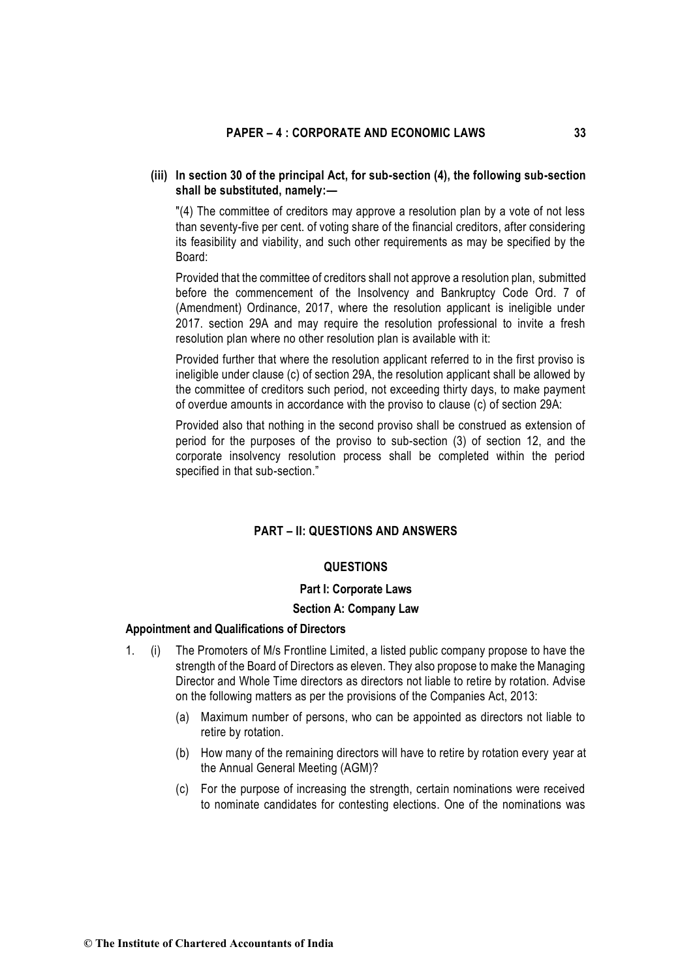# (iii) In section 30 of the principal Act, for sub-section (4), the following sub-section shall be substituted, namely:—

"(4) The committee of creditors may approve a resolution plan by a vote of not less than seventy-five per cent. of voting share of the financial creditors, after considering its feasibility and viability, and such other requirements as may be specified by the Board:

Provided that the committee of creditors shall not approve a resolution plan, submitted before the commencement of the Insolvency and Bankruptcy Code Ord. 7 of (Amendment) Ordinance, 2017, where the resolution applicant is ineligible under 2017. section 29A and may require the resolution professional to invite a fresh resolution plan where no other resolution plan is available with it:

Provided further that where the resolution applicant referred to in the first proviso is ineligible under clause (c) of section 29A, the resolution applicant shall be allowed by the committee of creditors such period, not exceeding thirty days, to make payment of overdue amounts in accordance with the proviso to clause (c) of section 29A:

Provided also that nothing in the second proviso shall be construed as extension of period for the purposes of the proviso to sub-section (3) of section 12, and the corporate insolvency resolution process shall be completed within the period specified in that sub-section."

# **PART – II: QUESTIONS AND ANSWERS**

### **QUESTIONS**

#### **Part I: Corporate Laws**

#### **Section A: Company Law**

### **Appointment and Qualifications of Directors**

- 1. (i) The Promoters of M/s Frontline Limited, a listed public company propose to have the strength of the Board of Directors as eleven. They also propose to make the Managing Director and Whole Time directors as directors not liable to retire by rotation. Advise on the following matters as per the provisions of the Companies Act, 2013:
	- (a) Maximum number of persons, who can be appointed as directors not liable to retire by rotation.
	- (b) How many of the remaining directors will have to retire by rotation every year at the Annual General Meeting (AGM)?
	- (c) For the purpose of increasing the strength, certain nominations were received to nominate candidates for contesting elections. One of the nominations was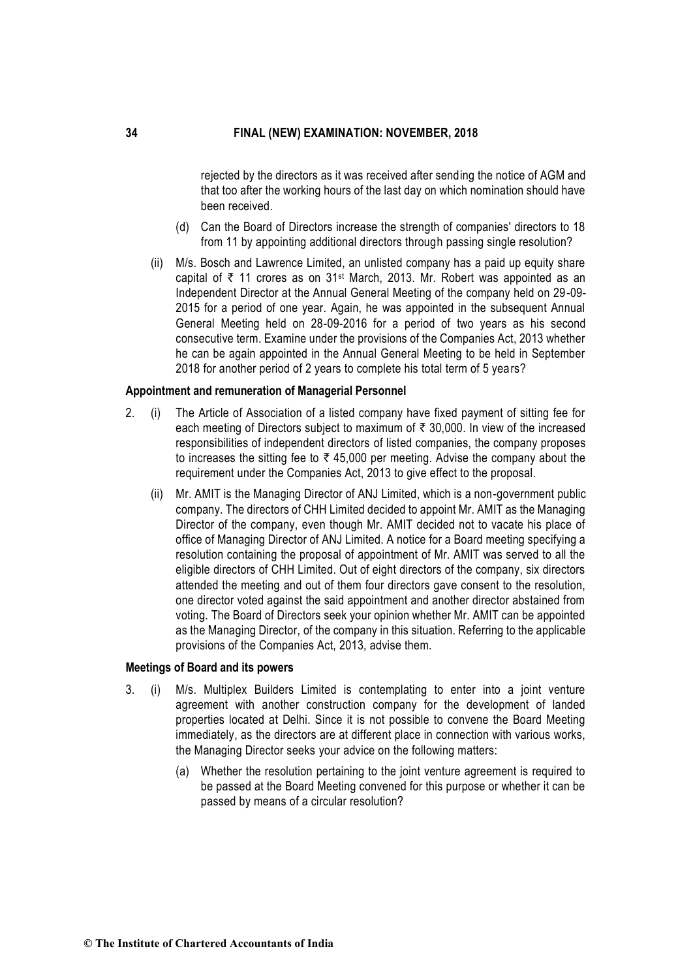rejected by the directors as it was received after sending the notice of AGM and that too after the working hours of the last day on which nomination should have been received.

- (d) Can the Board of Directors increase the strength of companies' directors to 18 from 11 by appointing additional directors through passing single resolution?
- (ii) M/s. Bosch and Lawrence Limited, an unlisted company has a paid up equity share capital of  $\bar{\tau}$  11 crores as on 31<sup>st</sup> March, 2013. Mr. Robert was appointed as an Independent Director at the Annual General Meeting of the company held on 29-09- 2015 for a period of one year. Again, he was appointed in the subsequent Annual General Meeting held on 28-09-2016 for a period of two years as his second consecutive term. Examine under the provisions of the Companies Act, 2013 whether he can be again appointed in the Annual General Meeting to be held in September 2018 for another period of 2 years to complete his total term of 5 years?

### **Appointment and remuneration of Managerial Personnel**

- 2. (i) The Article of Association of a listed company have fixed payment of sitting fee for each meeting of Directors subject to maximum of  $\bar{\tau}$  30,000. In view of the increased responsibilities of independent directors of listed companies, the company proposes to increases the sitting fee to  $\bar{\tau}$  45,000 per meeting. Advise the company about the requirement under the Companies Act, 2013 to give effect to the proposal.
	- (ii) Mr. AMIT is the Managing Director of ANJ Limited, which is a non-government public company. The directors of CHH Limited decided to appoint Mr. AMIT as the Managing Director of the company, even though Mr. AMIT decided not to vacate his place of office of Managing Director of ANJ Limited. A notice for a Board meeting specifying a resolution containing the proposal of appointment of Mr. AMIT was served to all the eligible directors of CHH Limited. Out of eight directors of the company, six directors attended the meeting and out of them four directors gave consent to the resolution, one director voted against the said appointment and another director abstained from voting. The Board of Directors seek your opinion whether Mr. AMIT can be appointed as the Managing Director, of the company in this situation. Referring to the applicable provisions of the Companies Act, 2013, advise them.

### **Meetings of Board and its powers**

- 3. (i) M/s. Multiplex Builders Limited is contemplating to enter into a joint venture agreement with another construction company for the development of landed properties located at Delhi. Since it is not possible to convene the Board Meeting immediately, as the directors are at different place in connection with various works, the Managing Director seeks your advice on the following matters:
	- (a) Whether the resolution pertaining to the joint venture agreement is required to be passed at the Board Meeting convened for this purpose or whether it can be passed by means of a circular resolution?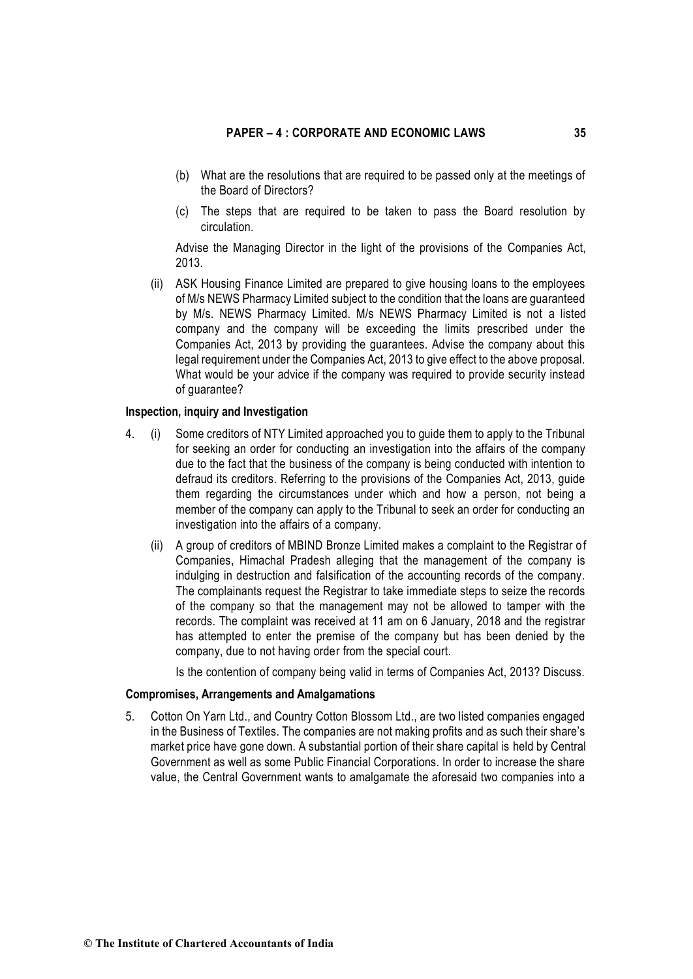- (b) What are the resolutions that are required to be passed only at the meetings of the Board of Directors?
- (c) The steps that are required to be taken to pass the Board resolution by circulation.

Advise the Managing Director in the light of the provisions of the Companies Act, 2013.

(ii) ASK Housing Finance Limited are prepared to give housing loans to the employees of M/s NEWS Pharmacy Limited subject to the condition that the loans are guaranteed by M/s. NEWS Pharmacy Limited. M/s NEWS Pharmacy Limited is not a listed company and the company will be exceeding the limits prescribed under the Companies Act, 2013 by providing the guarantees. Advise the company about this legal requirement under the Companies Act, 2013 to give effect to the above proposal. What would be your advice if the company was required to provide security instead of guarantee?

#### **Inspection, inquiry and Investigation**

- 4. (i) Some creditors of NTY Limited approached you to guide them to apply to the Tribunal for seeking an order for conducting an investigation into the affairs of the company due to the fact that the business of the company is being conducted with intention to defraud its creditors. Referring to the provisions of the Companies Act, 2013, guide them regarding the circumstances under which and how a person, not being a member of the company can apply to the Tribunal to seek an order for conducting an investigation into the affairs of a company.
	- (ii) A group of creditors of MBIND Bronze Limited makes a complaint to the Registrar of Companies, Himachal Pradesh alleging that the management of the company is indulging in destruction and falsification of the accounting records of the company. The complainants request the Registrar to take immediate steps to seize the records of the company so that the management may not be allowed to tamper with the records. The complaint was received at 11 am on 6 January, 2018 and the registrar has attempted to enter the premise of the company but has been denied by the company, due to not having order from the special court.

Is the contention of company being valid in terms of Companies Act, 2013? Discuss.

### **Compromises, Arrangements and Amalgamations**

5. Cotton On Yarn Ltd., and Country Cotton Blossom Ltd., are two listed companies engaged in the Business of Textiles. The companies are not making profits and as such their share's market price have gone down. A substantial portion of their share capital is held by Central Government as well as some Public Financial Corporations. In order to increase the share value, the Central Government wants to amalgamate the aforesaid two companies into a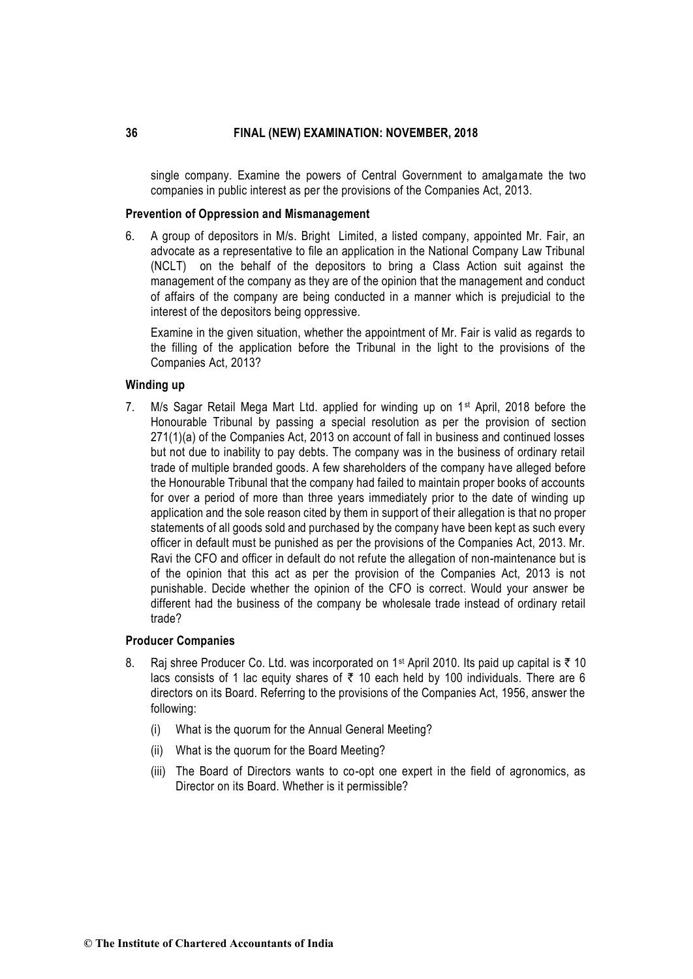single company. Examine the powers of Central Government to amalgamate the two companies in public interest as per the provisions of the Companies Act, 2013.

### **Prevention of Oppression and Mismanagement**

6. A group of depositors in M/s. Bright Limited, a listed company, appointed Mr. Fair, an advocate as a representative to file an application in the National Company Law Tribunal (NCLT) on the behalf of the depositors to bring a Class Action suit against the management of the company as they are of the opinion that the management and conduct of affairs of the company are being conducted in a manner which is prejudicial to the interest of the depositors being oppressive.

Examine in the given situation, whether the appointment of Mr. Fair is valid as regards to the filling of the application before the Tribunal in the light to the provisions of the Companies Act, 2013?

### **Winding up**

7. M/s Sagar Retail Mega Mart Ltd. applied for winding up on  $1<sup>st</sup>$  April, 2018 before the Honourable Tribunal by passing a special resolution as per the provision of section 271(1)(a) of the Companies Act, 2013 on account of fall in business and continued losses but not due to inability to pay debts. The company was in the business of ordinary retail trade of multiple branded goods. A few shareholders of the company have alleged before the Honourable Tribunal that the company had failed to maintain proper books of accounts for over a period of more than three years immediately prior to the date of winding up application and the sole reason cited by them in support of their allegation is that no proper statements of all goods sold and purchased by the company have been kept as such every officer in default must be punished as per the provisions of the Companies Act, 2013. Mr. Ravi the CFO and officer in default do not refute the allegation of non-maintenance but is of the opinion that this act as per the provision of the Companies Act, 2013 is not punishable. Decide whether the opinion of the CFO is correct. Would your answer be different had the business of the company be wholesale trade instead of ordinary retail trade?

### **Producer Companies**

- 8. Raj shree Producer Co. Ltd. was incorporated on 1<sup>st</sup> April 2010. Its paid up capital is  $\bar{\tau}$  10 lacs consists of 1 lac equity shares of  $\bar{\tau}$  10 each held by 100 individuals. There are 6 directors on its Board. Referring to the provisions of the Companies Act, 1956, answer the following:
	- (i) What is the quorum for the Annual General Meeting?
	- (ii) What is the quorum for the Board Meeting?
	- (iii) The Board of Directors wants to co-opt one expert in the field of agronomics, as Director on its Board. Whether is it permissible?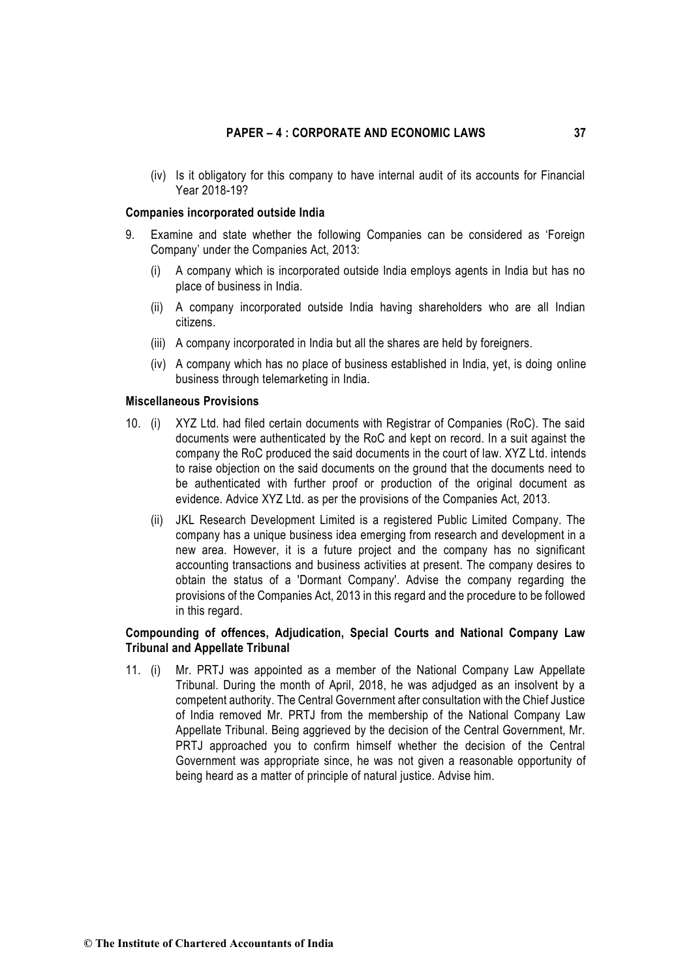(iv) Is it obligatory for this company to have internal audit of its accounts for Financial Year 2018-19?

### **Companies incorporated outside India**

- 9. Examine and state whether the following Companies can be considered as 'Foreign Company' under the Companies Act, 2013:
	- (i) A company which is incorporated outside India employs agents in India but has no place of business in India.
	- (ii) A company incorporated outside India having shareholders who are all Indian citizens.
	- (iii) A company incorporated in India but all the shares are held by foreigners.
	- (iv) A company which has no place of business established in India, yet, is doing online business through telemarketing in India.

### **Miscellaneous Provisions**

- 10. (i) XYZ Ltd. had filed certain documents with Registrar of Companies (RoC). The said documents were authenticated by the RoC and kept on record. In a suit against the company the RoC produced the said documents in the court of law. XYZ Ltd. intends to raise objection on the said documents on the ground that the documents need to be authenticated with further proof or production of the original document as evidence. Advice XYZ Ltd. as per the provisions of the Companies Act, 2013.
	- (ii) JKL Research Development Limited is a registered Public Limited Company. The company has a unique business idea emerging from research and development in a new area. However, it is a future project and the company has no significant accounting transactions and business activities at present. The company desires to obtain the status of a 'Dormant Company'. Advise the company regarding the provisions of the Companies Act, 2013 in this regard and the procedure to be followed in this regard.

# **Compounding of offences, Adjudication, Special Courts and National Company Law Tribunal and Appellate Tribunal**

11. (i) Mr. PRTJ was appointed as a member of the National Company Law Appellate Tribunal. During the month of April, 2018, he was adjudged as an insolvent by a competent authority. The Central Government after consultation with the Chief Justice of India removed Mr. PRTJ from the membership of the National Company Law Appellate Tribunal. Being aggrieved by the decision of the Central Government, Mr. PRTJ approached you to confirm himself whether the decision of the Central Government was appropriate since, he was not given a reasonable opportunity of being heard as a matter of principle of natural justice. Advise him.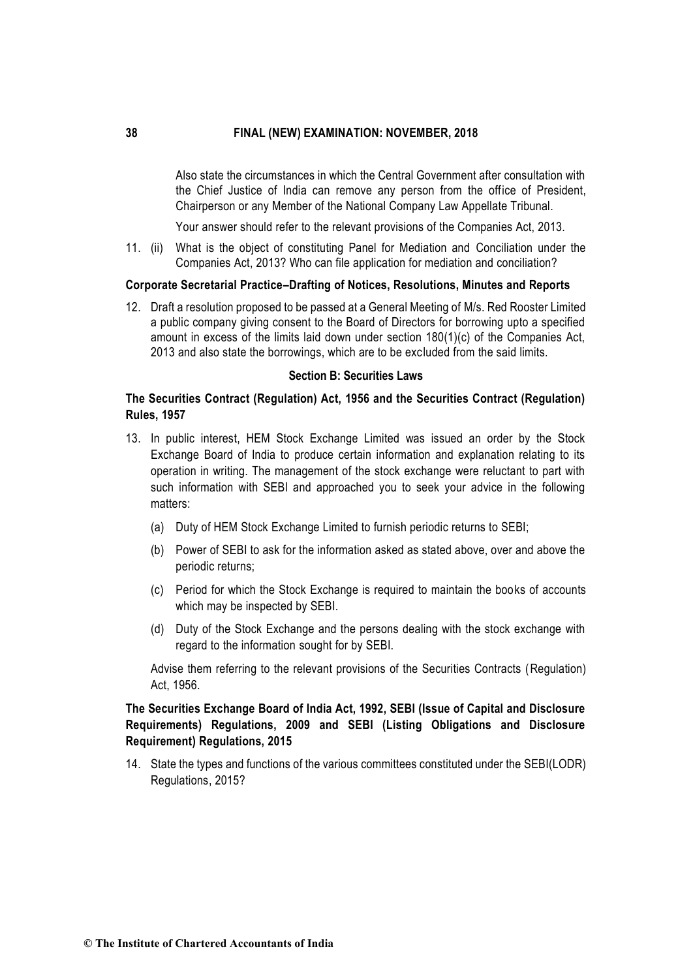Also state the circumstances in which the Central Government after consultation with the Chief Justice of India can remove any person from the office of President, Chairperson or any Member of the National Company Law Appellate Tribunal.

Your answer should refer to the relevant provisions of the Companies Act, 2013.

11. (ii) What is the object of constituting Panel for Mediation and Conciliation under the Companies Act, 2013? Who can file application for mediation and conciliation?

#### **Corporate Secretarial Practice–Drafting of Notices, Resolutions, Minutes and Reports**

12. Draft a resolution proposed to be passed at a General Meeting of M/s. Red Rooster Limited a public company giving consent to the Board of Directors for borrowing upto a specified amount in excess of the limits laid down under section 180(1)(c) of the Companies Act, 2013 and also state the borrowings, which are to be excluded from the said limits.

### **Section B: Securities Laws**

# **The Securities Contract (Regulation) Act, 1956 and the Securities Contract (Regulation) Rules, 1957**

- 13.In public interest, HEM Stock Exchange Limited was issued an order by the Stock Exchange Board of India to produce certain information and explanation relating to its operation in writing. The management of the stock exchange were reluctant to part with such information with SEBI and approached you to seek your advice in the following matters:
	- (a) Duty of HEM Stock Exchange Limited to furnish periodic returns to SEBI;
	- (b) Power of SEBI to ask for the information asked as stated above, over and above the periodic returns;
	- (c) Period for which the Stock Exchange is required to maintain the books of accounts which may be inspected by SEBI.
	- (d) Duty of the Stock Exchange and the persons dealing with the stock exchange with regard to the information sought for by SEBI.

Advise them referring to the relevant provisions of the Securities Contracts (Regulation) Act, 1956.

# **The Securities Exchange Board of India Act, 1992, SEBI (Issue of Capital and Disclosure Requirements) Regulations, 2009 and SEBI (Listing Obligations and Disclosure Requirement) Regulations, 2015**

14. State the types and functions of the various committees constituted under the SEBI(LODR) Regulations, 2015?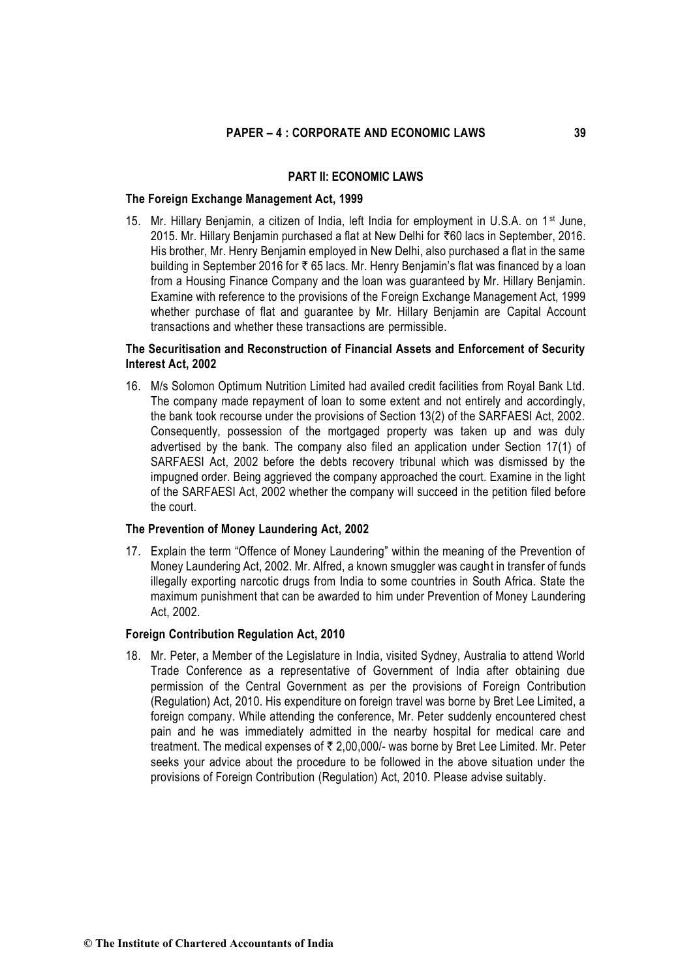#### **PART II: ECONOMIC LAWS**

### **The Foreign Exchange Management Act, 1999**

15. Mr. Hillary Benjamin, a citizen of India, left India for employment in U.S.A. on 1<sup>st</sup> June, 2015. Mr. Hillary Benjamin purchased a flat at New Delhi for `60 lacs in September, 2016. His brother, Mr. Henry Benjamin employed in New Delhi, also purchased a flat in the same building in September 2016 for  $\bar{\tau}$  65 lacs. Mr. Henry Benjamin's flat was financed by a loan from a Housing Finance Company and the loan was guaranteed by Mr. Hillary Benjamin. Examine with reference to the provisions of the Foreign Exchange Management Act, 1999 whether purchase of flat and guarantee by Mr. Hillary Benjamin are Capital Account transactions and whether these transactions are permissible.

# **The Securitisation and Reconstruction of Financial Assets and Enforcement of Security Interest Act, 2002**

16. M/s Solomon Optimum Nutrition Limited had availed credit facilities from Royal Bank Ltd. The company made repayment of loan to some extent and not entirely and accordingly, the bank took recourse under the provisions of Section 13(2) of the SARFAESI Act, 2002. Consequently, possession of the mortgaged property was taken up and was duly advertised by the bank. The company also filed an application under Section 17(1) of SARFAESI Act, 2002 before the debts recovery tribunal which was dismissed by the impugned order. Being aggrieved the company approached the court. Examine in the light of the SARFAESI Act, 2002 whether the company will succeed in the petition filed before the court.

### **The Prevention of Money Laundering Act, 2002**

17.Explain the term "Offence of Money Laundering" within the meaning of the Prevention of Money Laundering Act, 2002. Mr. Alfred, a known smuggler was caught in transfer of funds illegally exporting narcotic drugs from India to some countries in South Africa. State the maximum punishment that can be awarded to him under Prevention of Money Laundering Act, 2002.

### **Foreign Contribution Regulation Act, 2010**

18. Mr. Peter, a Member of the Legislature in India, visited Sydney, Australia to attend World Trade Conference as a representative of Government of India after obtaining due permission of the Central Government as per the provisions of Foreign Contribution (Regulation) Act, 2010. His expenditure on foreign travel was borne by Bret Lee Limited, a foreign company. While attending the conference, Mr. Peter suddenly encountered chest pain and he was immediately admitted in the nearby hospital for medical care and treatment. The medical expenses of  $\bar{\tau}$  2.00,000/- was borne by Bret Lee Limited. Mr. Peter seeks your advice about the procedure to be followed in the above situation under the provisions of Foreign Contribution (Regulation) Act, 2010. Please advise suitably.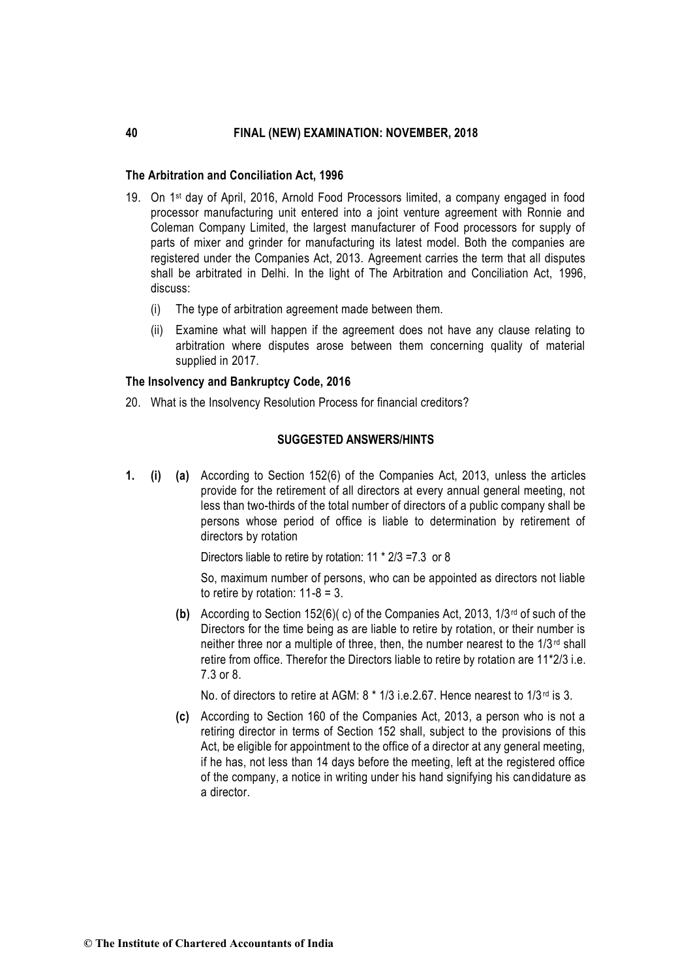# **The Arbitration and Conciliation Act, 1996**

- 19. On 1st day of April, 2016, Arnold Food Processors limited, a company engaged in food processor manufacturing unit entered into a joint venture agreement with Ronnie and Coleman Company Limited, the largest manufacturer of Food processors for supply of parts of mixer and grinder for manufacturing its latest model. Both the companies are registered under the Companies Act, 2013. Agreement carries the term that all disputes shall be arbitrated in Delhi. In the light of The Arbitration and Conciliation Act, 1996, discuss:
	- (i) The type of arbitration agreement made between them.
	- (ii) Examine what will happen if the agreement does not have any clause relating to arbitration where disputes arose between them concerning quality of material supplied in 2017.

#### **The Insolvency and Bankruptcy Code, 2016**

20. What is the Insolvency Resolution Process for financial creditors?

# **SUGGESTED ANSWERS/HINTS**

**1. (i) (a)** According to Section 152(6) of the Companies Act, 2013, unless the articles provide for the retirement of all directors at every annual general meeting, not less than two-thirds of the total number of directors of a public company shall be persons whose period of office is liable to determination by retirement of directors by rotation

Directors liable to retire by rotation: 11 \* 2/3 =7.3 or 8

So, maximum number of persons, who can be appointed as directors not liable to retire by rotation:  $11-8 = 3$ .

**(b)** According to Section 152(6)( c) of the Companies Act, 2013, 1/3rd of such of the Directors for the time being as are liable to retire by rotation, or their number is neither three nor a multiple of three, then, the number nearest to the 1/3<sup>rd</sup> shall retire from office. Therefor the Directors liable to retire by rotation are 11\*2/3 i.e. 7.3 or 8.

No. of directors to retire at AGM: 8  $*$  1/3 i.e. 2.67. Hence nearest to 1/3<sup>rd</sup> is 3.

**(c)** According to Section 160 of the Companies Act, 2013, a person who is not a retiring director in terms of Section 152 shall, subject to the provisions of this Act, be eligible for appointment to the office of a director at any general meeting. if he has, not less than 14 days before the meeting, left at the registered office of the company, a notice in writing under his hand signifying his candidature as a director.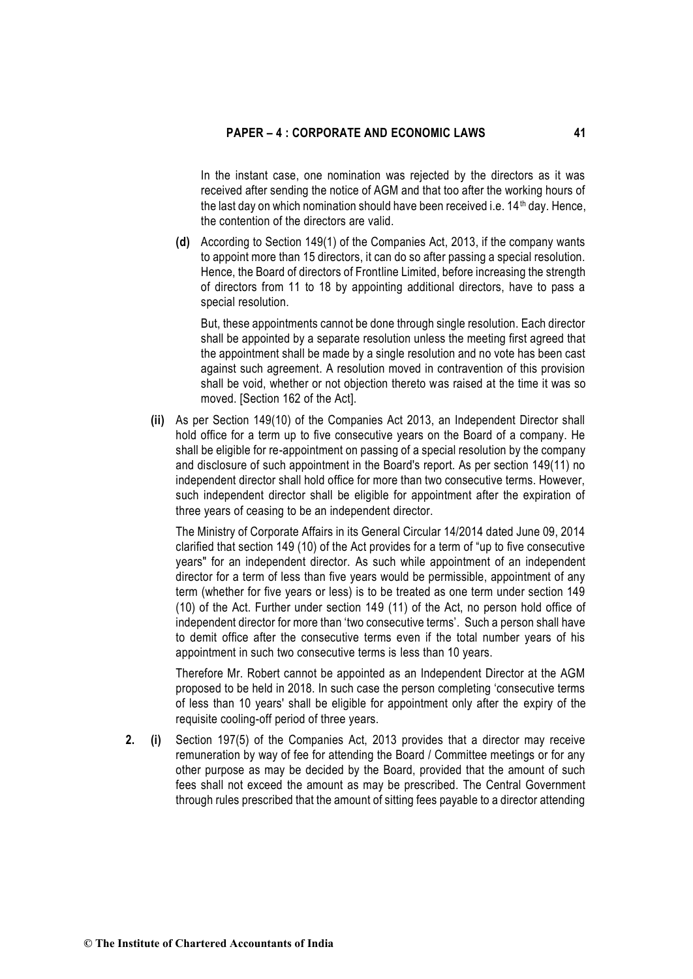In the instant case, one nomination was rejected by the directors as it was received after sending the notice of AGM and that too after the working hours of the last day on which nomination should have been received i.e.  $14<sup>th</sup>$  day. Hence, the contention of the directors are valid.

**(d)** According to Section 149(1) of the Companies Act, 2013, if the company wants to appoint more than 15 directors, it can do so after passing a special resolution. Hence, the Board of directors of Frontline Limited, before increasing the strength of directors from 11 to 18 by appointing additional directors, have to pass a special resolution.

But, these appointments cannot be done through single resolution. Each director shall be appointed by a separate resolution unless the meeting first agreed that the appointment shall be made by a single resolution and no vote has been cast against such agreement. A resolution moved in contravention of this provision shall be void, whether or not objection thereto was raised at the time it was so moved. [Section 162 of the Act].

**(ii)** As per Section 149(10) of the Companies Act 2013, an Independent Director shall hold office for a term up to five consecutive years on the Board of a company. He shall be eligible for re-appointment on passing of a special resolution by the company and disclosure of such appointment in the Board's report. As per section 149(11) no independent director shall hold office for more than two consecutive terms. However, such independent director shall be eligible for appointment after the expiration of three years of ceasing to be an independent director.

The Ministry of Corporate Affairs in its General Circular 14/2014 dated June 09, 2014 clarified that section 149 (10) of the Act provides for a term of "up to five consecutive years" for an independent director. As such while appointment of an independent director for a term of less than five years would be permissible, appointment of any term (whether for five years or less) is to be treated as one term under section 149 (10) of the Act. Further under section 149 (11) of the Act, no person hold office of independent director for more than 'two consecutive terms'. Such a person shall have to demit office after the consecutive terms even if the total number years of his appointment in such two consecutive terms is less than 10 years.

Therefore Mr. Robert cannot be appointed as an Independent Director at the AGM proposed to be held in 2018. In such case the person completing 'consecutive terms of less than 10 years' shall be eligible for appointment only after the expiry of the requisite cooling-off period of three years.

**2. (i)** Section 197(5) of the Companies Act, 2013 provides that a director may receive remuneration by way of fee for attending the Board / Committee meetings or for any other purpose as may be decided by the Board, provided that the amount of such fees shall not exceed the amount as may be prescribed. The Central Government through rules prescribed that the amount of sitting fees payable to a director attending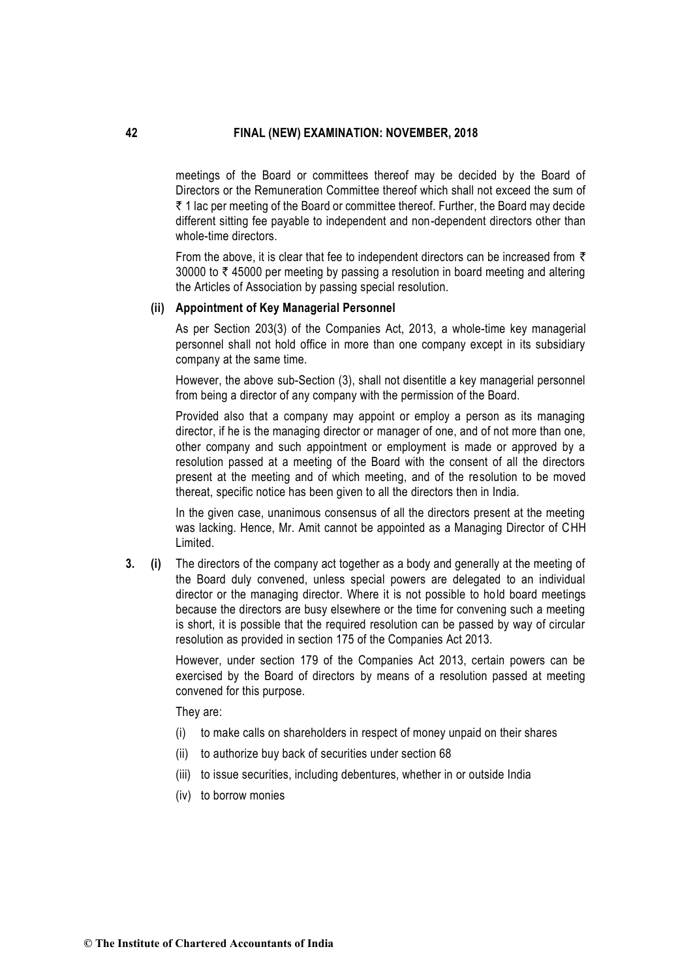meetings of the Board or committees thereof may be decided by the Board of Directors or the Remuneration Committee thereof which shall not exceed the sum of  $\bar{\tau}$  1 lac per meeting of the Board or committee thereof. Further, the Board may decide different sitting fee payable to independent and non-dependent directors other than whole-time directors.

From the above, it is clear that fee to independent directors can be increased from  $\bar{\tau}$ 30000 to  $\bar{\tau}$  45000 per meeting by passing a resolution in board meeting and altering the Articles of Association by passing special resolution.

#### **(ii) Appointment of Key Managerial Personnel**

As per Section 203(3) of the Companies Act, 2013, a whole-time key managerial personnel shall not hold office in more than one company except in its subsidiary company at the same time.

However, the above sub-Section (3), shall not disentitle a key managerial personnel from being a director of any company with the permission of the Board.

Provided also that a company may appoint or employ a person as its managing director, if he is the managing director or manager of one, and of not more than one, other company and such appointment or employment is made or approved by a resolution passed at a meeting of the Board with the consent of all the directors present at the meeting and of which meeting, and of the resolution to be moved thereat, specific notice has been given to all the directors then in India.

In the given case, unanimous consensus of all the directors present at the meeting was lacking. Hence, Mr. Amit cannot be appointed as a Managing Director of CHH Limited.

**3. (i)** The directors of the company act together as a body and generally at the meeting of the Board duly convened, unless special powers are delegated to an individual director or the managing director. Where it is not possible to hold board meetings because the directors are busy elsewhere or the time for convening such a meeting is short, it is possible that the required resolution can be passed by way of circular resolution as provided in section 175 of the Companies Act 2013.

> However, under section 179 of the Companies Act 2013, certain powers can be exercised by the Board of directors by means of a resolution passed at meeting convened for this purpose.

They are:

- (i) to make calls on shareholders in respect of money unpaid on their shares
- (ii) to authorize buy back of securities under section 68
- (iii) to issue securities, including debentures, whether in or outside India
- (iv) to borrow monies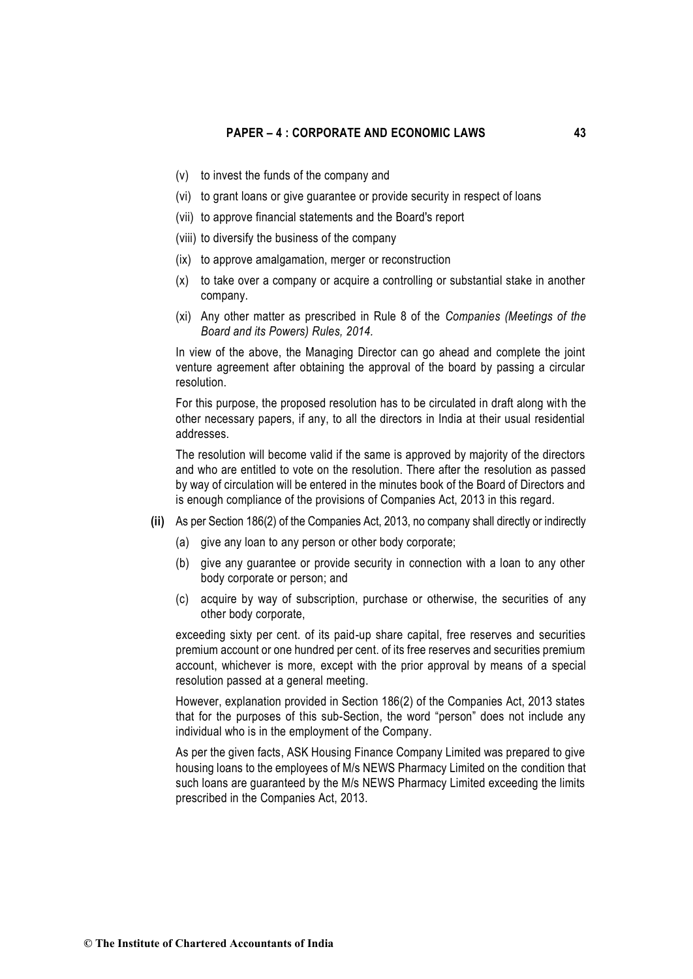- (v) to invest the funds of the company and
- (vi) to grant loans or give guarantee or provide security in respect of loans
- (vii) to approve financial statements and the Board's report
- (viii) to diversify the business of the company
- (ix) to approve amalgamation, merger or reconstruction
- (x) to take over a company or acquire a controlling or substantial stake in another company.
- (xi) Any other matter as prescribed in Rule 8 of the *Companies (Meetings of the Board and its Powers) Rules, 2014.*

In view of the above, the Managing Director can go ahead and complete the joint venture agreement after obtaining the approval of the board by passing a circular resolution.

For this purpose, the proposed resolution has to be circulated in draft along with the other necessary papers, if any, to all the directors in India at their usual residential addresses.

The resolution will become valid if the same is approved by majority of the directors and who are entitled to vote on the resolution. There after the resolution as passed by way of circulation will be entered in the minutes book of the Board of Directors and is enough compliance of the provisions of Companies Act, 2013 in this regard.

- **(ii)** As per Section 186(2) of the Companies Act, 2013, no company shall directly or indirectly
	- (a) give any loan to [any person](http://ebook.mca.gov.in/notificationdetail.aspx?acturl=6CoJDC4uKVUR7C9Fl4rZdatyDbeJTqg3uaDT7Vp4Q4/xVAVHx4znbqGDxENH1Jp3xqnr085Eew/oIMuhks7+9A==) or other body corporate;
	- (b) give any guarantee or provide security in connection with a loan to any other body corporate or person; and
	- (c) acquire by way of subscription, purchase or otherwise, the securities of any other body corporate,

exceeding sixty per cent. of its paid-up share capital, free reserves and securities premium account or one hundred per cent. of its free reserves and securities premium account, whichever is more, except with the prior approval by means of a [special](http://ebook.mca.gov.in/Actpagedisplay.aspx?PAGENAME=28040)  [resolution passed](http://ebook.mca.gov.in/Actpagedisplay.aspx?PAGENAME=28040) at a general meeting.

However, explanation provided in Section 186(2) of the Companies Act, 2013 states that for the purposes of this sub-Section, the word "person" does not include any individual who is in the employment of the Company.

As per the given facts, ASK Housing Finance Company Limited was prepared to give housing loans to the employees of M/s NEWS Pharmacy Limited on the condition that such loans are guaranteed by the M/s NEWS Pharmacy Limited exceeding the limits prescribed in the Companies Act, 2013.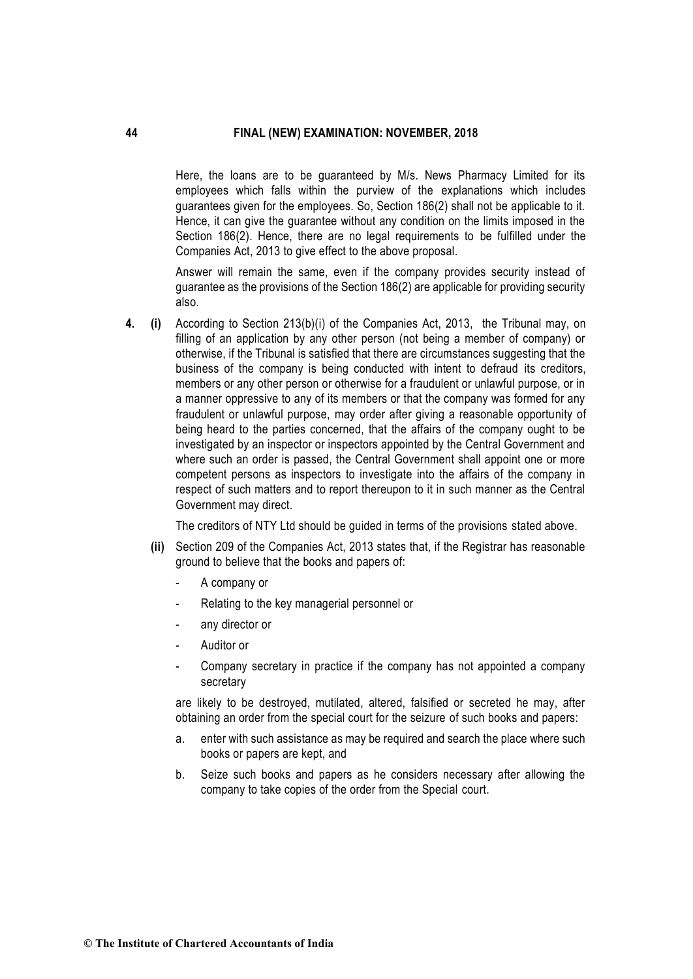Here, the loans are to be guaranteed by M/s. News Pharmacy Limited for its employees which falls within the purview of the explanations which includes guarantees given for the employees. So, Section 186(2) shall not be applicable to it. Hence, it can give the guarantee without any condition on the limits imposed in the Section 186(2). Hence, there are no legal requirements to be fulfilled under the Companies Act, 2013 to give effect to the above proposal.

Answer will remain the same, even if the company provides security instead of guarantee as the provisions of the Section 186(2) are applicable for providing security also.

**4. (i)** According to Section 213(b)(i) of the Companies Act, 2013, the Tribunal may, on filling of an application by any other person (not being a member of company) or otherwise, if the Tribunal is satisfied that there are circumstances suggesting that the business of the company is being conducted with intent to defraud its creditors, members or any other person or otherwise for a fraudulent or unlawful purpose, or in a manner oppressive to any of its members or that the company was formed for any fraudulent or unlawful purpose, may order after giving a reasonable opportunity of being heard to the parties concerned, that the affairs of the company ought to be investigated by an inspector or inspectors appointed by the Central Government and where such an order is passed, the Central Government shall appoint one or more competent persons as inspectors to investigate into the affairs of the company in respect of such matters and to report thereupon to it in such manner as the Central Government may direct.

The creditors of NTY Ltd should be guided in terms of the provisions stated above.

- **(ii)** Section 209 of the Companies Act, 2013 states that, if the Registrar has reasonable ground to believe that the books and papers of:
	- A company or
	- Relating to the key managerial personnel or
	- any director or
	- Auditor or
	- Company secretary in practice if the company has not appointed a company secretary

are likely to be destroyed, mutilated, altered, falsified or secreted he may, after obtaining an order from the special court for the seizure of such books and papers:

- a. enter with such assistance as may be required and search the place where such books or papers are kept, and
- b. Seize such books and papers as he considers necessary after allowing the company to take copies of the order from the Special court.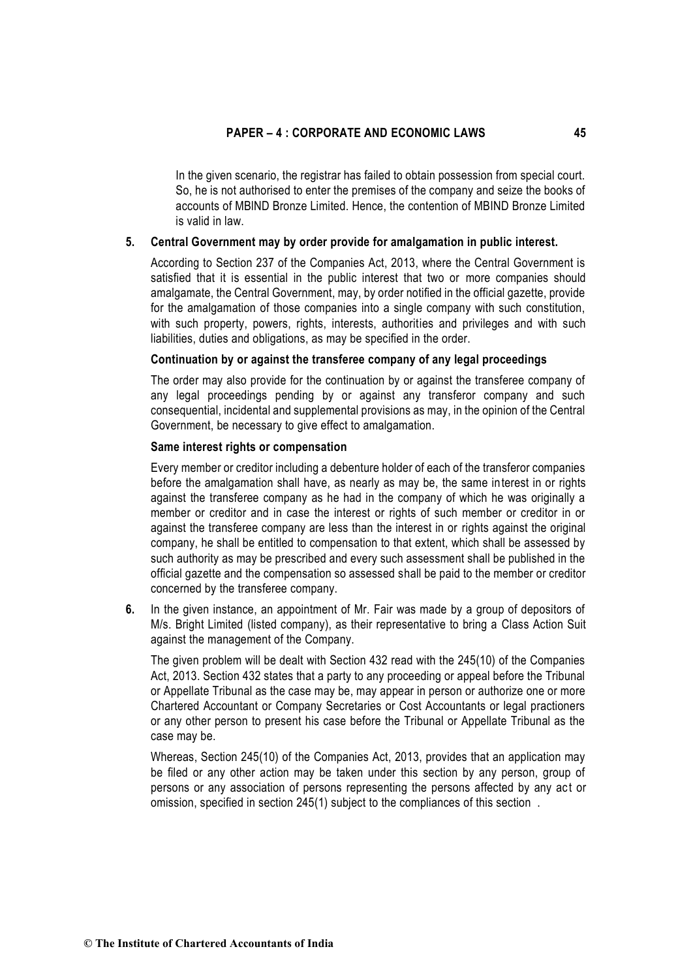In the given scenario, the registrar has failed to obtain possession from special court. So, he is not authorised to enter the premises of the company and seize the books of accounts of MBlND Bronze Limited. Hence, the contention of MBIND Bronze Limited is valid in law.

### **5. Central Government may by order provide for amalgamation in public interest.**

According to Section 237 of the Companies Act, 2013, where the Central Government is satisfied that it is essential in the public interest that two or more companies should amalgamate, the Central Government, may, by order notified in the official gazette, provide for the amalgamation of those companies into a single company with such constitution, with such property, powers, rights, interests, authorities and privileges and with such liabilities, duties and obligations, as may be specified in the order.

#### **Continuation by or against the transferee company of any legal proceedings**

The order may also provide for the continuation by or against the transferee company of any legal proceedings pending by or against any transferor company and such consequential, incidental and supplemental provisions as may, in the opinion of the Central Government, be necessary to give effect to amalgamation.

### **Same interest rights or compensation**

Every member or creditor including a debenture holder of each of the transferor companies before the amalgamation shall have, as nearly as may be, the same interest in or rights against the transferee company as he had in the company of which he was originally a member or creditor and in case the interest or rights of such member or creditor in or against the transferee company are less than the interest in or rights against the original company, he shall be entitled to compensation to that extent, which shall be assessed by such authority as may be prescribed and every such assessment shall be published in the official gazette and the compensation so assessed shall be paid to the member or creditor concerned by the transferee company.

**6.** In the given instance, an appointment of Mr. Fair was made by a group of depositors of M/s. Bright Limited (listed company), as their representative to bring a Class Action Suit against the management of the Company.

The given problem will be dealt with Section 432 read with the 245(10) of the Companies Act, 2013. Section 432 states that a party to any proceeding or appeal before the Tribunal or Appellate Tribunal as the case may be, may appear in person or authorize one or more Chartered Accountant or Company Secretaries or Cost Accountants or legal practioners or any other person to present his case before the Tribunal or Appellate Tribunal as the case may be.

Whereas, Section 245(10) of the Companies Act, 2013, provides that an application may be filed or any other action may be taken under this section by any person, group of persons or any association of persons representing the persons affected by any act or omission, specified in section 245(1) subject to the compliances of this section .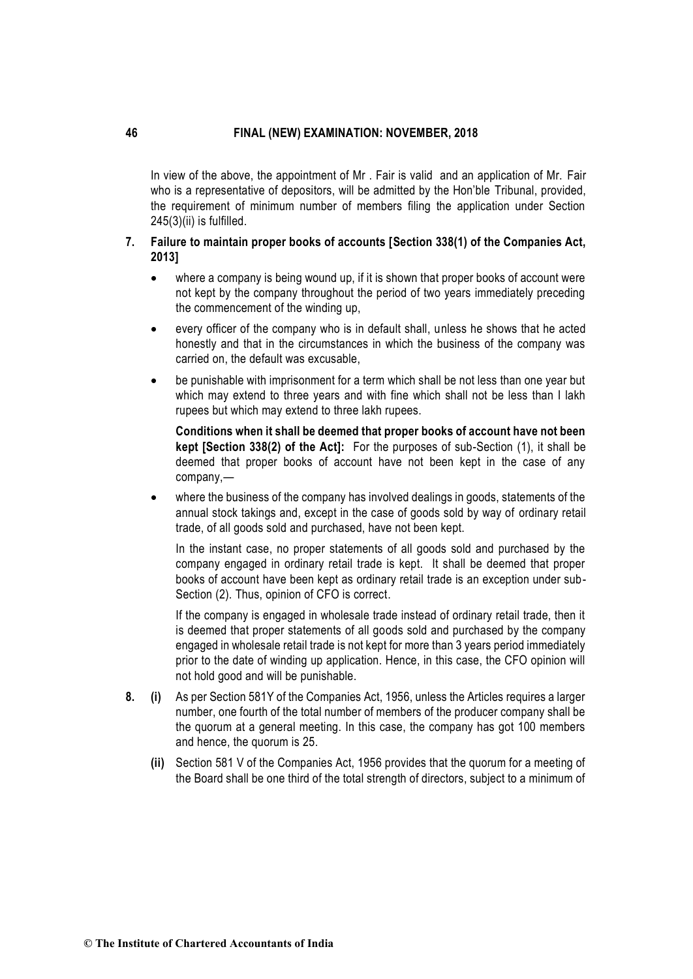In view of the above, the appointment of Mr . Fair is valid and an application of Mr. Fair who is a representative of depositors, will be admitted by the Hon'ble Tribunal, provided, the requirement of minimum number of members filing the application under Section 245(3)(ii) is fulfilled.

# **7. Failure to maintain proper books of accounts [Section 338(1) of the Companies Act, 2013]**

- where a company is being wound up, if it is shown that proper books of account were not kept by the company throughout the period of two years immediately preceding the commencement of the winding up,
- every officer of the company who is in default shall, unless he shows that he acted honestly and that in the circumstances in which the business of the company was carried on, the default was excusable,
- be punishable with imprisonment for a term which shall be not less than one year but which may extend to three years and with fine which shall not be less than I lakh rupees but which may extend to three lakh rupees.

**Conditions when it shall be deemed that proper books of account have not been kept [Section 338(2) of the Act]:** For the purposes of sub-Section (1), it shall be deemed that proper books of account have not been kept in the case of any company,—

• where the business of the company has involved dealings in goods, statements of the annual stock takings and, except in the case of goods sold by way of ordinary retail trade, of all goods sold and purchased, have not been kept.

In the instant case, no proper statements of all goods sold and purchased by the company engaged in ordinary retail trade is kept. It shall be deemed that proper books of account have been kept as ordinary retail trade is an exception under sub-Section (2). Thus, opinion of CFO is correct.

If the company is engaged in wholesale trade instead of ordinary retail trade, then it is deemed that proper statements of all goods sold and purchased by the company engaged in wholesale retail trade is not kept for more than 3 years period immediately prior to the date of winding up application. Hence, in this case, the CFO opinion will not hold good and will be punishable.

- **8. (i)** As per Section 581Y of the Companies Act, 1956, unless the Articles requires a larger number, one fourth of the total number of members of the producer company shall be the quorum at a general meeting. In this case, the company has got 100 members and hence, the quorum is 25.
	- **(ii)** Section 581 V of the Companies Act, 1956 provides that the quorum for a meeting of the Board shall be one third of the total strength of directors, subject to a minimum of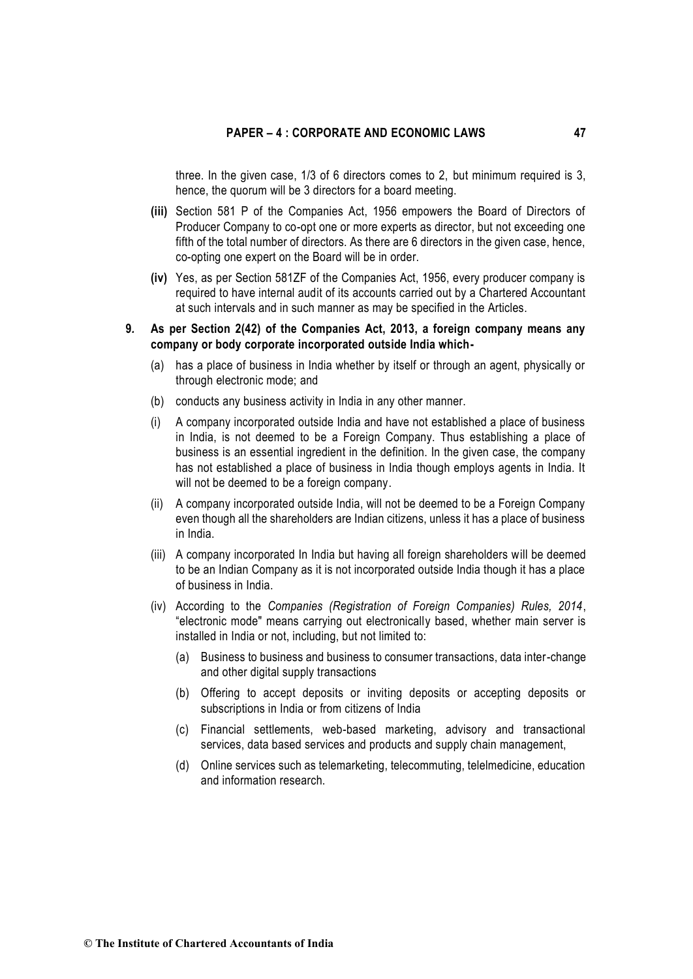three. In the given case, 1/3 of 6 directors comes to 2, but minimum required is 3, hence, the quorum will be 3 directors for a board meeting.

- **(iii)** Section 581 P of the Companies Act, 1956 empowers the Board of Directors of Producer Company to co-opt one or more experts as director, but not exceeding one fifth of the total number of directors. As there are 6 directors in the given case, hence, co-opting one expert on the Board will be in order.
- **(iv)** Yes, as per Section 581ZF of the Companies Act, 1956, every producer company is required to have internal audit of its accounts carried out by a Chartered Accountant at such intervals and in such manner as may be specified in the Articles.
- **9***.* **As per Section 2(42) of the Companies Act, 2013, a foreign company means any company or body corporate incorporated outside India which-**
	- (a) has a place of business in India whether by itself or through an agent, physically or through electronic mode; and
	- (b) conducts any business activity in India in any other manner.
	- (i) A company incorporated outside India and have not established a place of business in India, is not deemed to be a Foreign Company. Thus establishing a place of business is an essential ingredient in the definition. In the given case, the company has not established a place of business in India though employs agents in India. It will not be deemed to be a foreign company.
	- (ii) A company incorporated outside India, will not be deemed to be a Foreign Company even though all the shareholders are Indian citizens, unless it has a place of business in India.
	- (iii) A company incorporated In India but having all foreign shareholders will be deemed to be an Indian Company as it is not incorporated outside India though it has a place of business in India.
	- (iv) According to the *Companies (Registration of Foreign Companies) Rules, 2014*, "electronic mode" means carrying out electronically based, whether main server is installed in India or not, including, but not limited to:
		- (a) Business to business and business to consumer transactions, data inter-change and other digital supply transactions
		- (b) Offering to accept deposits or inviting deposits or accepting deposits or subscriptions in India or from citizens of India
		- (c) Financial settlements, web-based marketing, advisory and transactional services, data based services and products and supply chain management,
		- (d) Online services such as telemarketing, telecommuting, telelmedicine, education and information research.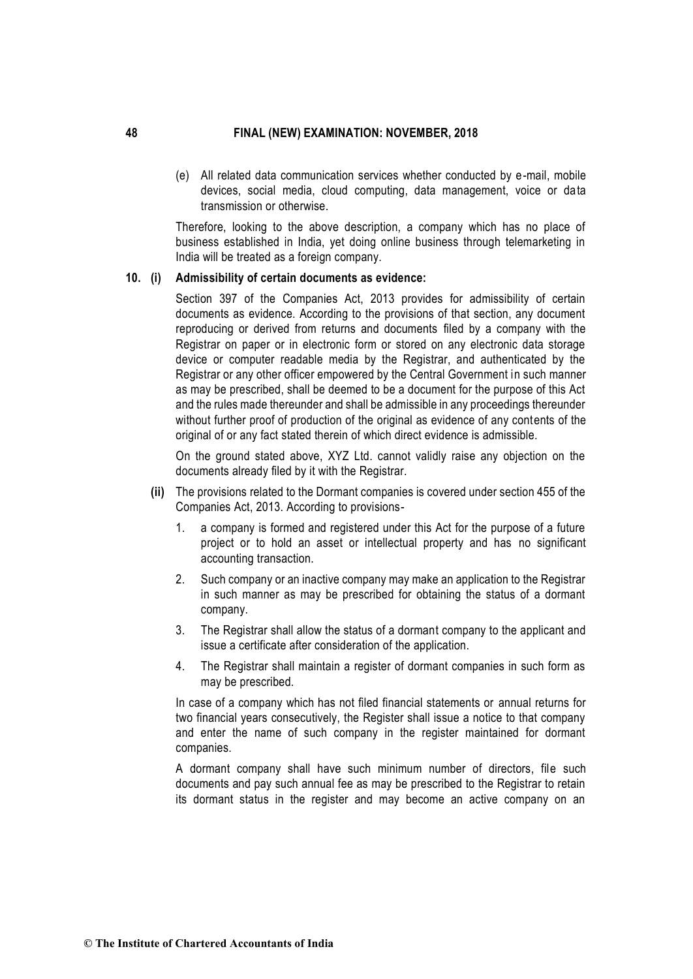(e) All related data communication services whether conducted by e-mail, mobile devices, social media, cloud computing, data management, voice or data transmission or otherwise.

Therefore, looking to the above description, a company which has no place of business established in India, yet doing online business through telemarketing in India will be treated as a foreign company.

### **10. (i) Admissibility of certain documents as evidence:**

Section 397 of the Companies Act, 2013 provides for admissibility of certain documents as evidence. According to the provisions of that section, any document reproducing or derived from returns and documents filed by a company with the Registrar on paper or in electronic form or stored on any electronic data storage device or computer readable media by the Registrar, and authenticated by the Registrar or any other officer empowered by the Central Government in such manner as may be prescribed, shall be deemed to be a document for the purpose of this Act and the rules made thereunder and shall be admissible in any proceedings thereunder without further proof of production of the original as evidence of any contents of the original of or any fact stated therein of which direct evidence is admissible.

On the ground stated above, XYZ Ltd. cannot validly raise any objection on the documents already filed by it with the Registrar.

- **(ii)** The provisions related to the Dormant companies is covered under section 455 of the Companies Act, 2013. According to provisions-
	- 1. a company is formed and registered under this Act for the purpose of a future project or to hold an asset or intellectual property and has no significant accounting transaction.
	- 2. Such company or an inactive company may make an application to the Registrar in such manner as may be prescribed for obtaining the status of a dormant company.
	- 3. The Registrar shall allow the status of a dormant company to the applicant and issue a certificate after consideration of the application.
	- 4. The Registrar shall maintain a register of dormant companies in such form as may be prescribed.

In case of a company which has not filed financial statements or annual returns for two financial years consecutively, the Register shall issue a notice to that company and enter the name of such company in the register maintained for dormant companies.

A dormant company shall have such minimum number of directors, file such documents and pay such annual fee as may be prescribed to the Registrar to retain its dormant status in the register and may become an active company on an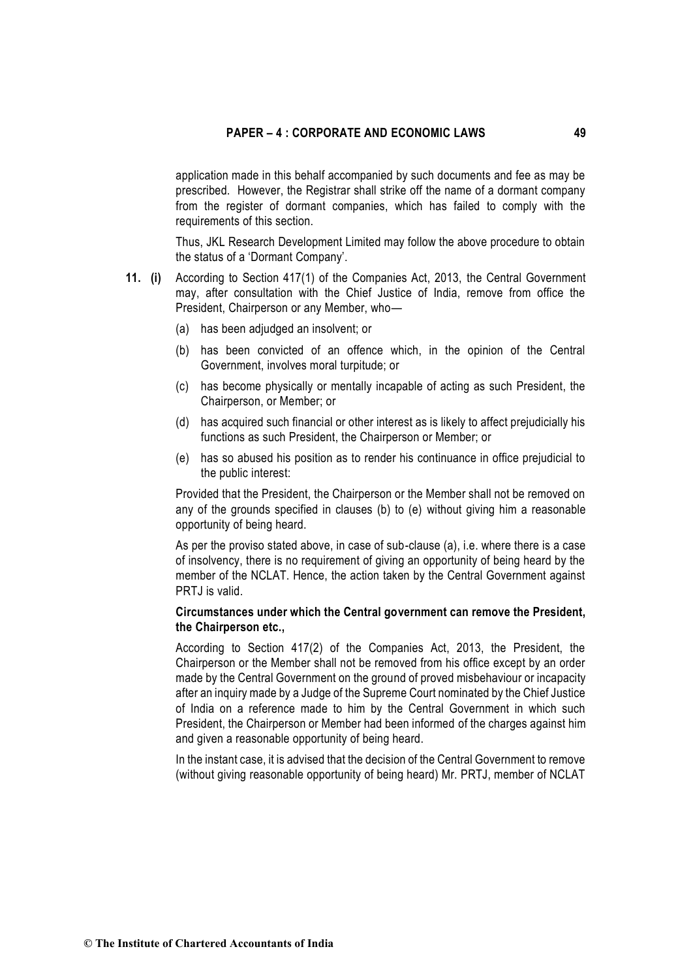application made in this behalf accompanied by such documents and fee as may be prescribed. However, the Registrar shall strike off the name of a dormant company from the register of dormant companies, which has failed to comply with the requirements of this section.

Thus, JKL Research Development Limited may follow the above procedure to obtain the status of a 'Dormant Company'.

- **11. (i)** According to Section 417(1) of the Companies Act, 2013, the Central Government may, after consultation with the Chief Justice of India, remove from office the President, Chairperson or any Member, who—
	- (a) has been adjudged an insolvent; or
	- (b) has been convicted of an offence which, in the opinion of the Central Government, involves moral turpitude; or
	- (c) has become physically or mentally incapable of acting as such President, the Chairperson, or Member; or
	- (d) has acquired such financial or other interest as is likely to affect prejudicially his functions as such President, the Chairperson or Member; or
	- (e) has so abused his position as to render his continuance in office prejudicial to the public interest:

Provided that the President, the Chairperson or the Member shall not be removed on any of the grounds specified in clauses (b) to (e) without giving him a reasonable opportunity of being heard.

As per the proviso stated above, in case of sub-clause (a), i.e. where there is a case of insolvency, there is no requirement of giving an opportunity of being heard by the member of the NCLAT. Hence, the action taken by the Central Government against PRTJ is valid.

## **Circumstances under which the Central government can remove the President, the Chairperson etc.,**

According to Section 417(2) of the Companies Act, 2013, the President, the Chairperson or the Member shall not be removed from his office except by an order made by the Central Government on the ground of proved misbehaviour or incapacity after an inquiry made by a Judge of the Supreme Court nominated by the Chief Justice of India on a reference made to him by the Central Government in which such President, the Chairperson or Member had been informed of the charges against him and given a reasonable opportunity of being heard.

In the instant case, it is advised that the decision of the Central Government to remove (without giving reasonable opportunity of being heard) Mr. PRTJ, member of NCLAT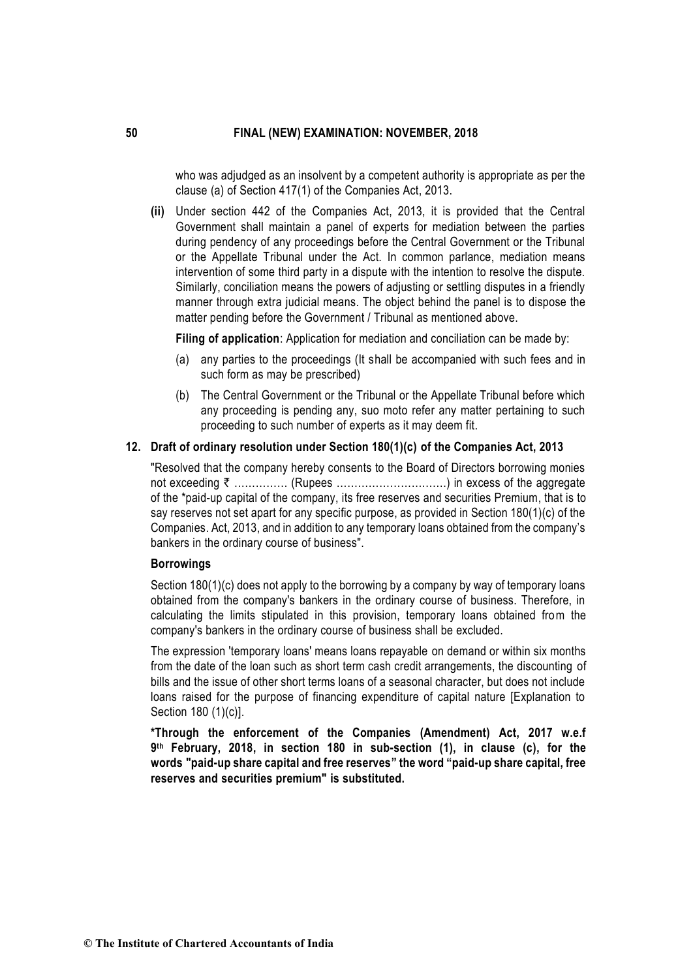who was adjudged as an insolvent by a competent authority is appropriate as per the clause (a) of Section 417(1) of the Companies Act, 2013.

**(ii)** Under section 442 of the Companies Act, 2013, it is provided that the Central Government shall maintain a panel of experts for mediation between the parties during pendency of any proceedings before the Central Government or the Tribunal or the Appellate Tribunal under the Act. In common parlance, mediation means intervention of some third party in a dispute with the intention to resolve the dispute. Similarly, conciliation means the powers of adjusting or settling disputes in a friendly manner through extra judicial means. The object behind the panel is to dispose the matter pending before the Government / Tribunal as mentioned above.

**Filing of application**: Application for mediation and conciliation can be made by:

- (a) any parties to the proceedings (It shall be accompanied with such fees and in such form as may be prescribed)
- (b) The Central Government or the Tribunal or the Appellate Tribunal before which any proceeding is pending any, suo moto refer any matter pertaining to such proceeding to such number of experts as it may deem fit.

# **12. Draft of ordinary resolution under Section 180(1)(c) of the Companies Act, 2013**

"Resolved that the company hereby consents to the Board of Directors borrowing monies not exceeding ` …………… (Rupees ………………………….) in excess of the aggregate of the \*paid-up capital of the company, its free reserves and securities Premium, that is to say reserves not set apart for any specific purpose, as provided in Section 180(1)(c) of the Companies. Act, 2013, and in addition to any temporary loans obtained from the company's bankers in the ordinary course of business".

#### **Borrowings**

Section 180(1)(c) does not apply to the borrowing by a company by way of temporary loans obtained from the company's bankers in the ordinary course of business. Therefore, in calculating the limits stipulated in this provision, temporary loans obtained from the company's bankers in the ordinary course of business shall be excluded.

The expression 'temporary loans' means loans repayable on demand or within six months from the date of the loan such as short term cash credit arrangements, the discounting of bills and the issue of other short terms loans of a seasonal character, but does not include loans raised for the purpose of financing expenditure of capital nature [Explanation to Section 180 (1)(c)].

**\*Through the enforcement of the Companies (Amendment) Act, 2017 w.e.f 9 th February, 2018, in section 180 in sub-section (1), in clause (c), for the words "paid-up share capital and free reserves" the word "paid-up share capital, free reserves and securities premium" is substituted.**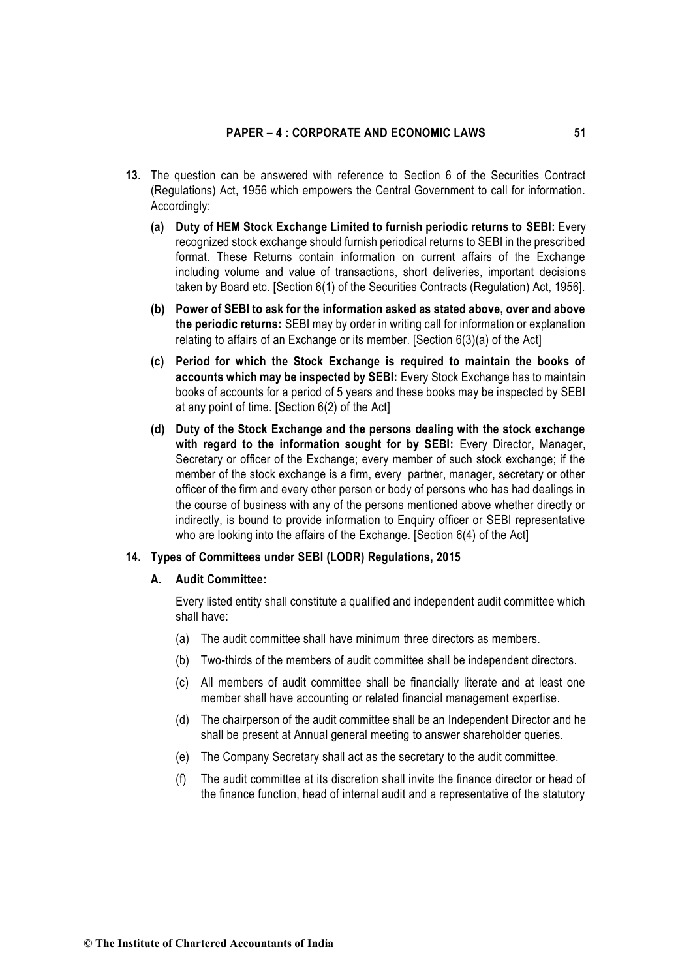- **13.** The question can be answered with reference to Section 6 of the Securities Contract (Regulations) Act, 1956 which empowers the Central Government to call for information. Accordingly:
	- **(a) Duty of HEM Stock Exchange Limited to furnish periodic returns to SEBI:** Every recognized stock exchange should furnish periodical returns to SEBI in the prescribed format. These Returns contain information on current affairs of the Exchange including volume and value of transactions, short deliveries, important decisions taken by Board etc. [Section 6(1) of the Securities Contracts (Regulation) Act, 1956].
	- **(b) Power of SEBI to ask for the information asked as stated above, over and above the periodic returns:** SEBI may by order in writing call for information or explanation relating to affairs of an Exchange or its member. [Section 6(3)(a) of the Act]
	- **(c) Period for which the Stock Exchange is required to maintain the books of accounts which may be inspected by SEBI:** Every Stock Exchange has to maintain books of accounts for a period of 5 years and these books may be inspected by SEBI at any point of time. [Section 6(2) of the Act]
	- **(d) Duty of the Stock Exchange and the persons dealing with the stock exchange with regard to the information sought for by SEBI:** Every Director, Manager, Secretary or officer of the Exchange; every member of such stock exchange; if the member of the stock exchange is a firm, every partner, manager, secretary or other officer of the firm and every other person or body of persons who has had dealings in the course of business with any of the persons mentioned above whether directly or indirectly, is bound to provide information to Enquiry officer or SEBI representative who are looking into the affairs of the Exchange. [Section 6(4) of the Act]

### **14. Types of Committees under SEBI (LODR) Regulations, 2015**

# **A. Audit Committee:**

Every listed entity shall constitute a qualified and independent audit committee which shall have:

- (a) The audit committee shall have minimum three directors as members.
- (b) Two-thirds of the members of audit committee shall be independent directors.
- (c) All members of audit committee shall be financially literate and at least one member shall have accounting or related financial management expertise.
- (d) The chairperson of the audit committee shall be an Independent Director and he shall be present at Annual general meeting to answer shareholder queries.
- (e) The Company Secretary shall act as the secretary to the audit committee.
- (f) The audit committee at its discretion shall invite the finance director or head of the finance function, head of internal audit and a representative of the statutory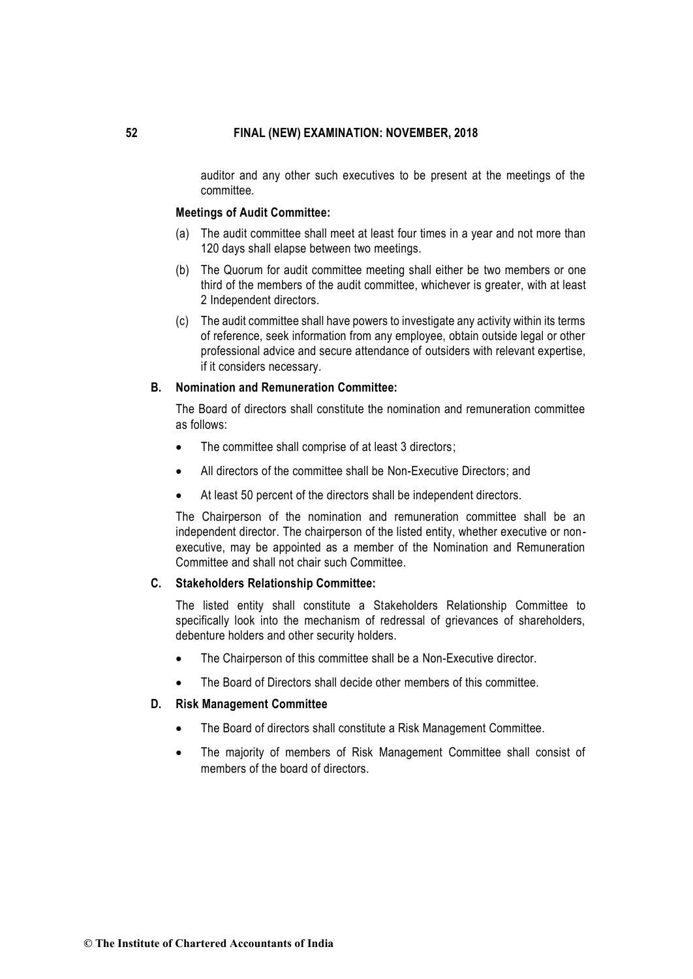auditor and any other such executives to be present at the meetings of the committee.

### **Meetings of Audit Committee:**

- (a) The audit committee shall meet at least four times in a year and not more than 120 days shall elapse between two meetings.
- (b) The Quorum for audit committee meeting shall either be two members or one third of the members of the audit committee, whichever is greater, with at least 2 Independent directors.
- (c) The audit committee shall have powers to investigate any activity within its terms of reference, seek information from any employee, obtain outside legal or other professional advice and secure attendance of outsiders with relevant expertise, if it considers necessary.

### **B. Nomination and Remuneration Committee:**

The Board of directors shall constitute the nomination and remuneration committee as follows:

- The committee shall comprise of at least 3 directors;
- All directors of the committee shall be Non-Executive Directors; and
- At least 50 percent of the directors shall be independent directors.

The Chairperson of the nomination and remuneration committee shall be an independent director. The chairperson of the listed entity, whether executive or nonexecutive, may be appointed as a member of the Nomination and Remuneration Committee and shall not chair such Committee.

### **C. Stakeholders Relationship Committee:**

The listed entity shall constitute a Stakeholders Relationship Committee to specifically look into the mechanism of redressal of grievances of shareholders, debenture holders and other security holders.

- The Chairperson of this committee shall be a Non-Executive director.
- The Board of Directors shall decide other members of this committee.

# **D. Risk Management Committee**

- The Board of directors shall constitute a Risk Management Committee.
- The majority of members of Risk Management Committee shall consist of members of the board of directors.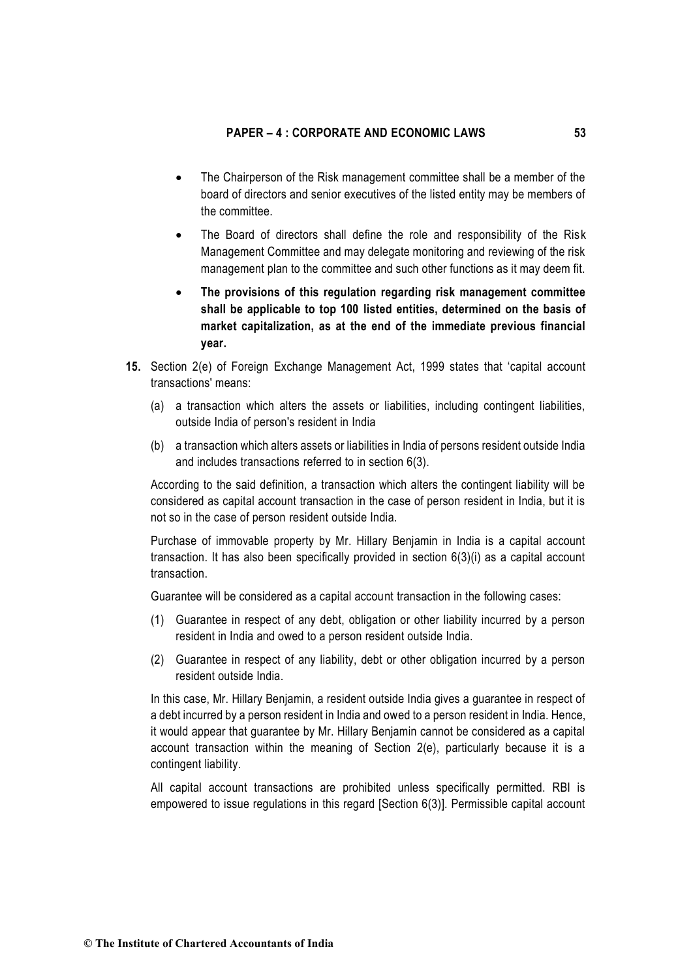- The Chairperson of the Risk management committee shall be a member of the board of directors and senior executives of the listed entity may be members of the committee.
- The Board of directors shall define the role and responsibility of the Risk Management Committee and may delegate monitoring and reviewing of the risk management plan to the committee and such other functions as it may deem fit.
- **The provisions of this regulation regarding risk management committee shall be applicable to top 100 listed entities, determined on the basis of market capitalization, as at the end of the immediate previous financial year.**
- **15.** Section 2(e) of Foreign Exchange Management Act, 1999 states that 'capital account transactions' means:
	- (a) a transaction which alters the assets or liabilities, including contingent liabilities, outside India of person's resident in India
	- (b) a transaction which alters assets or liabilities in India of persons resident outside India and includes transactions referred to in section 6(3).

According to the said definition, a transaction which alters the contingent liability will be considered as capital account transaction in the case of person resident in India, but it is not so in the case of person resident outside India.

Purchase of immovable property by Mr. Hillary Benjamin in India is a capital account transaction. It has also been specifically provided in section 6(3)(i) as a capital account transaction.

Guarantee will be considered as a capital account transaction in the following cases:

- (1) Guarantee in respect of any debt, obligation or other liability incurred by a person resident in India and owed to a person resident outside India.
- (2) Guarantee in respect of any liability, debt or other obligation incurred by a person resident outside India.

In this case, Mr. Hillary Benjamin, a resident outside India gives a guarantee in respect of a debt incurred by a person resident in India and owed to a person resident in India. Hence, it would appear that guarantee by Mr. Hillary Benjamin cannot be considered as a capital account transaction within the meaning of Section 2(e), particularly because it is a contingent liability.

All capital account transactions are prohibited unless specifically permitted. RBI is empowered to issue regulations in this regard [Section 6(3)]. Permissible capital account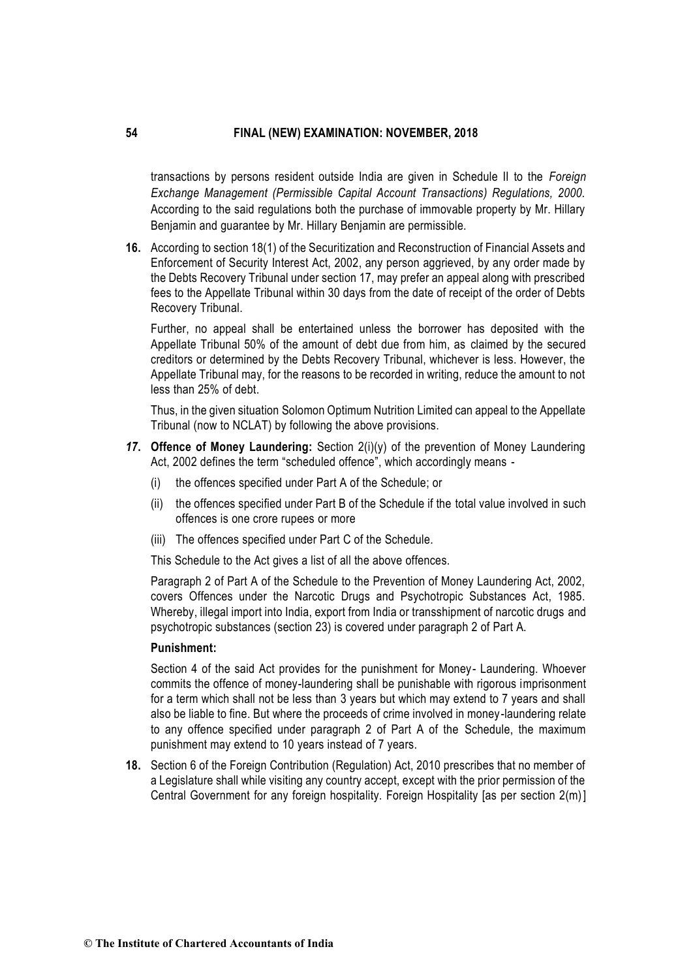transactions by persons resident outside India are given in Schedule II to the *Foreign Exchange Management (Permissible Capital Account Transactions) Regulations, 2000.* According to the said regulations both the purchase of immovable property by Mr. Hillary Benjamin and guarantee by Mr. Hillary Benjamin are permissible.

**16.** According to section 18(1) of the Securitization and Reconstruction of Financial Assets and Enforcement of Security Interest Act, 2002, any person aggrieved, by any order made by the Debts Recovery Tribunal under section 17, may prefer an appeal along with prescribed fees to the Appellate Tribunal within 30 days from the date of receipt of the order of Debts Recovery Tribunal.

Further, no appeal shall be entertained unless the borrower has deposited with the Appellate Tribunal 50% of the amount of debt due from him, as claimed by the secured creditors or determined by the Debts Recovery Tribunal, whichever is less. However, the Appellate Tribunal may, for the reasons to be recorded in writing, reduce the amount to not less than 25% of debt.

Thus, in the given situation Solomon Optimum Nutrition Limited can appeal to the Appellate Tribunal (now to NCLAT) by following the above provisions.

- *17***. Offence of Money Laundering:** Section 2(i)(y) of the prevention of Money Laundering Act, 2002 defines the term "scheduled offence", which accordingly means -
	- (i) the offences specified under Part A of the Schedule; or
	- (ii) the offences specified under Part B of the Schedule if the total value involved in such offences is one crore rupees or more
	- (iii) The offences specified under Part C of the Schedule.

This Schedule to the Act gives a list of all the above offences.

Paragraph 2 of Part A of the Schedule to the Prevention of Money Laundering Act, 2002, covers Offences under the Narcotic Drugs and Psychotropic Substances Act, 1985. Whereby, illegal import into India, export from India or transshipment of narcotic drugs and psychotropic substances (section 23) is covered under paragraph 2 of Part A.

#### **Punishment:**

Section 4 of the said Act provides for the punishment for Money- Laundering. Whoever commits the offence of money-laundering shall be punishable with rigorous imprisonment for a term which shall not be less than 3 years but which may extend to 7 years and shall also be liable to fine. But where the proceeds of crime involved in money-laundering relate to any offence specified under paragraph 2 of Part A of the Schedule, the maximum punishment may extend to 10 years instead of 7 years.

**18.** Section 6 of the Foreign Contribution (Regulation) Act, 2010 prescribes that no member of a Legislature shall while visiting any country accept, except with the prior permission of the Central Government for any foreign hospitality. Foreign Hospitality [as per section 2(m)]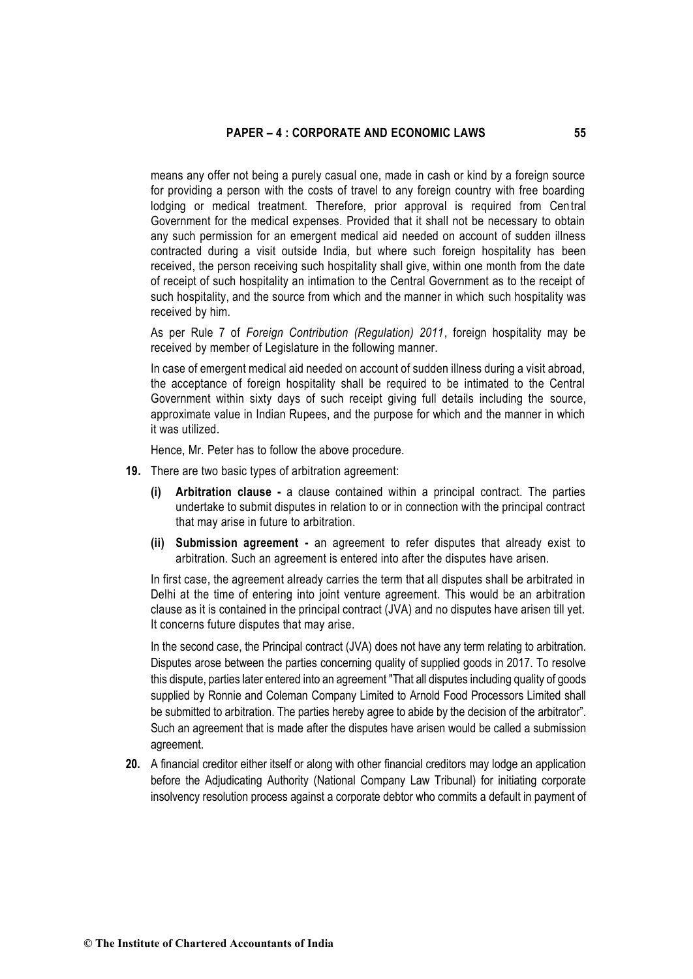means any offer not being a purely casual one, made in cash or kind by a foreign source for providing a person with the costs of travel to any foreign country with free boarding lodging or medical treatment. Therefore, prior approval is required from Central Government for the medical expenses. Provided that it shall not be necessary to obtain any such permission for an emergent medical aid needed on account of sudden illness contracted during a visit outside India, but where such foreign hospitality has been received, the person receiving such hospitality shall give, within one month from the date of receipt of such hospitality an intimation to the Central Government as to the receipt of such hospitality, and the source from which and the manner in which such hospitality was received by him.

As per Rule 7 of *Foreign Contribution (Regulation) 2011*, foreign hospitality may be received by member of Legislature in the following manner.

In case of emergent medical aid needed on account of sudden illness during a visit abroad, the acceptance of foreign hospitality shall be required to be intimated to the Central Government within sixty days of such receipt giving full details including the source, approximate value in Indian Rupees, and the purpose for which and the manner in which it was utilized.

Hence, Mr. Peter has to follow the above procedure.

- **19.** There are two basic types of arbitration agreement:
	- **(i) Arbitration clause -** a clause contained within a principal contract. The parties undertake to submit disputes in relation to or in connection with the principal contract that may arise in future to arbitration.
	- **(ii) Submission agreement -** an agreement to refer disputes that already exist to arbitration. Such an agreement is entered into after the disputes have arisen.

In first case, the agreement already carries the term that all disputes shall be arbitrated in Delhi at the time of entering into joint venture agreement. This would be an arbitration clause as it is contained in the principal contract (JVA) and no disputes have arisen till yet. It concerns future disputes that may arise.

In the second case, the Principal contract (JVA) does not have any term relating to arbitration. Disputes arose between the parties concerning quality of supplied goods in 2017. To resolve this dispute, parties later entered into an agreement "That all disputes including quality of goods supplied by Ronnie and Coleman Company Limited to Arnold Food Processors Limited shall be submitted to arbitration. The parties hereby agree to abide by the decision of the arbitrator". Such an agreement that is made after the disputes have arisen would be called a submission agreement.

**20.** A financial creditor either itself or along with other financial creditors may lodge an application before the Adjudicating Authority (National Company Law Tribunal) for initiating corporate insolvency resolution process against a corporate debtor who commits a default in payment of